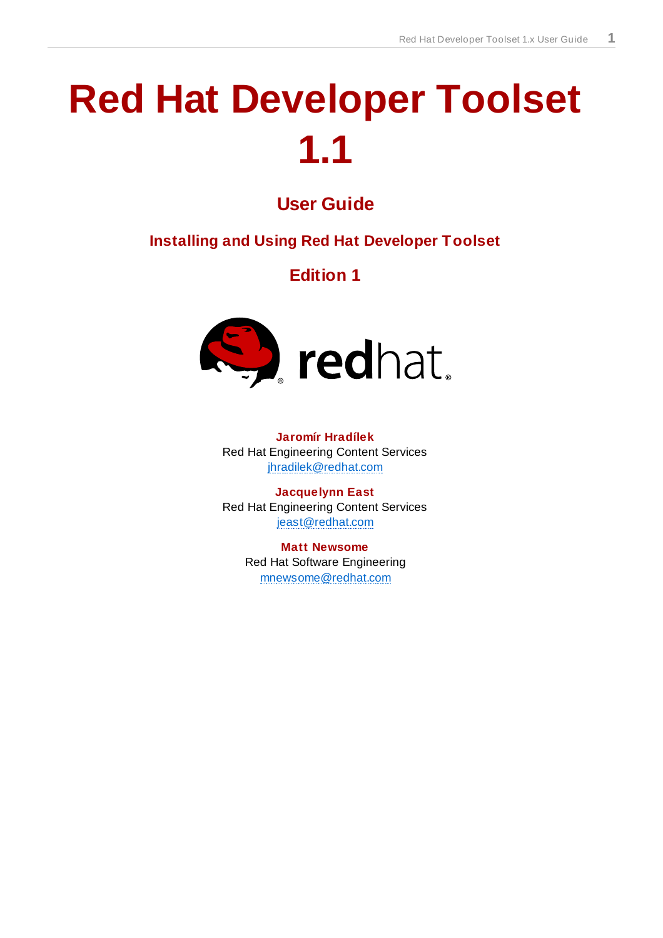# **Red Hat Developer Toolset 1.1**

# **User Guide**

### **Installing and Using Red Hat Developer Toolset**

# **Edition 1**



**Jaromír Hradílek** Red Hat Engineering Content Services [jhradilek@redhat.com](mailto:jhradilek@redhat.com)

**Jacquelynn East** Red Hat Engineering Content Services [jeast@redhat.com](mailto:jeast@redhat.com)

> **Matt Newsome** Red Hat Software Engineering [mnewsome@redhat.com](mailto:mnewsome@redhat.com)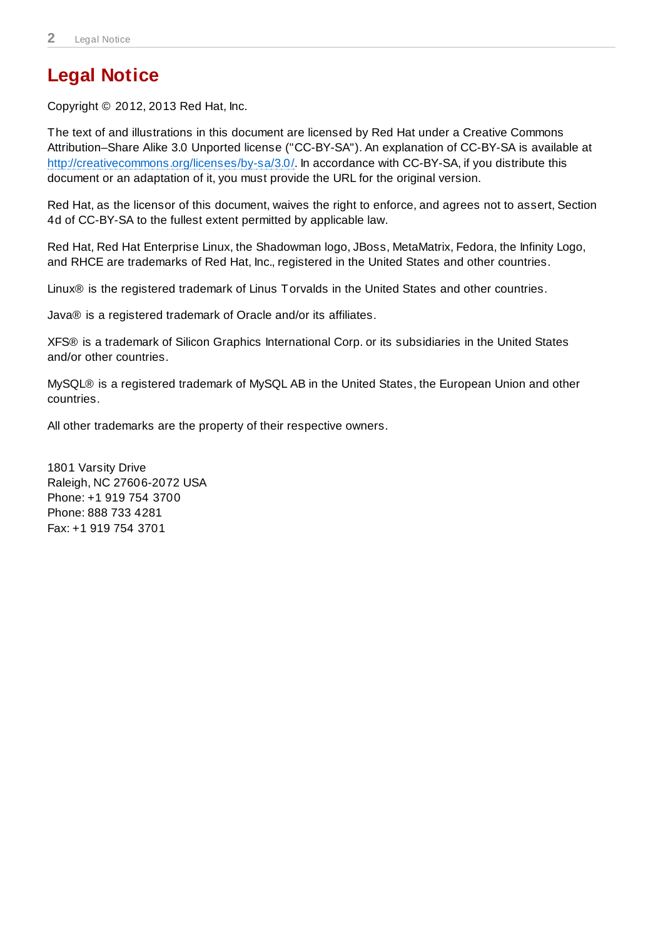# **Legal Notice**

Copyright © 2012, 2013 Red Hat, Inc.

The text of and illustrations in this document are licensed by Red Hat under a Creative Commons Attribution–Share Alike 3.0 Unported license ("CC-BY-SA"). An explanation of CC-BY-SA is available at <http://creativecommons.org/licenses/by-sa/3.0/>. In accordance with CC-BY-SA, if you distribute this document or an adaptation of it, you must provide the URL for the original version.

Red Hat, as the licensor of this document, waives the right to enforce, and agrees not to assert, Section 4d of CC-BY-SA to the fullest extent permitted by applicable law.

Red Hat, Red Hat Enterprise Linux, the Shadowman logo, JBoss, MetaMatrix, Fedora, the Infinity Logo, and RHCE are trademarks of Red Hat, Inc., registered in the United States and other countries.

Linux® is the registered trademark of Linus Torvalds in the United States and other countries.

Java® is a registered trademark of Oracle and/or its affiliates.

XFS® is a trademark of Silicon Graphics International Corp. or its subsidiaries in the United States and/or other countries.

MySQL® is a registered trademark of MySQL AB in the United States, the European Union and other countries.

All other trademarks are the property of their respective owners.

1801 Varsity Drive Raleigh, NC 27606-2072 USA Phone: +1 919 754 3700 Phone: 888 733 4281 Fax: +1 919 754 3701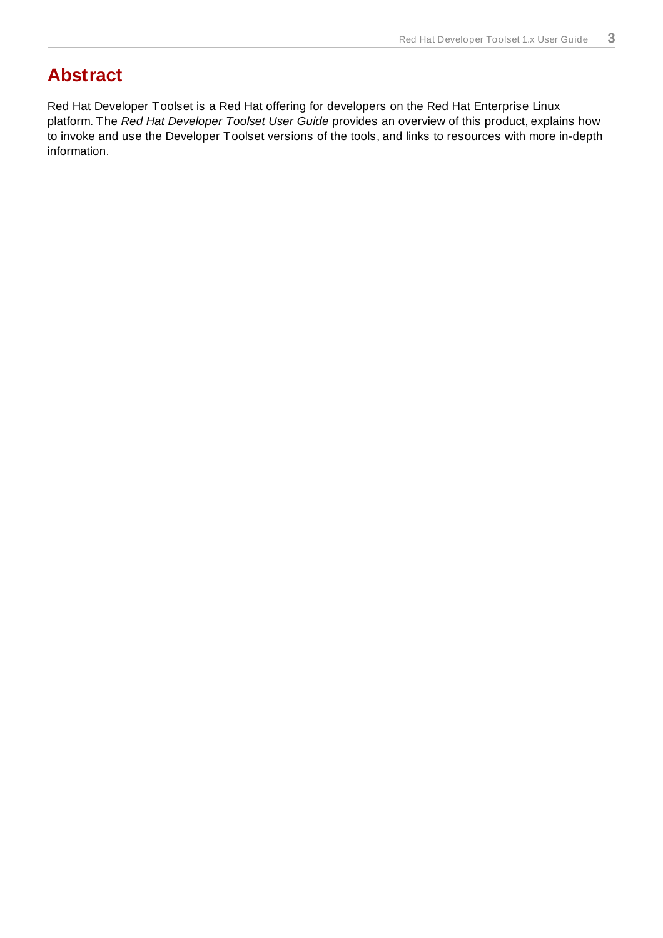# **Abstract**

Red Hat Developer Toolset is a Red Hat offering for developers on the Red Hat Enterprise Linux platform. The *Red Hat Developer Toolset User Guide* provides an overview of this product, explains how to invoke and use the Developer Toolset versions of the tools, and links to resources with more in-depth information.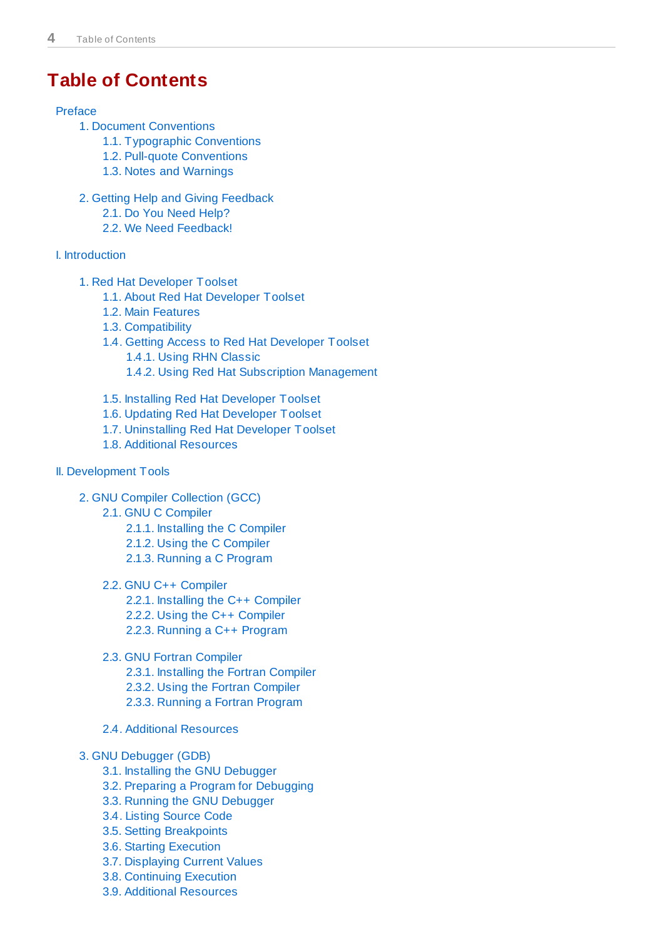### **Table of Contents**

### [Preface](#page-7-0)

- 1. Document [Conventions](#page-6-0)
	- 1.1. [Typographic](#page-6-1) Conventions
	- 1.2. Pull-quote [Conventions](#page-7-1)
	- 1.3. Notes and [Warnings](#page-8-0)
- 2. Getting Help and Giving [Feedback](#page-9-0)
	- 2.1. Do You Need [Help?](#page-8-1)
	- 2.2. We Need [Feedback!](#page-9-1)
- I. [Introduction](#page-14-0)
	- 1. Red Hat [Developer](#page-14-1) Toolset
		- 1.1. About Red Hat [Developer](#page-11-0) Toolset
		- 1.2. Main [Features](#page-12-0)
		- 1.3. [Compatibility](#page-13-0)
		- 1.4. Getting Access to Red Hat [Developer](#page-14-2) Toolset
			- 1.4.1. Using RHN [Classic](#page-14-3)
			- 1.4.2. Using Red Hat Subscription [Management](#page-15-0)
		- 1.5. Installing Red Hat [Developer](#page-16-0) Toolset
		- 1.6. Updating Red Hat [Developer](#page-16-1) Toolset
		- 1.7. [Uninstalling](#page-16-2) Red Hat Developer Toolset
		- 1.8. Additional [Resources](#page-17-0)

### II. [Development](#page-30-0) Tools

- 2. GNU Compiler [Collection](#page-22-0) (GCC)
	- 2.1. GNU C [Compiler](#page-20-0)
		- 2.1.1. [Installing](#page-19-0) the C Compiler
		- 2.1.2. Using the C [Compiler](#page-20-1)
		- 2.1.3. [Running](#page-21-0) a C Program
	- 2.2. GNU C++ [Compiler](#page-22-1)
		- 2.2.1. [Installing](#page-21-1) the C++ Compiler
		- 2.2.2. Using the C++ [Compiler](#page-22-2)
		- 2.2.3. Running a C++ [Program](#page-23-0)
	- 2.3. GNU Fortran [Compiler](#page-24-0)
		- 2.3.1. [Installing](#page-23-1) the Fortran Compiler
		- 2.3.2. Using the Fortran [Compiler](#page-24-1)
		- 2.3.3. [Running](#page-25-0) a Fortran Program
	- 2.4. Additional [Resources](#page-25-1)
- 3. GNU [Debugger](#page-30-1) (GDB)
	- 3.1. Installing the GNU [Debugger](#page-27-0)
	- 3.2. Preparing a Program for [Debugging](#page-28-0)
	- 3.3. Running the GNU [Debugger](#page-29-0)
	- 3.4. Listing [Source](#page-30-2) Code
	- 3.5. Setting [Breakpoints](#page-31-0)
	- 3.6. Starting [Execution](#page-32-0)
	- 3.7. [Displaying](#page-33-0) Current Values
	- 3.8. [Continuing](#page-34-0) Execution
	- 3.9. Additional [Resources](#page-34-1)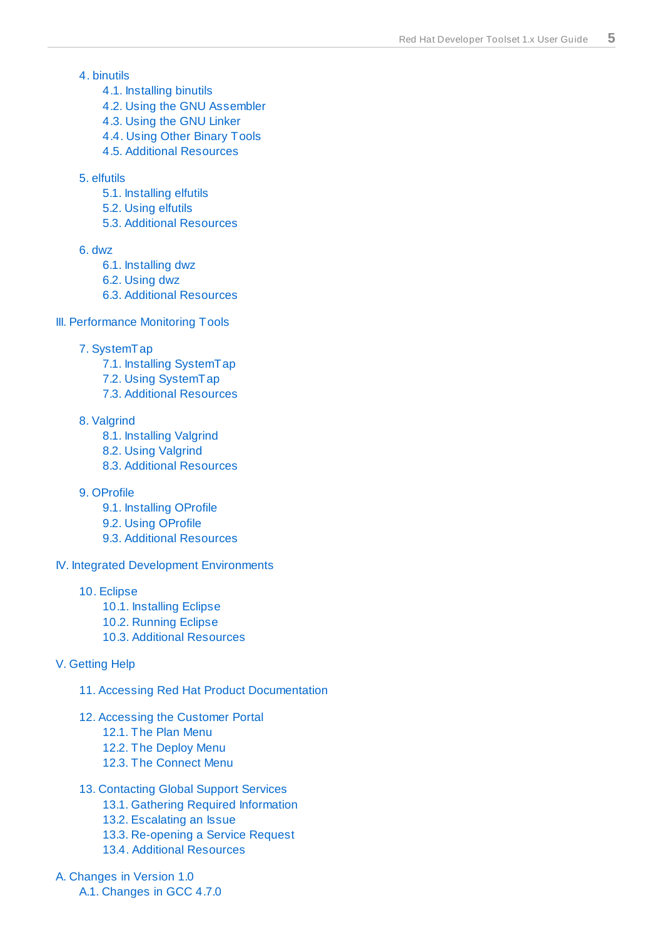### 4. [binutils](#page-36-0)

- 4.1. [Installing](#page-35-0) binutils
- 4.2. Using the GNU [Assembler](#page-36-1)
- 4.3. [Using](#page-36-2) the GNU Linker
- 4.4. Using Other [Binary](#page-37-0) Tools
- 4.5. Additional [Resources](#page-37-1)
- 5. [elfutils](#page-39-0)
	- 5.1. [Installing](#page-39-1) elfutils
	- 5.2. Using [elfutils](#page-40-0)
	- 5.3. Additional [Resources](#page-40-1)
- 6. [dwz](#page-41-0)
	- 6.1. [Installing](#page-41-1) dwz
	- 6.2. [Using](#page-41-2) dwz
	- 6.3. Additional [Resources](#page-42-0)
- III. [Performance](#page-47-0) Monitoring Tools
	- 7. [SystemTap](#page-45-0)
		- 7.1. Installing [SystemTap](#page-44-0)
		- 7.2. Using [SystemTap](#page-45-1)
		- 7.3. Additional [Resources](#page-45-2)

#### 8. [Valgrind](#page-48-0)

- 8.1. [Installing](#page-47-1) Valgrind
- 8.2. Using [Valgrind](#page-48-1)
- 8.3. Additional [Resources](#page-48-2)
- 9. [OProfile](#page-51-0)
	- 9.1. [Installing](#page-50-0) OProfile
	- 9.2. Using [OProfile](#page-51-1)
	- 9.3. Additional [Resources](#page-51-2)
- IV. Integrated Development [Environments](#page-55-0)
	- 10. [Eclipse](#page-55-1)
		- 10.1. [Installing](#page-54-0) Eclipse
		- 10.2. [Running](#page-55-2) Eclipse
		- 10.3. Additional [Resources](#page-56-0)

### V. [Getting](#page-61-0) Help

- 11. Accessing Red Hat Product [Documentation](#page-58-0)
- 12. [Accessing](#page-60-0) the Customer Portal
	- 12.1. The Plan [Menu](#page-59-0)
	- 12.2. The [Deploy](#page-60-1) Menu
	- 12.3. The [Connect](#page-61-1) Menu
- 13. [Contacting](#page-64-0) Global Support Services
	- 13.1. Gathering Required [Information](#page-63-0)
	- 13.2. [Escalating](#page-64-1) an Issue
	- 13.3. [Re-opening](#page-65-0) a Service Request
	- 13.4. Additional [Resources](#page-65-1)
- A. [Changes](#page-76-0) in Version 1.0 A.1. [Changes](#page-71-0) in GCC 4.7.0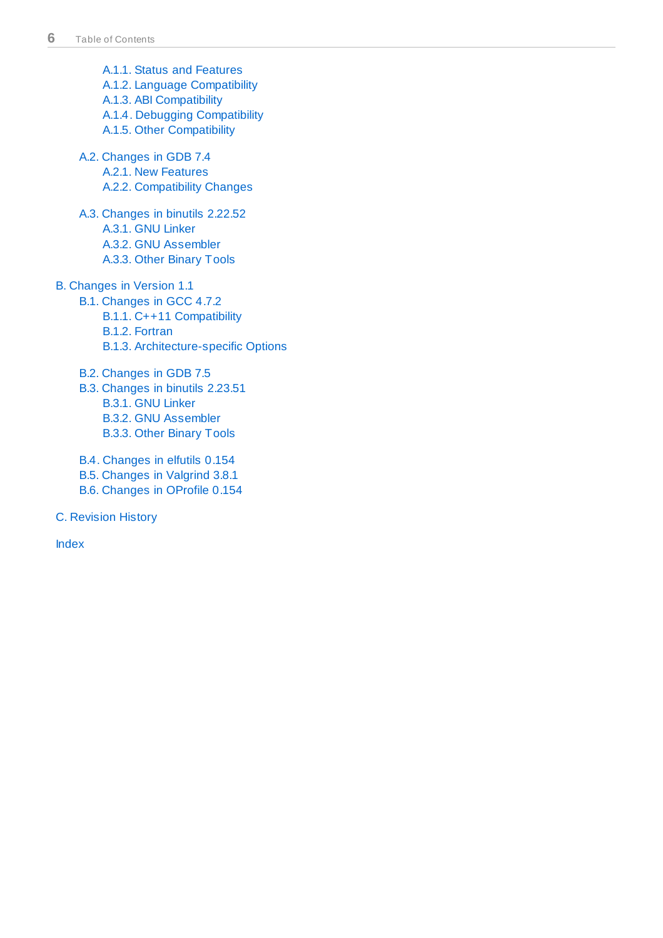- A.1.1. Status and [Features](#page-68-0)
- A.1.2. Language [Compatibility](#page-73-0)
- A.1.3. ABI [Compatibility](#page-76-1)
- A.1.4. Debugging [Compatibility](#page-77-0)
- A.1.5. Other [Compatibility](#page-77-1)
- A.2. [Changes](#page-80-0) in GDB 7.4 A.2.1. New [Features](#page-79-0) A.2.2. [Compatibility](#page-82-0) Changes
- A.3. [Changes](#page-85-0) in binutils 2.22.52 A.3.1. GNU [Linker](#page-84-0) A.3.2. GNU [Assembler](#page-85-1) A.3.3. Other [Binary](#page-86-0) Tools
- B. [Changes](#page-93-0) in Version 1.1
	- B.1. [Changes](#page-90-0) in GCC 4.7.2 B.1.1. C++11 [Compatibility](#page-88-0) B.1.2. [Fortran](#page-90-1) B.1.3. [Architecture-specific](#page-91-0) Options
	- B.2. [Changes](#page-93-1) in GDB 7.5
	- B.3. [Changes](#page-94-0) in binutils 2.23.51
		- B.3.1. GNU [Linker](#page-94-1)
		- B.3.2. GNU [Assembler](#page-94-2) B.3.3. Other [Binary](#page-95-0) Tools
	- B.4. [Changes](#page-95-1) in elfutils 0.154 B.5. [Changes](#page-97-0) in Valgrind 3.8.1
	- B.6. [Changes](#page-99-0) in OProfile 0.154
- C. [Revision](#page-100-0) History

[Index](#page-105-0)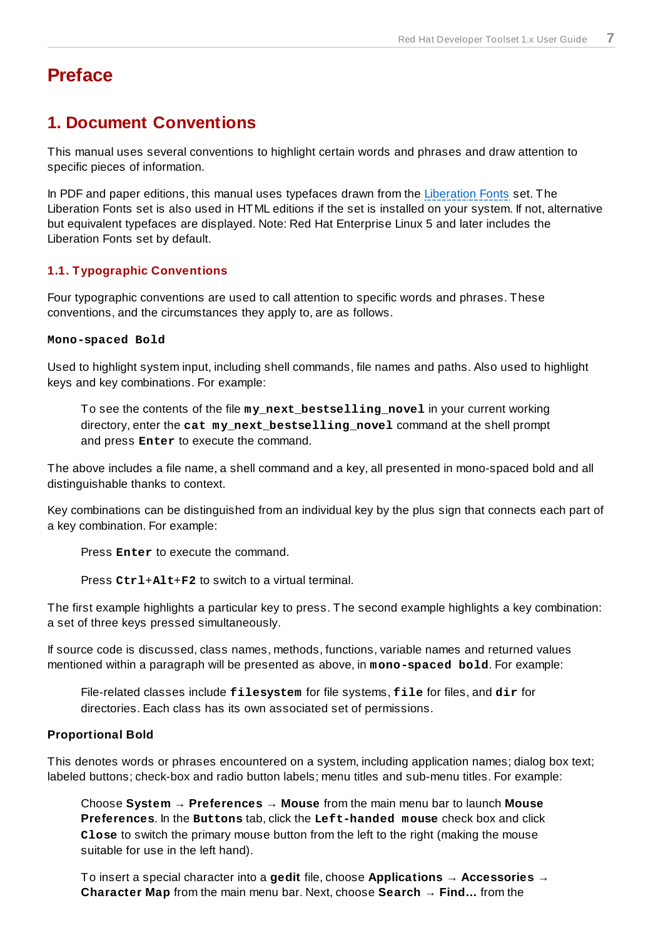## **Preface**

### <span id="page-6-0"></span>**1. Document Conventions**

This manual uses several conventions to highlight certain words and phrases and draw attention to specific pieces of information.

In PDF and paper editions, this manual uses typefaces drawn from the [Liberation](https://fedorahosted.org/liberation-fonts/) Fonts set. The Liberation Fonts set is also used in HTML editions if the set is installed on your system. If not, alternative but equivalent typefaces are displayed. Note: Red Hat Enterprise Linux 5 and later includes the Liberation Fonts set by default.

### <span id="page-6-1"></span>**1.1. Typographic Conventions**

Four typographic conventions are used to call attention to specific words and phrases. These conventions, and the circumstances they apply to, are as follows.

### **Mono-spaced Bold**

Used to highlight system input, including shell commands, file names and paths. Also used to highlight keys and key combinations. For example:

To see the contents of the file my next bestselling novel in your current working directory, enter the **cat my\_next\_bestselling\_novel** command at the shell prompt and press **Enter** to execute the command.

The above includes a file name, a shell command and a key, all presented in mono-spaced bold and all distinguishable thanks to context.

Key combinations can be distinguished from an individual key by the plus sign that connects each part of a key combination. For example:

Press **Enter** to execute the command.

Press **Ctrl**+**Alt**+**F2** to switch to a virtual terminal.

The first example highlights a particular key to press. The second example highlights a key combination: a set of three keys pressed simultaneously.

If source code is discussed, class names, methods, functions, variable names and returned values mentioned within a paragraph will be presented as above, in **mono-spaced bold**. For example:

File-related classes include **filesystem** for file systems, **file** for files, and **dir** for directories. Each class has its own associated set of permissions.

### **Proportional Bold**

This denotes words or phrases encountered on a system, including application names; dialog box text; labeled buttons; check-box and radio button labels; menu titles and sub-menu titles. For example:

Choose **System** → **Preferences** → **Mouse** from the main menu bar to launch **Mouse Preferences**. In the **Buttons** tab, click the **Left-handed mouse** check box and click **Close** to switch the primary mouse button from the left to the right (making the mouse suitable for use in the left hand).

To insert a special character into a **gedit** file, choose **Applications** → **Accessories** → **Character Map** from the main menu bar. Next, choose **Search** → **Find…** from the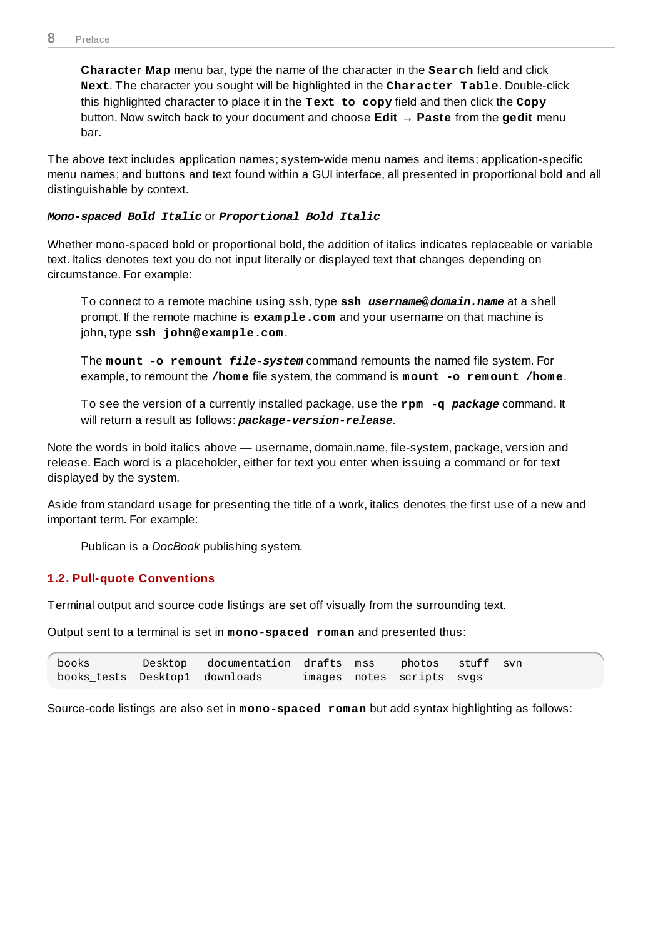<span id="page-7-0"></span>**Character Map** menu bar, type the name of the character in the **Search** field and click **Next**. The character you sought will be highlighted in the **Character Table**. Double-click this highlighted character to place it in the **Text to copy** field and then click the **Copy** button. Now switch back to your document and choose **Edit** → **Paste** from the **gedit** menu bar.

The above text includes application names; system-wide menu names and items; application-specific menu names; and buttons and text found within a GUI interface, all presented in proportional bold and all distinguishable by context.

### *Mono-spaced Bold Italic* or *Proportional Bold Italic*

Whether mono-spaced bold or proportional bold, the addition of italics indicates replaceable or variable text. Italics denotes text you do not input literally or displayed text that changes depending on circumstance. For example:

To connect to a remote machine using ssh, type **ssh** *username***@***domain.name* at a shell prompt. If the remote machine is **example.com** and your username on that machine is john, type **ssh john@example.com**.

The **mount -o remount** *file-system* command remounts the named file system. For example, to remount the **/home** file system, the command is **mount -o remount /home**.

To see the version of a currently installed package, use the **rpm -q** *package* command. It will return a result as follows: *package-version-release*.

Note the words in bold italics above — username, domain.name, file-system, package, version and release. Each word is a placeholder, either for text you enter when issuing a command or for text displayed by the system.

Aside from standard usage for presenting the title of a work, italics denotes the first use of a new and important term. For example:

Publican is a *DocBook* publishing system.

### <span id="page-7-1"></span>**1.2. Pull-quote Conventions**

Terminal output and source code listings are set off visually from the surrounding text.

Output sent to a terminal is set in **mono-spaced roman** and presented thus:

| books                          | Desktop documentation drafts mss photos stuff svn |  |                                  |  |
|--------------------------------|---------------------------------------------------|--|----------------------------------|--|
| books_tests Desktop1 downloads |                                                   |  | $\Box$ images notes scripts svgs |  |

Source-code listings are also set in **mono-spaced roman** but add syntax highlighting as follows: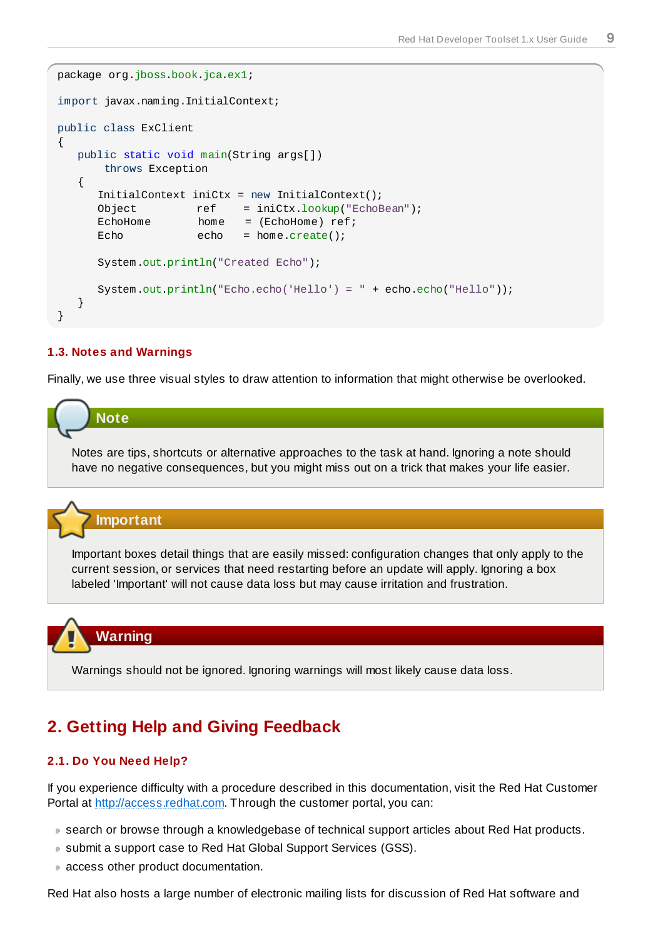```
package org.jboss.book.jca.ex1;
import javax.naming.InitialContext;
public class ExClient
{
  public static void main(String args[])
      throws Exception
  {
     InitialContext iniCtx = new InitialContext();
     Object ref = iniCtx.lookup("EchoBean");
     EchoHome home = (EchoHome) ref;
     Echo = home.create();
     System.out.println("Created Echo");
     System.out.println("Echo.echo('Hello') = " + echo.echo("Hello"));
  }
}
```
#### <span id="page-8-0"></span>**1.3. Notes and Warnings**

**Note**

Finally, we use three visual styles to draw attention to information that might otherwise be overlooked.

Notes are tips, shortcuts or alternative approaches to the task at hand. Ignoring a note should have no negative consequences, but you might miss out on a trick that makes your life easier.

**Important**

Important boxes detail things that are easily missed: configuration changes that only apply to the current session, or services that need restarting before an update will apply. Ignoring a box labeled 'Important' will not cause data loss but may cause irritation and frustration.

### **Warning**

Warnings should not be ignored. Ignoring warnings will most likely cause data loss.

### **2. Getting Help and Giving Feedback**

### <span id="page-8-1"></span>**2.1. Do You Need Help?**

If you experience difficulty with a procedure described in this documentation, visit the Red Hat Customer Portal at <http://access.redhat.com>. Through the customer portal, you can:

- search or browse through a knowledgebase of technical support articles about Red Hat products.
- submit a support case to Red Hat Global Support Services (GSS).
- access other product documentation.

Red Hat also hosts a large number of electronic mailing lists for discussion of Red Hat software and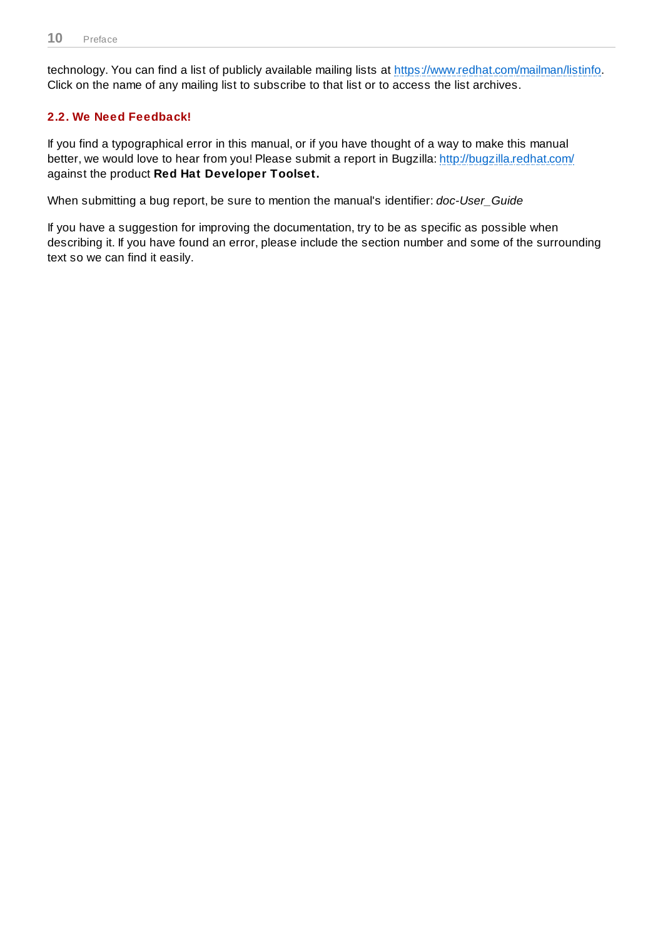<span id="page-9-0"></span>technology. You can find a list of publicly available mailing lists at <https://www.redhat.com/mailman/listinfo>. Click on the name of any mailing list to subscribe to that list or to access the list archives.

### <span id="page-9-1"></span>**2.2. We Need Feedback!**

If you find a typographical error in this manual, or if you have thought of a way to make this manual better, we would love to hear from you! Please submit a report in Bugzilla: <http://bugzilla.redhat.com/> against the product **Red Hat Developer Toolset.**

When submitting a bug report, be sure to mention the manual's identifier: *doc-User\_Guide*

If you have a suggestion for improving the documentation, try to be as specific as possible when describing it. If you have found an error, please include the section number and some of the surrounding text so we can find it easily.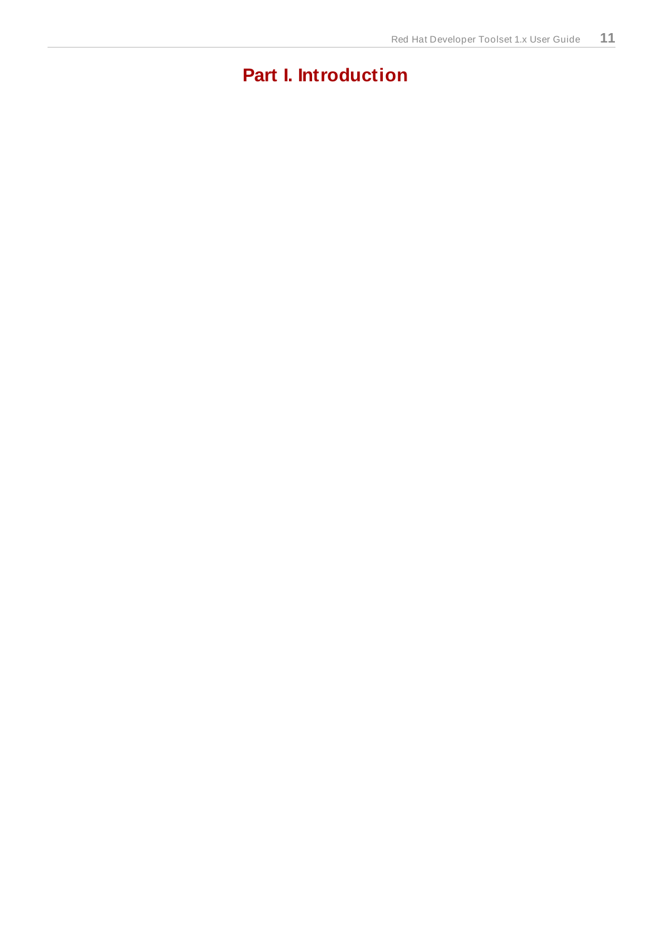# **Part I. Introduction**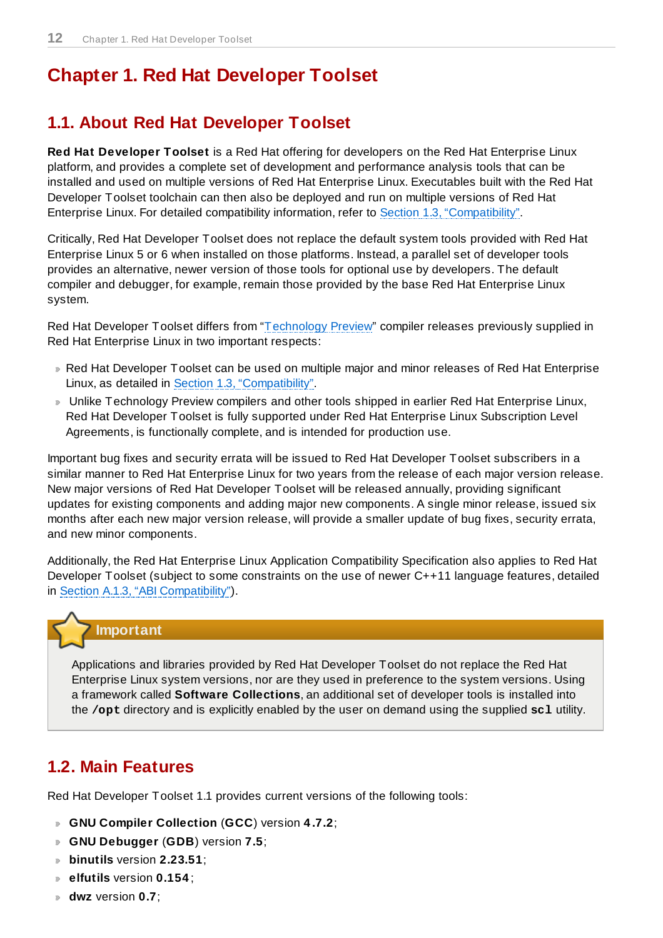# **Chapter 1. Red Hat Developer Toolset**

### <span id="page-11-0"></span>**1.1. About Red Hat Developer Toolset**

**Red Hat Developer Toolset** is a Red Hat offering for developers on the Red Hat Enterprise Linux platform, and provides a complete set of development and performance analysis tools that can be installed and used on multiple versions of Red Hat Enterprise Linux. Executables built with the Red Hat Developer Toolset toolchain can then also be deployed and run on multiple versions of Red Hat Enterprise Linux. For detailed compatibility information, refer to Section 1.3, ["Compatibility"](#page-13-0).

Critically, Red Hat Developer Toolset does not replace the default system tools provided with Red Hat Enterprise Linux 5 or 6 when installed on those platforms. Instead, a parallel set of developer tools provides an alternative, newer version of those tools for optional use by developers. The default compiler and debugger, for example, remain those provided by the base Red Hat Enterprise Linux system.

Red Hat Developer Toolset differs from ["Technology](https://access.redhat.com/support/offerings/techpreview/) Preview" compiler releases previously supplied in Red Hat Enterprise Linux in two important respects:

- Red Hat Developer Toolset can be used on multiple major and minor releases of Red Hat Enterprise Linux, as detailed in Section 1.3, ["Compatibility"](#page-13-0).
- **DILIKE Technology Preview compilers and other tools shipped in earlier Red Hat Enterprise Linux,** Red Hat Developer Toolset is fully supported under Red Hat Enterprise Linux Subscription Level Agreements, is functionally complete, and is intended for production use.

Important bug fixes and security errata will be issued to Red Hat Developer Toolset subscribers in a similar manner to Red Hat Enterprise Linux for two years from the release of each major version release. New major versions of Red Hat Developer Toolset will be released annually, providing significant updates for existing components and adding major new components. A single minor release, issued six months after each new major version release, will provide a smaller update of bug fixes, security errata, and new minor components.

Additionally, the Red Hat Enterprise Linux Application Compatibility Specification also applies to Red Hat Developer Toolset (subject to some constraints on the use of newer C++11 language features, detailed in Section A.1.3, "ABI [Compatibility"](#page-76-1)).

### **Important**

Applications and libraries provided by Red Hat Developer Toolset do not replace the Red Hat Enterprise Linux system versions, nor are they used in preference to the system versions. Using a framework called **Software Collections**, an additional set of developer tools is installed into the **/opt** directory and is explicitly enabled by the user on demand using the supplied **scl** utility.

### **1.2. Main Features**

Red Hat Developer Toolset 1.1 provides current versions of the following tools:

- **GNU Compiler Collection** (**GCC**) version **4 .7.2**;
- **GNU Debugger** (**GDB**) version **7.5**;
- **binutils** version **2.23.51**;
- **elfutils** version **0.154** ;
- **dwz** version **0.7**;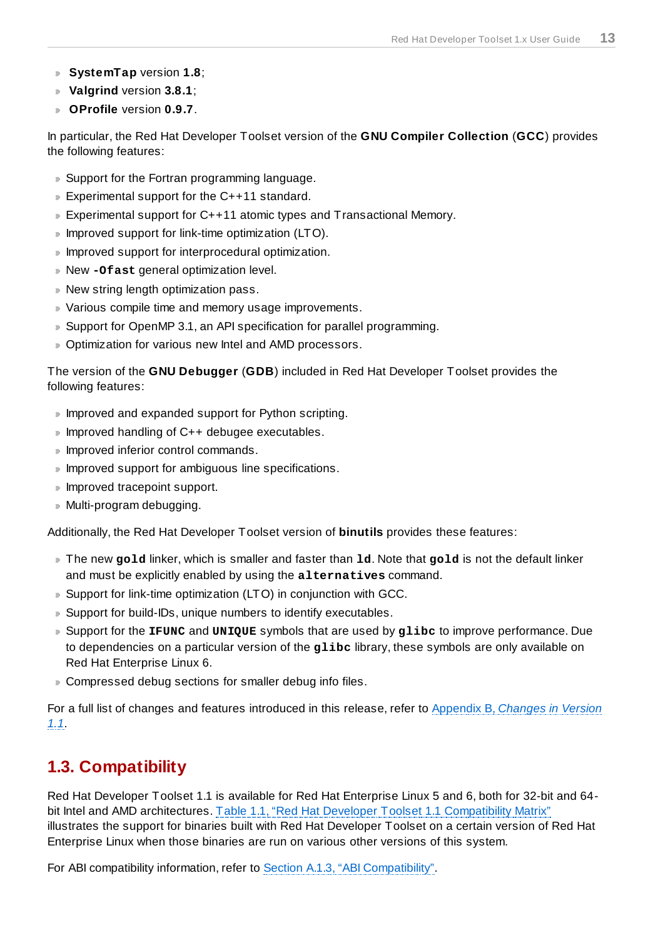- <span id="page-12-0"></span>**SystemTap** version **1.8**;
- **Valgrind** version **3.8.1**;
- **OProfile** version **0.9.7**.

In particular, the Red Hat Developer Toolset version of the **GNU Compiler Collection** (**GCC**) provides the following features:

- Support for the Fortran programming language.
- Experimental support for the C++11 standard.
- Experimental support for C++11 atomic types and Transactional Memory.
- **Improved support for link-time optimization (LTO).**
- **Improved support for interprocedural optimization.**
- New **-Ofast** general optimization level.
- New string length optimization pass.
- Various compile time and memory usage improvements.
- Support for OpenMP 3.1, an API specification for parallel programming.
- Optimization for various new Intel and AMD processors.

The version of the **GNU Debugger** (**GDB**) included in Red Hat Developer Toolset provides the following features:

- **Improved and expanded support for Python scripting.**
- Improved handling of C++ debugee executables.
- **Improved inferior control commands.**
- **Improved support for ambiguous line specifications.**
- **Improved tracepoint support.**
- Multi-program debugging.

Additionally, the Red Hat Developer Toolset version of **binutils** provides these features:

- The new **gold** linker, which is smaller and faster than **ld**. Note that **gold** is not the default linker and must be explicitly enabled by using the **alternatives** command.
- Support for link-time optimization (LTO) in conjunction with GCC.
- Support for build-IDs, unique numbers to identify executables.
- Support for the **IFUNC** and **UNIQUE** symbols that are used by **glibc** to improve performance. Due to dependencies on a particular version of the **glibc** library, these symbols are only available on Red Hat Enterprise Linux 6.
- **Demonmerssed debug sections for smaller debug info files.**

For a full list of changes and features [introduced](#page-93-0) in this release, refer to Appendix B, *Changes in Version 1.1*.

### **1.3. Compatibility**

Red Hat Developer Toolset 1.1 is available for Red Hat Enterprise Linux 5 and 6, both for 32-bit and 64 bit Intel and AMD architectures. Table 1.1, "Red Hat Developer Toolset 1.1 [Compatibility](#page-13-1) Matrix" illustrates the support for binaries built with Red Hat Developer Toolset on a certain version of Red Hat Enterprise Linux when those binaries are run on various other versions of this system.

For ABI compatibility information, refer to Section A.1.3, "ABI [Compatibility"](#page-76-1).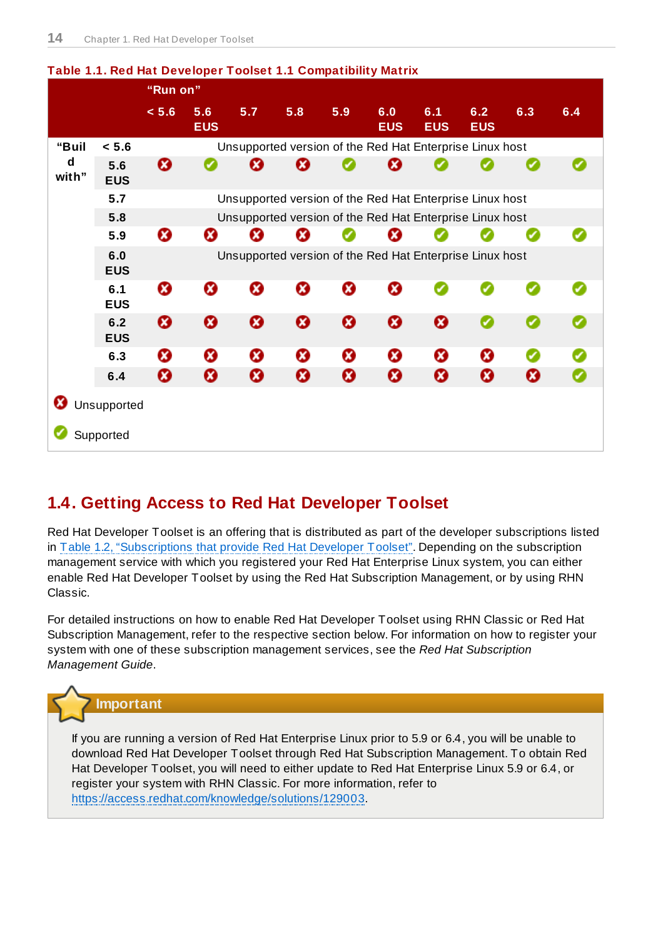|            |                   | "Run on" |                   |     | TWEE 1.1. INCRETIAL DUVULOPUL TOOISUL 1.1 COMPATIBILITY MALLIN |     |                   |                   |                                                          |     |     |
|------------|-------------------|----------|-------------------|-----|----------------------------------------------------------------|-----|-------------------|-------------------|----------------------------------------------------------|-----|-----|
|            |                   | < 5.6    | 5.6<br><b>EUS</b> | 5.7 | 5.8                                                            | 5.9 | 6.0<br><b>EUS</b> | 6.1<br><b>EUS</b> | 6.2<br><b>EUS</b>                                        | 6.3 | 6.4 |
| "Buil      | < 5.6             |          |                   |     |                                                                |     |                   |                   | Unsupported version of the Red Hat Enterprise Linux host |     |     |
| d<br>with" | 5.6<br><b>EUS</b> | Ø        |                   | ೞ   | ೞ                                                              |     | Ø                 |                   |                                                          |     |     |
|            | 5.7               |          |                   |     |                                                                |     |                   |                   | Unsupported version of the Red Hat Enterprise Linux host |     |     |
|            | 5.8               |          |                   |     |                                                                |     |                   |                   | Unsupported version of the Red Hat Enterprise Linux host |     |     |
|            | 5.9               | ೞ        | ೞ                 | ೞ   | æ                                                              |     | Ø                 |                   |                                                          |     |     |
|            | 6.0<br><b>EUS</b> |          |                   |     |                                                                |     |                   |                   | Unsupported version of the Red Hat Enterprise Linux host |     |     |
|            | 6.1<br><b>EUS</b> | ❻        | ೞ                 | ❻   | ೞ                                                              | ೞ   | ଊ                 |                   |                                                          |     |     |
|            | 6.2<br><b>EUS</b> | Ø        | ଊ                 | Ø   | Ø                                                              | Ø   | ೞ                 | ೞ                 | Ø                                                        |     |     |
|            | 6.3               | ೞ        | ೞ                 | ೞ   | ☎                                                              | ☎   | ೞ                 | ೞ                 | ೞ                                                        | Ø   | Ø   |
|            | 6.4               | Ø        | ೞ                 | Ø   | Ø                                                              | ଊ   | ଊ                 | ❻                 | ☺                                                        | ଊ   |     |
|            | Unsupported       |          |                   |     |                                                                |     |                   |                   |                                                          |     |     |
|            | Supported         |          |                   |     |                                                                |     |                   |                   |                                                          |     |     |

### <span id="page-13-1"></span><span id="page-13-0"></span>**Table 1.1. Red Hat Developer Toolset 1.1 Compatibility Matrix**

# **1.4. Getting Access to Red Hat Developer Toolset**

Red Hat Developer Toolset is an offering that is distributed as part of the developer subscriptions listed in Table 1.2, ["Subscriptions](#page-14-4) that provide Red Hat Developer Toolset". Depending on the subscription management service with which you registered your Red Hat Enterprise Linux system, you can either enable Red Hat Developer Toolset by using the Red Hat Subscription Management, or by using RHN Classic.

For detailed instructions on how to enable Red Hat Developer Toolset using RHN Classic or Red Hat Subscription Management, refer to the respective section below. For information on how to register your system with one of these subscription management services, see the *Red Hat Subscription Management Guide*.

# **Important**

If you are running a version of Red Hat Enterprise Linux prior to 5.9 or 6.4, you will be unable to download Red Hat Developer Toolset through Red Hat Subscription Management. To obtain Red Hat Developer Toolset, you will need to either update to Red Hat Enterprise Linux 5.9 or 6.4, or register your system with RHN Classic. For more information, refer to <https://access.redhat.com/knowledge/solutions/129003>.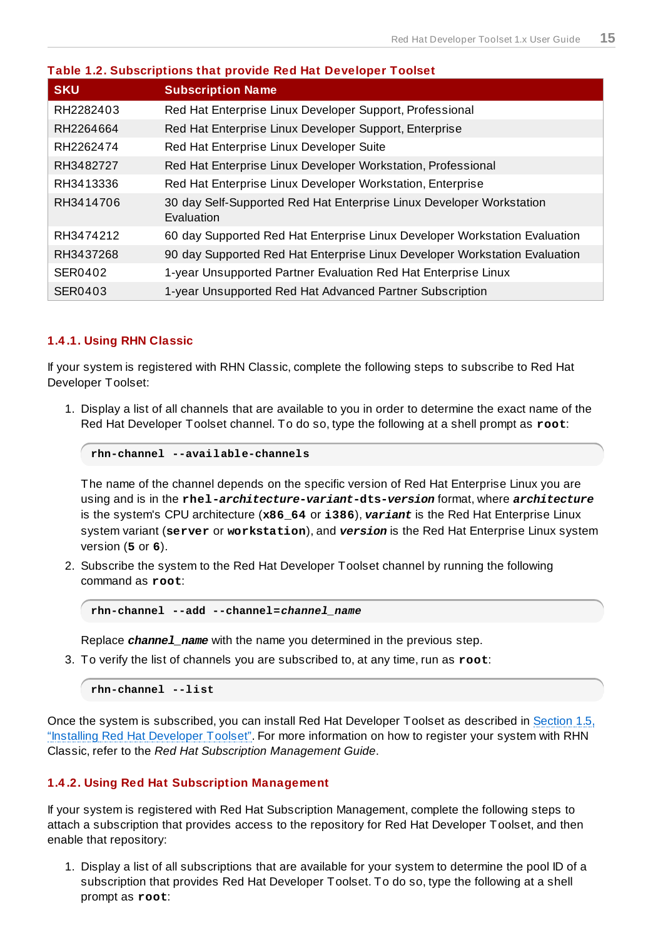| <b>SKU</b> | www.filet.componintent charged that have that between the coloci<br><b>Subscription Name</b> |
|------------|----------------------------------------------------------------------------------------------|
| RH2282403  | Red Hat Enterprise Linux Developer Support, Professional                                     |
| RH2264664  | Red Hat Enterprise Linux Developer Support, Enterprise                                       |
| RH2262474  | Red Hat Enterprise Linux Developer Suite                                                     |
| RH3482727  | Red Hat Enterprise Linux Developer Workstation, Professional                                 |
| RH3413336  | Red Hat Enterprise Linux Developer Workstation, Enterprise                                   |
| RH3414706  | 30 day Self-Supported Red Hat Enterprise Linux Developer Workstation<br>Evaluation           |
| RH3474212  | 60 day Supported Red Hat Enterprise Linux Developer Workstation Evaluation                   |
| RH3437268  | 90 day Supported Red Hat Enterprise Linux Developer Workstation Evaluation                   |
| SER0402    | 1-year Unsupported Partner Evaluation Red Hat Enterprise Linux                               |
| SER0403    | 1-year Unsupported Red Hat Advanced Partner Subscription                                     |

### <span id="page-14-4"></span><span id="page-14-2"></span><span id="page-14-1"></span><span id="page-14-0"></span>**Table 1.2. Subscriptions that provide Red Hat Developer Toolset**

### <span id="page-14-3"></span>**1.4 .1. Using RHN Classic**

If your system is registered with RHN Classic, complete the following steps to subscribe to Red Hat Developer Toolset:

1. Display a list of all channels that are available to you in order to determine the exact name of the Red Hat Developer Toolset channel. To do so, type the following at a shell prompt as **root**:

```
rhn-channel --available-channels
```
The name of the channel depends on the specific version of Red Hat Enterprise Linux you are using and is in the **rhel-***architecture***-***variant***-dts-***version* format, where *architecture* is the system's CPU architecture (**x86\_64** or **i386**), *variant* is the Red Hat Enterprise Linux system variant (**server** or **workstation**), and *version* is the Red Hat Enterprise Linux system version (**5** or **6**).

2. Subscribe the system to the Red Hat Developer Toolset channel by running the following command as **root**:

**rhn-channel --add --channel=***channel\_name*

Replace *channel\_name* with the name you determined in the previous step.

3. To verify the list of channels you are subscribed to, at any time, run as **root**:

**rhn-channel --list**

Once the system is [subscribed,](#page-16-0) you can install Red Hat Developer Toolset as described in Section 1.5, "Installing Red Hat Developer Toolset". For more information on how to register your system with RHN Classic, refer to the *Red Hat Subscription Management Guide*.

### **1.4 .2. Using Red Hat Subscription Management**

If your system is registered with Red Hat Subscription Management, complete the following steps to attach a subscription that provides access to the repository for Red Hat Developer Toolset, and then enable that repository:

1. Display a list of all subscriptions that are available for your system to determine the pool ID of a subscription that provides Red Hat Developer Toolset. To do so, type the following at a shell prompt as **root**: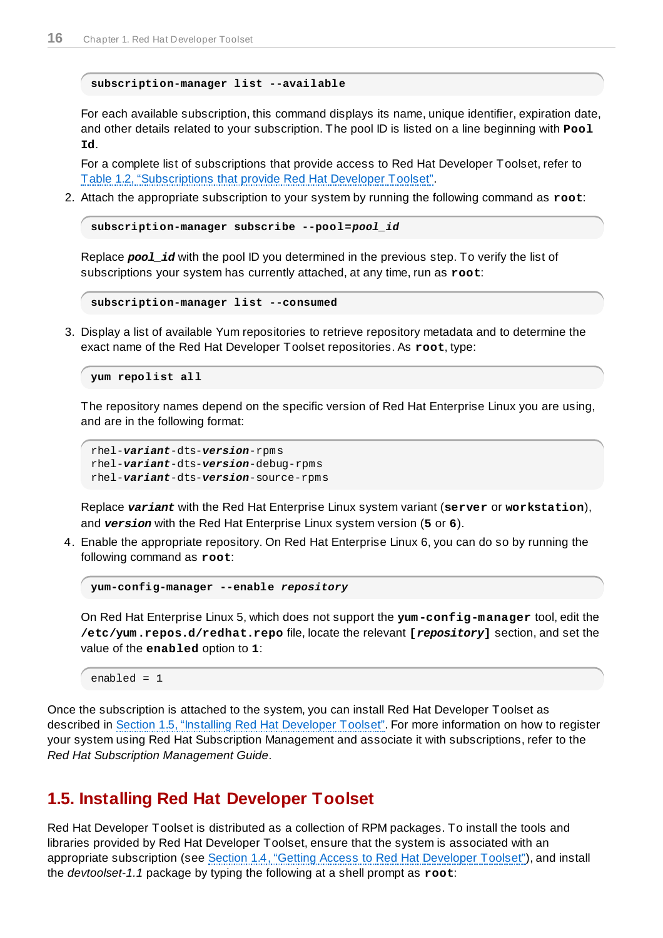#### <span id="page-15-0"></span>**subscription-manager list --available**

For each available subscription, this command displays its name, unique identifier, expiration date, and other details related to your subscription. The pool ID is listed on a line beginning with **Pool Id**.

For a complete list of subscriptions that provide access to Red Hat Developer Toolset, refer to Table 1.2, ["Subscriptions](#page-14-4) that provide Red Hat Developer Toolset".

2. Attach the appropriate subscription to your system by running the following command as **root**:

**subscription-manager subscribe --pool=***pool\_id*

Replace *pool\_id* with the pool ID you determined in the previous step. To verify the list of subscriptions your system has currently attached, at any time, run as **root**:

**subscription-manager list --consumed**

3. Display a list of available Yum repositories to retrieve repository metadata and to determine the exact name of the Red Hat Developer Toolset repositories. As **root**, type:

```
yum repolist all
```
The repository names depend on the specific version of Red Hat Enterprise Linux you are using, and are in the following format:

```
rhel-variant-dts-version-rpms
rhel-variant-dts-version-debug-rpms
rhel-variant-dts-version-source-rpms
```
Replace *variant* with the Red Hat Enterprise Linux system variant (**server** or **workstation**), and *version* with the Red Hat Enterprise Linux system version (**5** or **6**).

4. Enable the appropriate repository. On Red Hat Enterprise Linux 6, you can do so by running the following command as **root**:

**yum-config-manager --enable** *repository*

On Red Hat Enterprise Linux 5, which does not support the **yum-config-manager** tool, edit the **/etc/yum.repos.d/redhat.repo** file, locate the relevant **[***repository***]** section, and set the value of the **enabled** option to **1**:

enabled  $= 1$ 

Once the subscription is attached to the system, you can install Red Hat Developer Toolset as described in Section 1.5, "Installing Red Hat [Developer](#page-16-0) Toolset". For more information on how to register your system using Red Hat Subscription Management and associate it with subscriptions, refer to the *Red Hat Subscription Management Guide*.

### **1.5. Installing Red Hat Developer Toolset**

Red Hat Developer Toolset is distributed as a collection of RPM packages. To install the tools and libraries provided by Red Hat Developer Toolset, ensure that the system is associated with an appropriate subscription (see Section 1.4, "Getting Access to Red Hat [Developer](#page-14-2) Toolset"), and install the *devtoolset-1.1* package by typing the following at a shell prompt as **root**: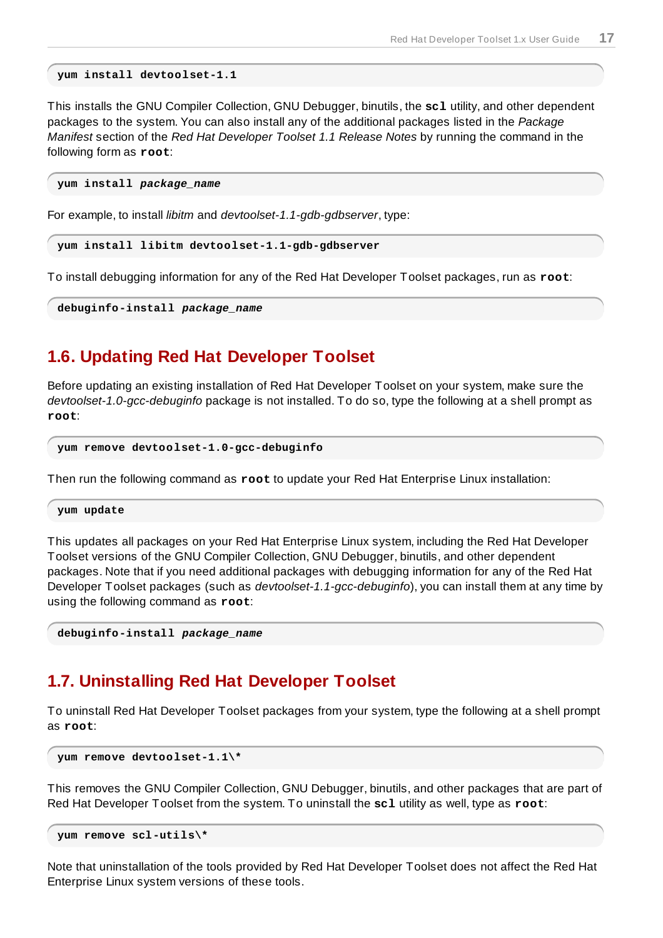#### <span id="page-16-0"></span>**yum install devtoolset-1.1**

This installs the GNU Compiler Collection, GNU Debugger, binutils, the **scl** utility, and other dependent packages to the system. You can also install any of the additional packages listed in the *Package Manifest* section of the *Red Hat Developer Toolset 1.1 Release Notes* by running the command in the following form as **root**:

**yum install** *package\_name*

For example, to install *libitm* and *devtoolset-1.1-gdb-gdbserver*, type:

**yum install libitm devtoolset-1.1-gdb-gdbserver**

To install debugging information for any of the Red Hat Developer Toolset packages, run as **root**:

**debuginfo-install** *package\_name*

### <span id="page-16-1"></span>**1.6. Updating Red Hat Developer Toolset**

Before updating an existing installation of Red Hat Developer Toolset on your system, make sure the *devtoolset-1.0-gcc-debuginfo* package is not installed. To do so, type the following at a shell prompt as **root**:

```
yum remove devtoolset-1.0-gcc-debuginfo
```
Then run the following command as **root** to update your Red Hat Enterprise Linux installation:

#### **yum update**

This updates all packages on your Red Hat Enterprise Linux system, including the Red Hat Developer Toolset versions of the GNU Compiler Collection, GNU Debugger, binutils, and other dependent packages. Note that if you need additional packages with debugging information for any of the Red Hat Developer Toolset packages (such as *devtoolset-1.1-gcc-debuginfo*), you can install them at any time by using the following command as **root**:

**debuginfo-install** *package\_name*

### <span id="page-16-2"></span>**1.7. Uninstalling Red Hat Developer Toolset**

To uninstall Red Hat Developer Toolset packages from your system, type the following at a shell prompt as **root**:

**yum remove devtoolset-1.1\\***

This removes the GNU Compiler Collection, GNU Debugger, binutils, and other packages that are part of Red Hat Developer Toolset from the system. To uninstall the **scl** utility as well, type as **root**:

**yum remove scl-utils\\***

Note that uninstallation of the tools provided by Red Hat Developer Toolset does not affect the Red Hat Enterprise Linux system versions of these tools.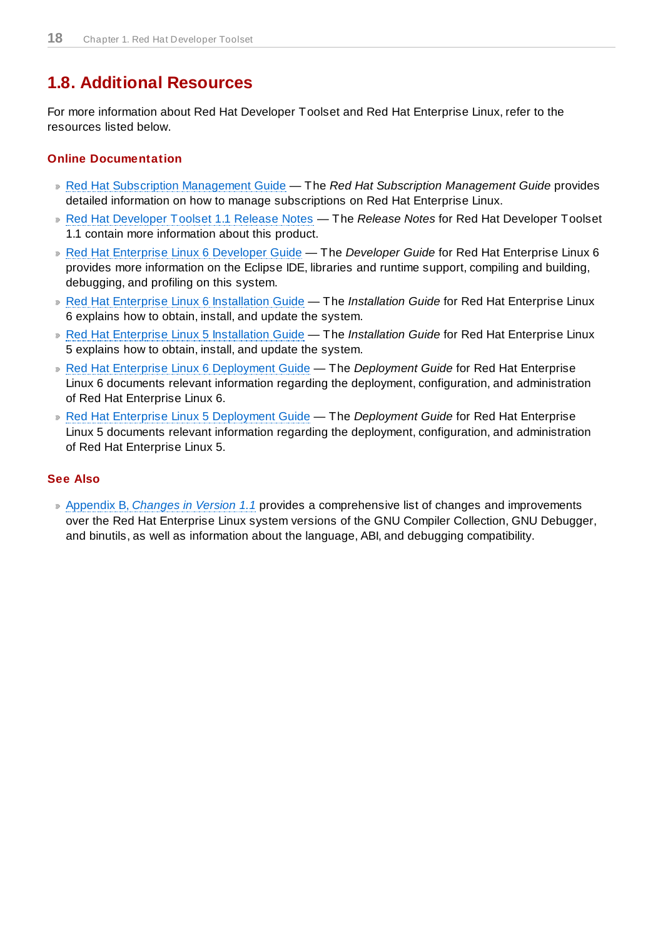### <span id="page-17-0"></span>**1.8. Additional Resources**

For more information about Red Hat Developer Toolset and Red Hat Enterprise Linux, refer to the resources listed below.

### **Online Documentation**

- Red Hat Subscription [Management](https://access.redhat.com/knowledge/docs/en-US/Red_Hat_Subscription_Management/1.0/html/Subscription_Management_Guide/index.html) Guide The *Red Hat Subscription Management Guide* provides detailed information on how to manage subscriptions on Red Hat Enterprise Linux.
- Red Hat [Developer](https://access.redhat.com/knowledge/docs/en-US/Red_Hat_Developer_Toolset/1/html-single/1.1_Release_Notes/index.html) Toolset 1.1 Release Notes The *Release Notes* for Red Hat Developer Toolset 1.1 contain more information about this product.
- Red Hat [Enterprise](https://access.redhat.com/knowledge/docs/en-US/Red_Hat_Enterprise_Linux/6/html/Developer_Guide/index.html) Linux 6 Developer Guide The *Developer Guide* for Red Hat Enterprise Linux 6 provides more information on the Eclipse IDE, libraries and runtime support, compiling and building, debugging, and profiling on this system.
- Red Hat Enterprise Linux 6 [Installation](https://access.redhat.com/knowledge/docs/en-US/Red_Hat_Enterprise_Linux/6/html/Installation_Guide/index.html) Guide The *Installation Guide* for Red Hat Enterprise Linux 6 explains how to obtain, install, and update the system.
- Red Hat Enterprise Linux 5 [Installation](https://access.redhat.com/knowledge/docs/en-US/Red_Hat_Enterprise_Linux/5/html/Installation_Guide/index.html) Guide The *Installation Guide* for Red Hat Enterprise Linux 5 explains how to obtain, install, and update the system.
- Red Hat Enterprise Linux 6 [Deployment](https://access.redhat.com/knowledge/docs/en-US/Red_Hat_Enterprise_Linux/6/html/Deployment_Guide/index.html) Guide The *Deployment Guide* for Red Hat Enterprise Linux 6 documents relevant information regarding the deployment, configuration, and administration of Red Hat Enterprise Linux 6.
- Red Hat Enterprise Linux 5 [Deployment](https://access.redhat.com/knowledge/docs/en-US/Red_Hat_Enterprise_Linux/5/html/Deployment_Guide/index.html) Guide The *Deployment Guide* for Red Hat Enterprise Linux 5 documents relevant information regarding the deployment, configuration, and administration of Red Hat Enterprise Linux 5.

### **See Also**

[Appendix](#page-93-0) B, *Changes in Version 1.1* provides a comprehensive list of changes and improvements over the Red Hat Enterprise Linux system versions of the GNU Compiler Collection, GNU Debugger, and binutils, as well as information about the language, ABI, and debugging compatibility.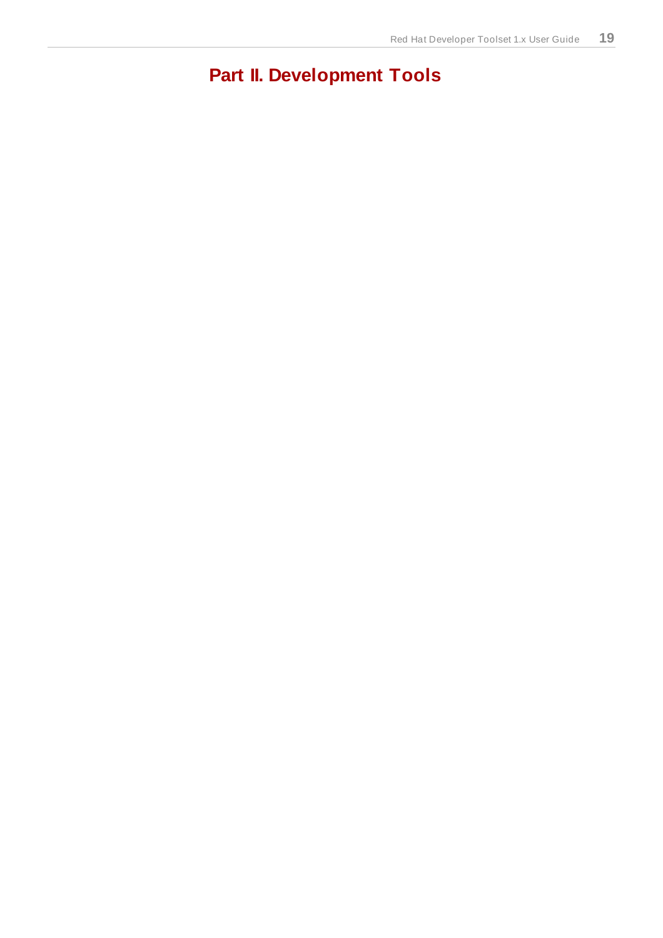# **Part II. Development Tools**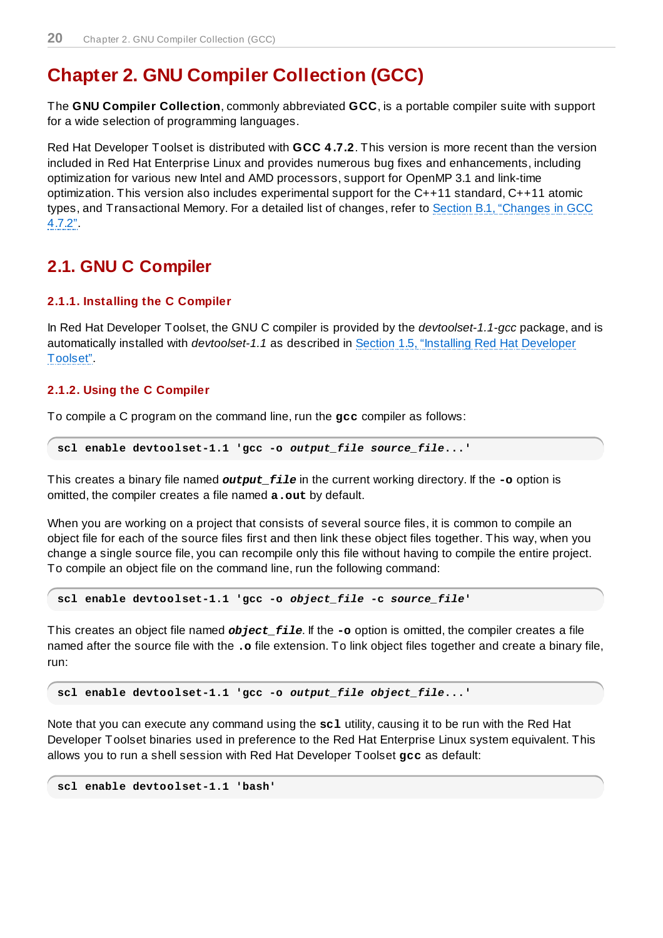# **Chapter 2. GNU Compiler Collection (GCC)**

The **GNU Compiler Collection**, commonly abbreviated **GCC**, is a portable compiler suite with support for a wide selection of programming languages.

Red Hat Developer Toolset is distributed with **GCC 4 .7.2**. This version is more recent than the version included in Red Hat Enterprise Linux and provides numerous bug fixes and enhancements, including optimization for various new Intel and AMD processors, support for OpenMP 3.1 and link-time optimization. This version also includes experimental support for the C++11 standard, C++11 atomic types, and [Transactional](#page-90-0) Memory. For a detailed list of changes, refer to Section B.1, "Changes in GCC 4.7.2".

### **2.1. GNU C Compiler**

### <span id="page-19-0"></span>**2.1.1. Installing the C Compiler**

In Red Hat Developer Toolset, the GNU C compiler is provided by the *devtoolset-1.1-gcc* package, and is automatically installed with *[devtoolset-1.1](#page-16-0)* as described in Section 1.5, "Installing Red Hat Developer Toolset".

### **2.1.2. Using the C Compiler**

To compile a C program on the command line, run the **gcc** compiler as follows:

**scl enable devtoolset-1.1 'gcc -o** *output\_file source\_file***...'**

This creates a binary file named *output\_file* in the current working directory. If the **-o** option is omitted, the compiler creates a file named **a.out** by default.

When you are working on a project that consists of several source files, it is common to compile an object file for each of the source files first and then link these object files together. This way, when you change a single source file, you can recompile only this file without having to compile the entire project. To compile an object file on the command line, run the following command:

**scl enable devtoolset-1.1 'gcc -o** *object\_file* **-c** *source\_file***'**

This creates an object file named *object\_file*. If the **-o** option is omitted, the compiler creates a file named after the source file with the **.o** file extension. To link object files together and create a binary file, run:

**scl enable devtoolset-1.1 'gcc -o** *output\_file object\_file***...'**

Note that you can execute any command using the **scl** utility, causing it to be run with the Red Hat Developer Toolset binaries used in preference to the Red Hat Enterprise Linux system equivalent. This allows you to run a shell session with Red Hat Developer Toolset **gcc** as default:

**scl enable devtoolset-1.1 'bash'**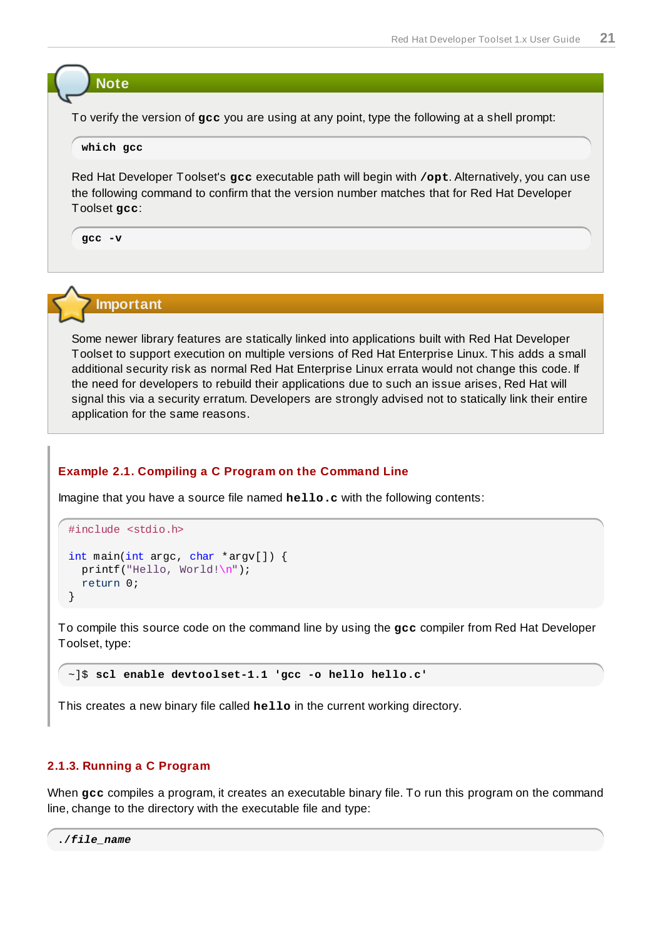### <span id="page-20-1"></span><span id="page-20-0"></span>**Note**

To verify the version of **gcc** you are using at any point, type the following at a shell prompt:

#### **which gcc**

Red Hat Developer Toolset's **gcc** executable path will begin with **/opt**. Alternatively, you can use the following command to confirm that the version number matches that for Red Hat Developer Toolset **gcc**:

**gcc -v**



Some newer library features are statically linked into applications built with Red Hat Developer Toolset to support execution on multiple versions of Red Hat Enterprise Linux. This adds a small additional security risk as normal Red Hat Enterprise Linux errata would not change this code. If the need for developers to rebuild their applications due to such an issue arises, Red Hat will signal this via a security erratum. Developers are strongly advised not to statically link their entire application for the same reasons.

### <span id="page-20-2"></span>**Example 2.1. Compiling a C Program on the Command Line**

Imagine that you have a source file named **hello.c** with the following contents:

```
#include <stdio.h>
int main(int argc, char *argv[]) {
  printf("Hello, World!\n");
  return 0;
}
```
To compile this source code on the command line by using the **gcc** compiler from Red Hat Developer Toolset, type:

~]\$ **scl enable devtoolset-1.1 'gcc -o hello hello.c'**

This creates a new binary file called **hello** in the current working directory.

#### **2.1.3. Running a C Program**

When **gcc** compiles a program, it creates an executable binary file. To run this program on the command line, change to the directory with the executable file and type:

```
./file_name
```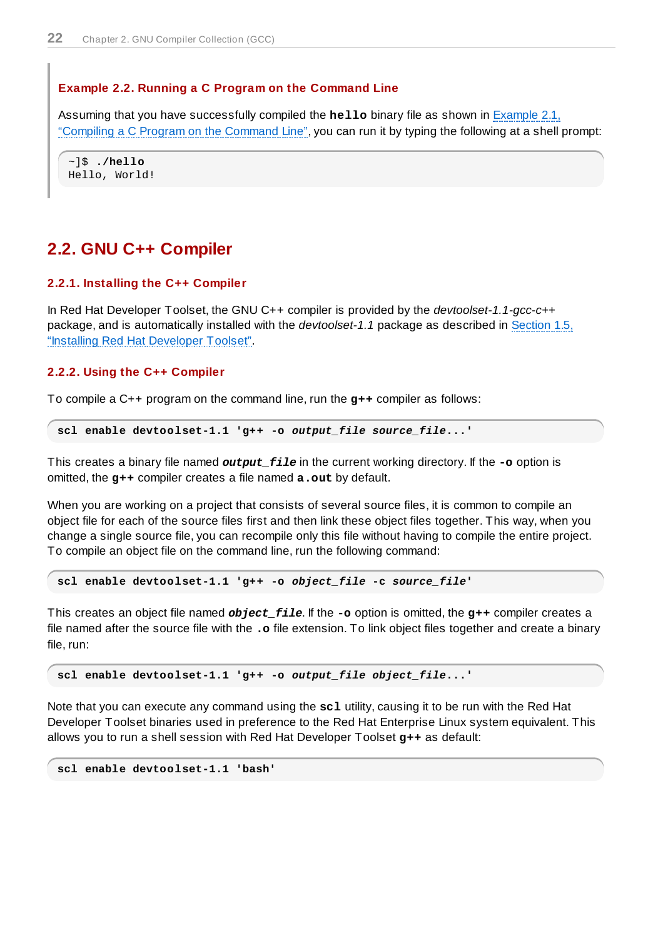### <span id="page-21-0"></span>**Example 2.2. Running a C Program on the Command Line**

Assuming that you have [successfully](#page-20-2) compiled the **hello** binary file as shown in Example 2.1, "Compiling a C Program on the Command Line", you can run it by typing the following at a shell prompt:

```
~]$ ./hello
Hello, World!
```
### **2.2. GNU C++ Compiler**

### <span id="page-21-1"></span>**2.2.1. Installing the C++ Compiler**

In Red Hat Developer Toolset, the GNU C++ compiler is provided by the *devtoolset-1.1-gcc-c++* package, and is automatically installed with the *[devtoolset-1.1](#page-16-0)* package as described in Section 1.5, "Installing Red Hat Developer Toolset".

### **2.2.2. Using the C++ Compiler**

To compile a C++ program on the command line, run the **g++** compiler as follows:

**scl enable devtoolset-1.1 'g++ -o** *output\_file source\_file***...'**

This creates a binary file named *output\_file* in the current working directory. If the **-o** option is omitted, the **g++** compiler creates a file named **a.out** by default.

When you are working on a project that consists of several source files, it is common to compile an object file for each of the source files first and then link these object files together. This way, when you change a single source file, you can recompile only this file without having to compile the entire project. To compile an object file on the command line, run the following command:

**scl enable devtoolset-1.1 'g++ -o** *object\_file* **-c** *source\_file***'**

This creates an object file named *object\_file*. If the **-o** option is omitted, the **g++** compiler creates a file named after the source file with the **.o** file extension. To link object files together and create a binary file, run:

**scl enable devtoolset-1.1 'g++ -o** *output\_file object\_file***...'**

Note that you can execute any command using the **scl** utility, causing it to be run with the Red Hat Developer Toolset binaries used in preference to the Red Hat Enterprise Linux system equivalent. This allows you to run a shell session with Red Hat Developer Toolset **g++** as default:

**scl enable devtoolset-1.1 'bash'**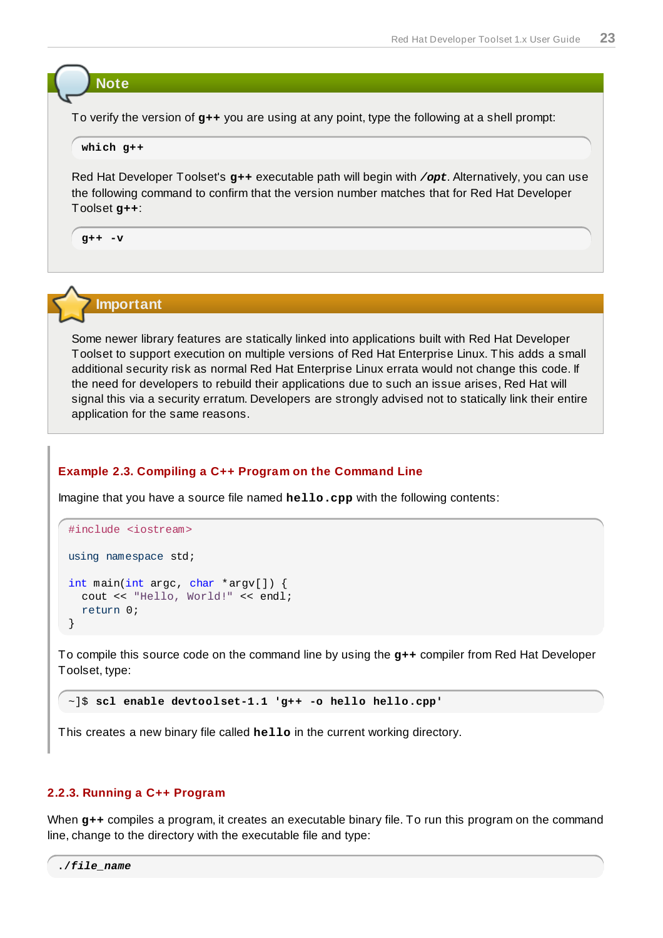### <span id="page-22-2"></span><span id="page-22-1"></span><span id="page-22-0"></span>**Note**

To verify the version of **g++** you are using at any point, type the following at a shell prompt:

#### **which g++**

Red Hat Developer Toolset's **g++** executable path will begin with */opt*. Alternatively, you can use the following command to confirm that the version number matches that for Red Hat Developer Toolset **g++**:

**g++ -v**



Some newer library features are statically linked into applications built with Red Hat Developer Toolset to support execution on multiple versions of Red Hat Enterprise Linux. This adds a small additional security risk as normal Red Hat Enterprise Linux errata would not change this code. If the need for developers to rebuild their applications due to such an issue arises, Red Hat will signal this via a security erratum. Developers are strongly advised not to statically link their entire application for the same reasons.

#### <span id="page-22-3"></span>**Example 2.3. Compiling a C++ Program on the Command Line**

Imagine that you have a source file named **hello.cpp** with the following contents:

```
#include <iostream>
using namespace std;
int main(int argc, char *argv[]) {
  cout << "Hello, World!" << endl;
  return 0;
}
```
To compile this source code on the command line by using the **g++** compiler from Red Hat Developer Toolset, type:

~]\$ **scl enable devtoolset-1.1 'g++ -o hello hello.cpp'**

This creates a new binary file called **hello** in the current working directory.

#### **2.2.3. Running a C++ Program**

When  $g++$  compiles a program, it creates an executable binary file. To run this program on the command line, change to the directory with the executable file and type:

```
./file_name
```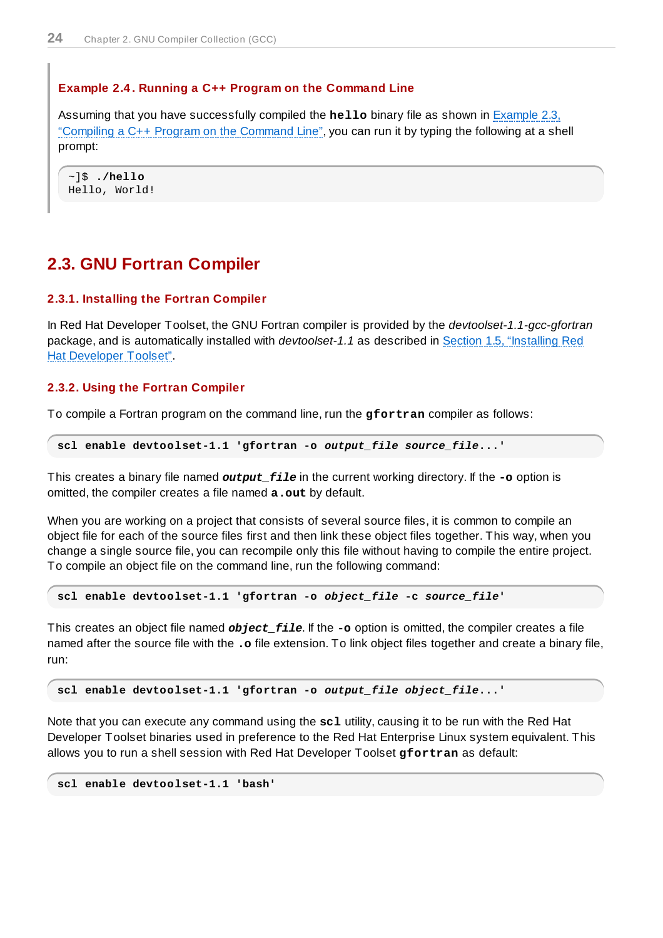### <span id="page-23-0"></span>**Example 2.4 . Running a C++ Program on the Command Line**

Assuming that you have [successfully](#page-22-3) compiled the **hello** binary file as shown in Example 2.3, "Compiling a C++ Program on the Command Line", you can run it by typing the following at a shell prompt:

~]\$ **./hello** Hello, World!

### **2.3. GNU Fortran Compiler**

### <span id="page-23-1"></span>**2.3.1. Installing the Fortran Compiler**

In Red Hat Developer Toolset, the GNU Fortran compiler is provided by the *devtoolset-1.1-gcc-gfortran* package, and is automatically installed with *[devtoolset-1.1](#page-16-0)* as described in Section 1.5, "Installing Red Hat Developer Toolset".

### **2.3.2. Using the Fortran Compiler**

To compile a Fortran program on the command line, run the **gfortran** compiler as follows:

```
scl enable devtoolset-1.1 'gfortran -o output_file source_file...'
```
This creates a binary file named *output\_file* in the current working directory. If the **-o** option is omitted, the compiler creates a file named **a.out** by default.

When you are working on a project that consists of several source files, it is common to compile an object file for each of the source files first and then link these object files together. This way, when you change a single source file, you can recompile only this file without having to compile the entire project. To compile an object file on the command line, run the following command:

**scl enable devtoolset-1.1 'gfortran -o** *object\_file* **-c** *source\_file***'**

This creates an object file named *object\_file*. If the **-o** option is omitted, the compiler creates a file named after the source file with the **.o** file extension. To link object files together and create a binary file, run:

**scl enable devtoolset-1.1 'gfortran -o** *output\_file object\_file***...'**

Note that you can execute any command using the **scl** utility, causing it to be run with the Red Hat Developer Toolset binaries used in preference to the Red Hat Enterprise Linux system equivalent. This allows you to run a shell session with Red Hat Developer Toolset **gfortran** as default:

**scl enable devtoolset-1.1 'bash'**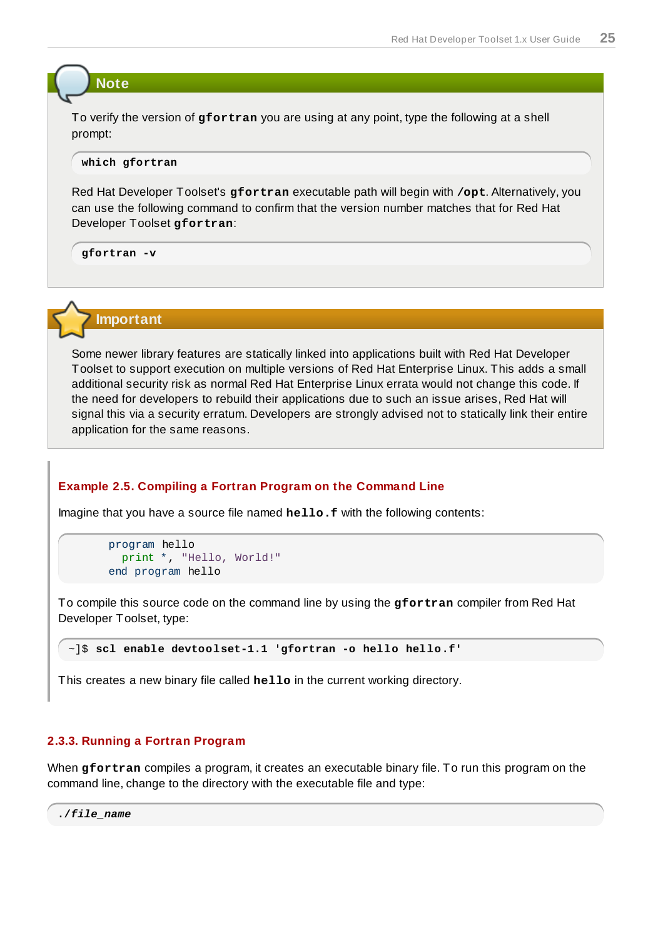### <span id="page-24-1"></span><span id="page-24-0"></span>**Note**

To verify the version of **gfortran** you are using at any point, type the following at a shell prompt:

#### **which gfortran**

Red Hat Developer Toolset's **gfortran** executable path will begin with **/opt**. Alternatively, you can use the following command to confirm that the version number matches that for Red Hat Developer Toolset **gfortran**:

**gfortran -v**

**Important**

Some newer library features are statically linked into applications built with Red Hat Developer Toolset to support execution on multiple versions of Red Hat Enterprise Linux. This adds a small additional security risk as normal Red Hat Enterprise Linux errata would not change this code. If the need for developers to rebuild their applications due to such an issue arises, Red Hat will signal this via a security erratum. Developers are strongly advised not to statically link their entire application for the same reasons.

### <span id="page-24-2"></span>**Example 2.5. Compiling a Fortran Program on the Command Line**

Imagine that you have a source file named **hello.f** with the following contents:

```
program hello
 print *, "Hello, World!"
end program hello
```
To compile this source code on the command line by using the **gfortran** compiler from Red Hat Developer Toolset, type:

~]\$ **scl enable devtoolset-1.1 'gfortran -o hello hello.f'**

This creates a new binary file called **hello** in the current working directory.

### **2.3.3. Running a Fortran Program**

When **gfortran** compiles a program, it creates an executable binary file. To run this program on the command line, change to the directory with the executable file and type:

```
./file_name
```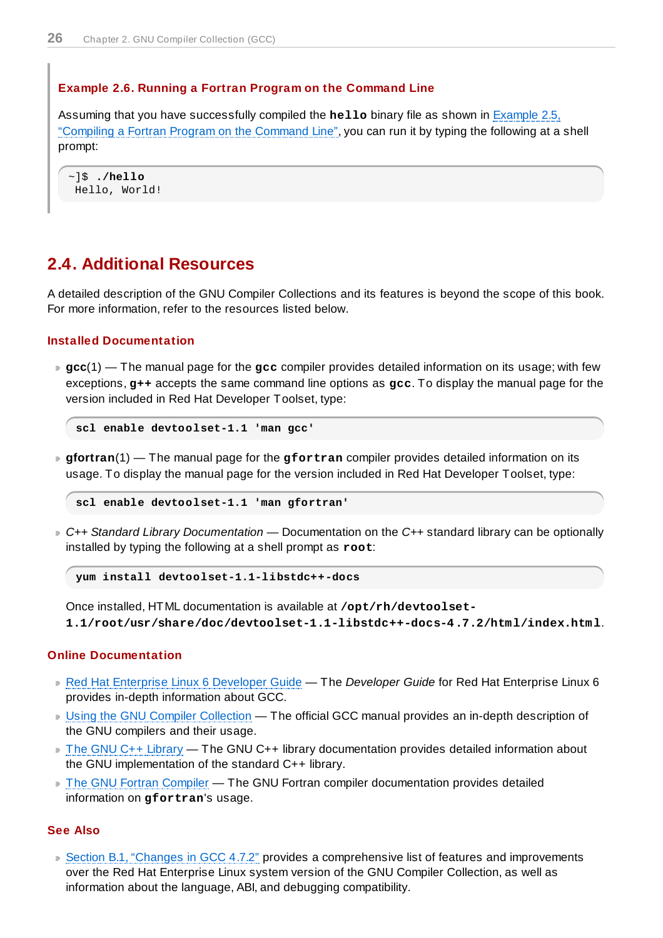### <span id="page-25-0"></span>**Example 2.6. Running a Fortran Program on the Command Line**

Assuming that you have [successfully](#page-24-2) compiled the **hello** binary file as shown in Example 2.5, "Compiling a Fortran Program on the Command Line", you can run it by typing the following at a shell prompt:

```
~]$ ./hello
 Hello, World!
```
### <span id="page-25-1"></span>**2.4. Additional Resources**

A detailed description of the GNU Compiler Collections and its features is beyond the scope of this book. For more information, refer to the resources listed below.

### **Installed Documentation**

**gcc**(1) — The manual page for the **gcc** compiler provides detailed information on its usage; with few exceptions, **g++** accepts the same command line options as **gcc**. To display the manual page for the version included in Red Hat Developer Toolset, type:

**scl enable devtoolset-1.1 'man gcc'**

**gfortran**(1) — The manual page for the **gfortran** compiler provides detailed information on its usage. To display the manual page for the version included in Red Hat Developer Toolset, type:

**scl enable devtoolset-1.1 'man gfortran'**

*C++ Standard Library Documentation* — Documentation on the *C++* standard library can be optionally installed by typing the following at a shell prompt as **root**:

**yum install devtoolset-1.1-libstdc++-docs**

Once installed, HTML documentation is available at **/opt/rh/devtoolset-1.1/root/usr/share/doc/devtoolset-1.1-libstdc++-docs-4.7.2/html/index.html**.

### **Online Documentation**

- Red Hat [Enterprise](https://docs.redhat.com/docs/en-US/Red_Hat_Enterprise_Linux/6/html/Developer_Guide/index.html) Linux 6 Developer Guide The *Developer Guide* for Red Hat Enterprise Linux 6 provides in-depth information about GCC.
- Using the GNU Compiler [Collection](http://gcc.gnu.org/onlinedocs/gcc-4.7.2/gcc/) The official GCC manual provides an in-depth description of the GNU compilers and their usage.
- The GNU C++ [Library](http://gcc.gnu.org/onlinedocs/gcc-4.7.2/libstdc++/manual/) The GNU C++ library documentation provides detailed information about the GNU implementation of the standard C++ library.
- The GNU Fortran [Compiler](http://gcc.gnu.org/onlinedocs/gcc-4.7.2/gfortran/) The GNU Fortran compiler documentation provides detailed information on **gfortran**'s usage.

### **See Also**

Section B.1, ["Changes](#page-90-0) in GCC 4.7.2" provides a comprehensive list of features and improvements over the Red Hat Enterprise Linux system version of the GNU Compiler Collection, as well as information about the language, ABI, and debugging compatibility.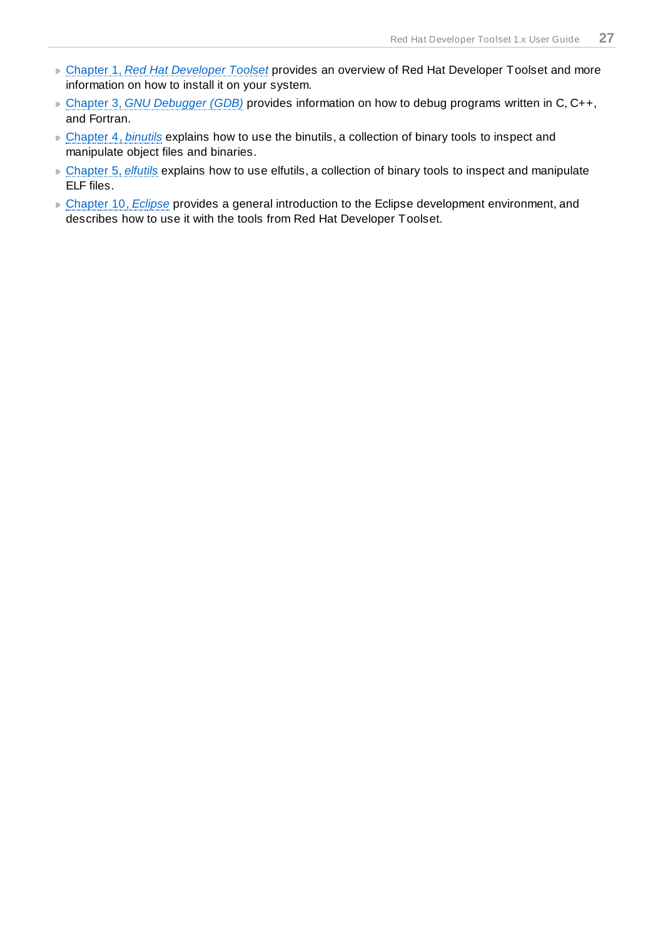- Chapter 1, *Red Hat [Developer](#page-14-1) Toolset* provides an overview of Red Hat Developer Toolset and more information on how to install it on your system.
- Chapter 3, *GNU [Debugger](#page-30-1) (GDB)* provides information on how to debug programs written in C, C++, and Fortran.
- **[Chapter](#page-36-0) 4,** *binutils* explains how to use the binutils, a collection of binary tools to inspect and manipulate object files and binaries.
- [Chapter](#page-39-0) 5, *elfutils* explains how to use elfutils, a collection of binary tools to inspect and manipulate ELF files.
- [Chapter](#page-55-1) 10, *Eclipse* provides a general introduction to the Eclipse development environment, and describes how to use it with the tools from Red Hat Developer Toolset.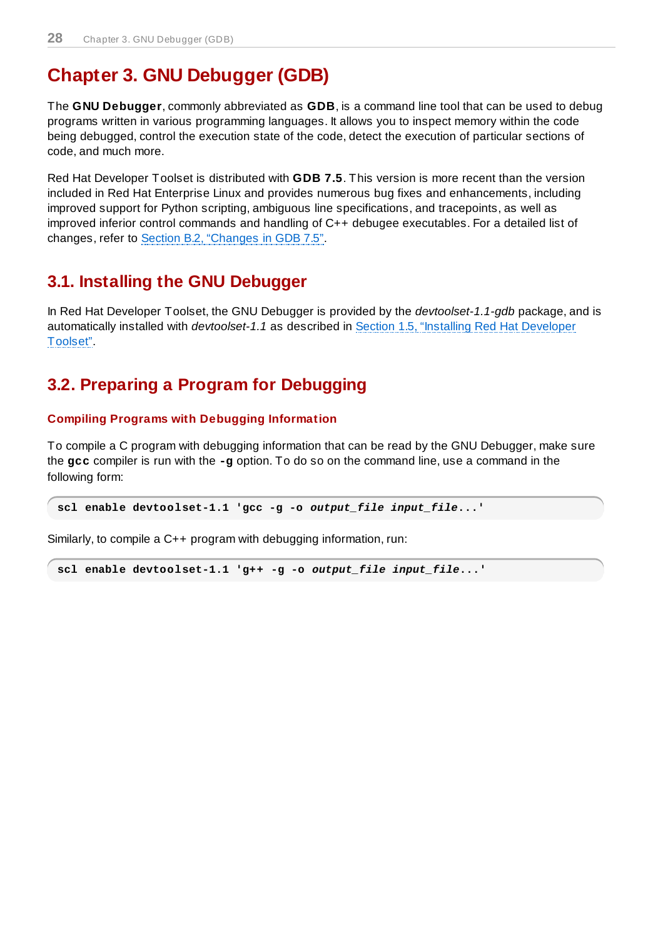# **Chapter 3. GNU Debugger (GDB)**

The **GNU Debugger**, commonly abbreviated as **GDB**, is a command line tool that can be used to debug programs written in various programming languages. It allows you to inspect memory within the code being debugged, control the execution state of the code, detect the execution of particular sections of code, and much more.

Red Hat Developer Toolset is distributed with **GDB 7.5**. This version is more recent than the version included in Red Hat Enterprise Linux and provides numerous bug fixes and enhancements, including improved support for Python scripting, ambiguous line specifications, and tracepoints, as well as improved inferior control commands and handling of C++ debugee executables. For a detailed list of changes, refer to Section B.2, ["Changes](#page-93-1) in GDB 7.5".

### <span id="page-27-0"></span>**3.1. Installing the GNU Debugger**

In Red Hat Developer Toolset, the GNU Debugger is provided by the *devtoolset-1.1-gdb* package, and is automatically installed with *[devtoolset-1.1](#page-16-0)* as described in Section 1.5, "Installing Red Hat Developer Toolset".

### **3.2. Preparing a Program for Debugging**

### **Compiling Programs with Debugging Information**

To compile a C program with debugging information that can be read by the GNU Debugger, make sure the **gcc** compiler is run with the **-g** option. To do so on the command line, use a command in the following form:

**scl enable devtoolset-1.1 'gcc -g -o** *output\_file input\_file***...'**

Similarly, to compile a C++ program with debugging information, run:

**scl enable devtoolset-1.1 'g++ -g -o** *output\_file input\_file***...'**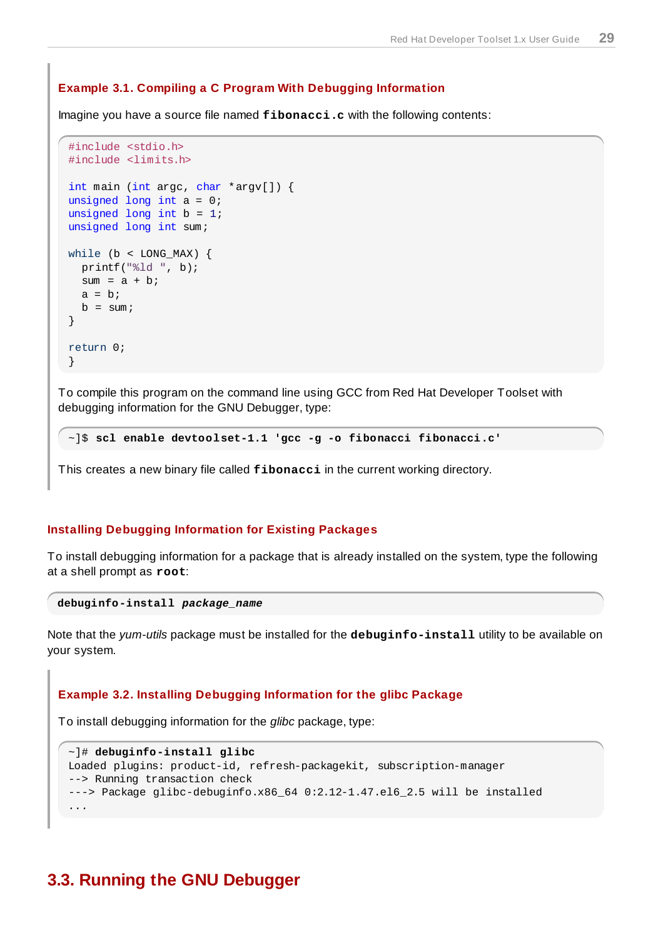#### <span id="page-28-1"></span><span id="page-28-0"></span>**Example 3.1. Compiling a C Program With Debugging Information**

Imagine you have a source file named **fibonacci.c** with the following contents:

```
#include <stdio.h>
#include <limits.h>
int main (int argc, char *argv[]) {
unsigned long int a = 0;
unsigned long int b = 1;
unsigned long int sum;
while (b < LONG MAX) {
  printf("%ld ", b);
  sum = a + b;
  a = b:
  b = sum}
return 0;
}
```
To compile this program on the command line using GCC from Red Hat Developer Toolset with debugging information for the GNU Debugger, type:

~]\$ **scl enable devtoolset-1.1 'gcc -g -o fibonacci fibonacci.c'**

This creates a new binary file called **fibonacci** in the current working directory.

#### **Installing Debugging Information for Existing Packages**

To install debugging information for a package that is already installed on the system, type the following at a shell prompt as **root**:

**debuginfo-install** *package\_name*

Note that the *yum-utils* package must be installed for the **debuginfo-install** utility to be available on your system.

#### **Example 3.2. Installing Debugging Information for the glibc Package**

To install debugging information for the *glibc* package, type:

```
~]# debuginfo-install glibc
Loaded plugins: product-id, refresh-packagekit, subscription-manager
--> Running transaction check
---> Package glibc-debuginfo.x86_64 0:2.12-1.47.el6_2.5 will be installed
...
```
### **3.3. Running the GNU Debugger**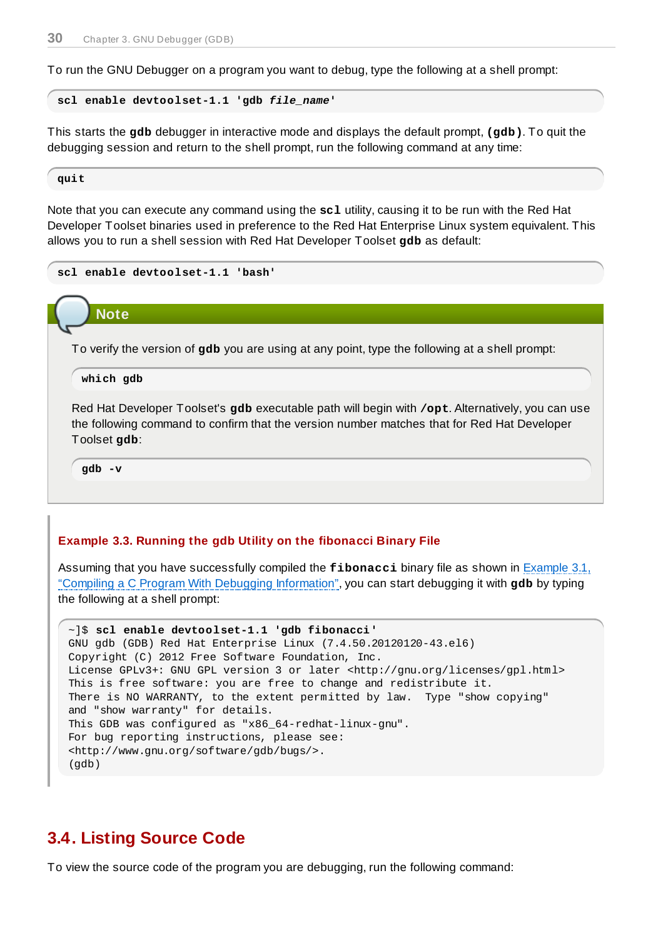<span id="page-29-0"></span>To run the GNU Debugger on a program you want to debug, type the following at a shell prompt:

```
scl enable devtoolset-1.1 'gdb file_name'
```
This starts the **gdb** debugger in interactive mode and displays the default prompt, **(gdb)**. To quit the debugging session and return to the shell prompt, run the following command at any time:

#### **quit**

Note that you can execute any command using the **scl** utility, causing it to be run with the Red Hat Developer Toolset binaries used in preference to the Red Hat Enterprise Linux system equivalent. This allows you to run a shell session with Red Hat Developer Toolset **gdb** as default:

```
scl enable devtoolset-1.1 'bash'
```
**Note**

To verify the version of **gdb** you are using at any point, type the following at a shell prompt:

**which gdb**

Red Hat Developer Toolset's **gdb** executable path will begin with **/opt**. Alternatively, you can use the following command to confirm that the version number matches that for Red Hat Developer Toolset **gdb**:

**gdb -v**

### **Example 3.3. Running the gdb Utility on the fibonacci Binary File**

Assuming that you have successfully compiled the **[fibonacci](#page-28-1)** binary file as shown in Example 3.1, "Compiling a C Program With Debugging Information", you can start debugging it with **gdb** by typing the following at a shell prompt:

```
~]$ scl enable devtoolset-1.1 'gdb fibonacci'
GNU gdb (GDB) Red Hat Enterprise Linux (7.4.50.20120120-43.el6)
Copyright (C) 2012 Free Software Foundation, Inc.
License GPLv3+: GNU GPL version 3 or later <http://gnu.org/licenses/gpl.html>
This is free software: you are free to change and redistribute it.
There is NO WARRANTY, to the extent permitted by law. Type "show copying"
and "show warranty" for details.
This GDB was configured as "x86_64-redhat-linux-gnu".
For bug reporting instructions, please see:
<http://www.gnu.org/software/gdb/bugs/>.
(gdb)
```
### **3.4. Listing Source Code**

To view the source code of the program you are debugging, run the following command: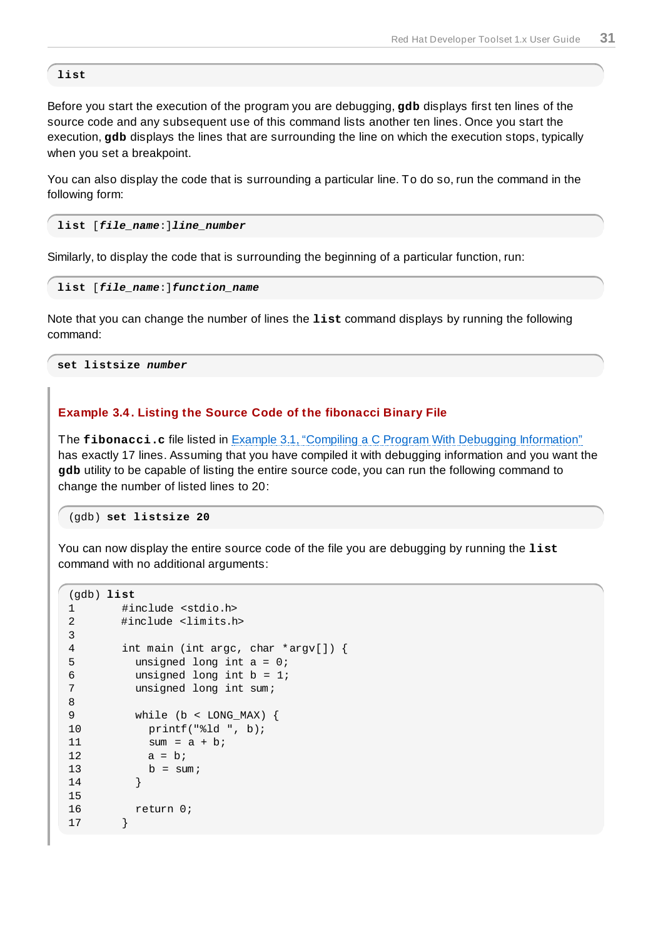### <span id="page-30-2"></span><span id="page-30-1"></span><span id="page-30-0"></span>**list**

Before you start the execution of the program you are debugging, **gdb** displays first ten lines of the source code and any subsequent use of this command lists another ten lines. Once you start the execution, **gdb** displays the lines that are surrounding the line on which the execution stops, typically when you set a breakpoint.

You can also display the code that is surrounding a particular line. To do so, run the command in the following form:

#### **list** [*file\_name*:]*line\_number*

Similarly, to display the code that is surrounding the beginning of a particular function, run:

```
list [file_name:]function_name
```
Note that you can change the number of lines the **list** command displays by running the following command:

### **set listsize** *number*

### **Example 3.4 . Listing the Source Code of the fibonacci Binary File**

The **fibonacci.c** file listed in Example 3.1, "Compiling a C Program With Debugging [Information"](#page-28-1) has exactly 17 lines. Assuming that you have compiled it with debugging information and you want the **gdb** utility to be capable of listing the entire source code, you can run the following command to change the number of listed lines to 20:

#### (gdb) **set listsize 20**

You can now display the entire source code of the file you are debugging by running the **list** command with no additional arguments:

```
(gdb) list
1 #include <stdio.h>
2 #include <limits.h>
3
4 int main (int argc, char *argv[]) {
5 unsigned long int a = 0;
6 unsigned long int b = 1;
7 unsigned long int sum;
8
9 while (b < LONG_MAX) {
10 printf("%ld ", b);
11 sum = a + b;12 a = b;
13 b = sum;
14 }
15
16 return 0;
17 }
```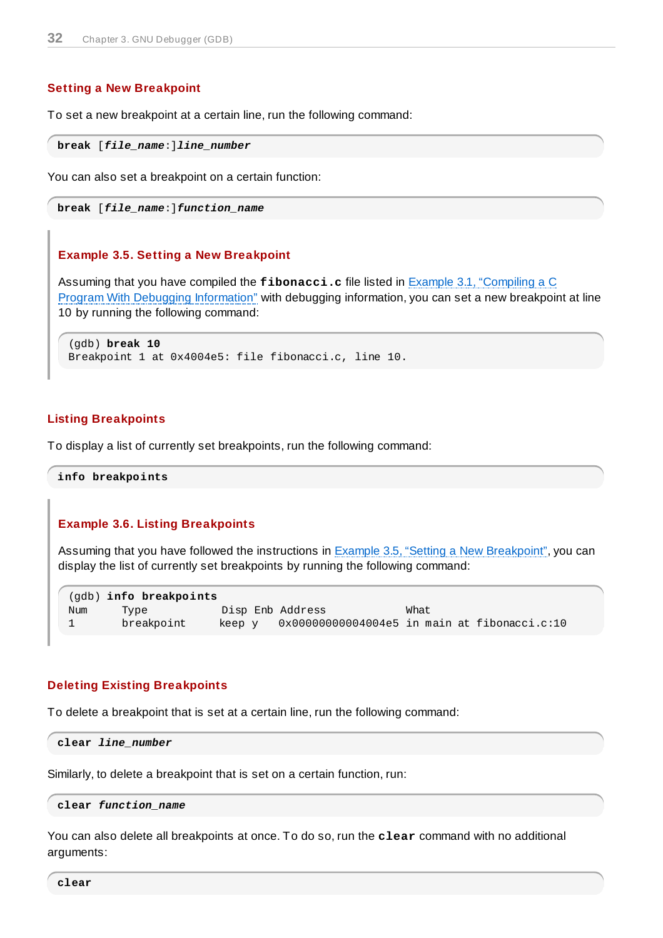#### <span id="page-31-0"></span>**Setting a New Breakpoint**

To set a new breakpoint at a certain line, run the following command:

```
break [file_name:]line_number
```
You can also set a breakpoint on a certain function:

```
break [file_name:]function_name
```
#### <span id="page-31-1"></span>**Example 3.5. Setting a New Breakpoint**

Assuming that you have compiled the **[fibonacci.c](#page-28-1)** file listed in Example 3.1, "Compiling a C Program With Debugging Information" with debugging information, you can set a new breakpoint at line 10 by running the following command:

```
(gdb) break 10
Breakpoint 1 at 0x4004e5: file fibonacci.c, line 10.
```
### **Listing Breakpoints**

To display a list of currently set breakpoints, run the following command:

#### **info breakpoints**

#### **Example 3.6. Listing Breakpoints**

Assuming that you have followed the instructions in Example 3.5, "Setting a New [Breakpoint"](#page-31-1), you can display the list of currently set breakpoints by running the following command:

```
(gdb) info breakpoints
Num Type Disp Enb Address What
1 breakpoint keep y 0x00000000004004e5 in main at fibonacci.c:10
```
#### **Deleting Existing Breakpoints**

To delete a breakpoint that is set at a certain line, run the following command:

**clear** *line\_number*

Similarly, to delete a breakpoint that is set on a certain function, run:

#### **clear** *function\_name*

You can also delete all breakpoints at once. To do so, run the **clear** command with no additional arguments: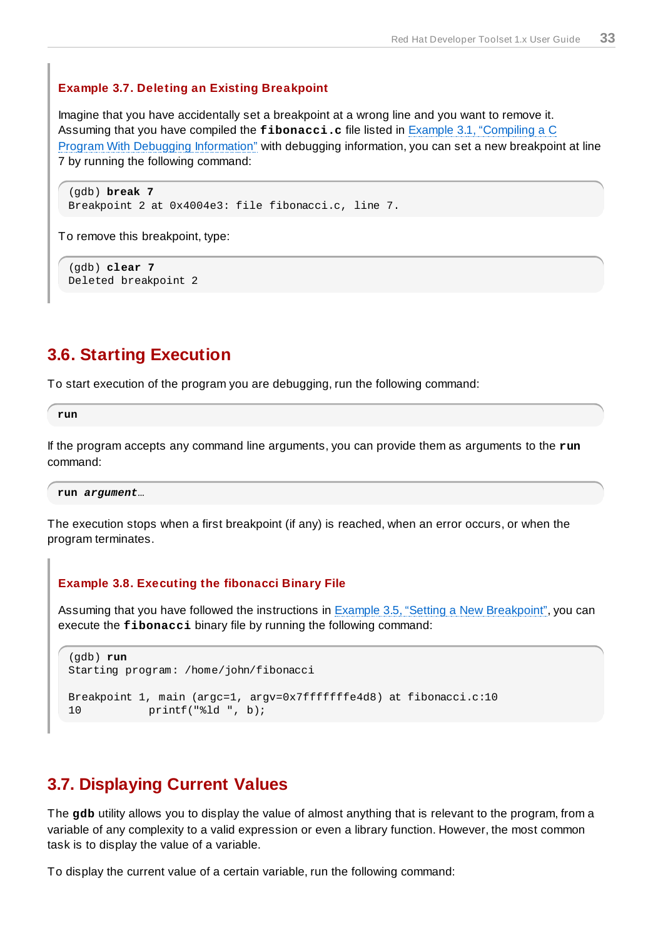### **Example 3.7. Deleting an Existing Breakpoint**

Imagine that you have accidentally set a breakpoint at a wrong line and you want to remove it. Assuming that you have compiled the **[fibonacci.c](#page-28-1)** file listed in Example 3.1, "Compiling a C Program With Debugging Information" with debugging information, you can set a new breakpoint at line 7 by running the following command:

```
(gdb) break 7
Breakpoint 2 at 0x4004e3: file fibonacci.c, line 7.
```
To remove this breakpoint, type:

(gdb) **clear 7** Deleted breakpoint 2

### <span id="page-32-0"></span>**3.6. Starting Execution**

To start execution of the program you are debugging, run the following command:

**run**

If the program accepts any command line arguments, you can provide them as arguments to the **run** command:

**run** *argument*…

The execution stops when a first breakpoint (if any) is reached, when an error occurs, or when the program terminates.

#### <span id="page-32-1"></span>**Example 3.8. Executing the fibonacci Binary File**

Assuming that you have followed the instructions in Example 3.5, "Setting a New [Breakpoint"](#page-31-1), you can execute the **fibonacci** binary file by running the following command:

```
(gdb) run
Starting program: /home/john/fibonacci
Breakpoint 1, main (argc=1, argv=0x7fffffffe4d8) at fibonacci.c:10
10 printf("%ld ", b);
```
### **3.7. Displaying Current Values**

The **gdb** utility allows you to display the value of almost anything that is relevant to the program, from a variable of any complexity to a valid expression or even a library function. However, the most common task is to display the value of a variable.

To display the current value of a certain variable, run the following command: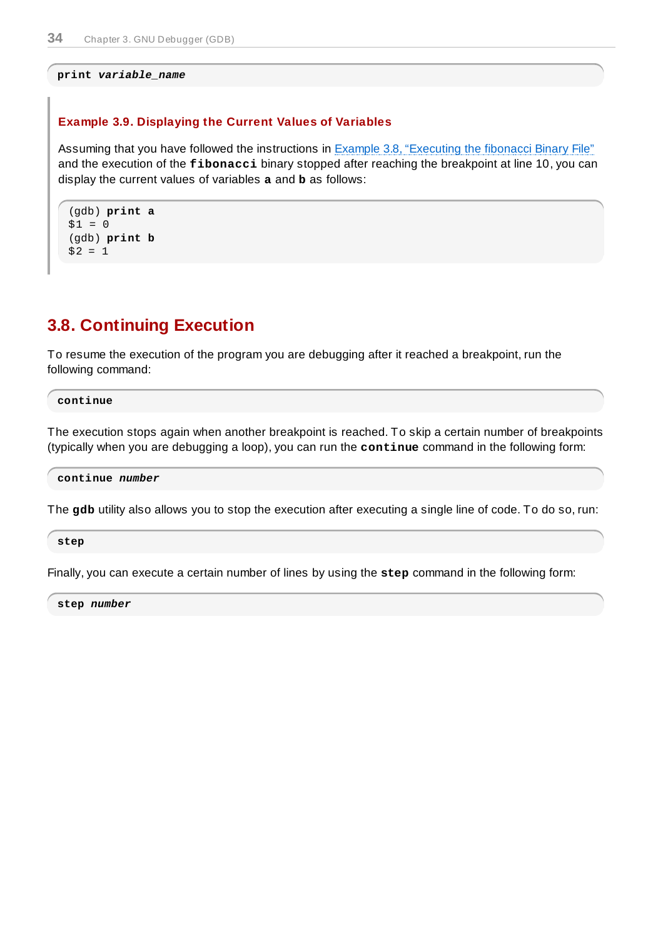#### <span id="page-33-0"></span>**print** *variable\_name*

#### **Example 3.9. Displaying the Current Values of Variables**

Assuming that you have followed the instructions in Example 3.8, ["Executing](#page-32-1) the fibonacci Binary File" and the execution of the **fibonacci** binary stopped after reaching the breakpoint at line 10, you can display the current values of variables **a** and **b** as follows:

```
(gdb) print a
$1 = 0(gdb) print b
$2 = 1
```
### **3.8. Continuing Execution**

To resume the execution of the program you are debugging after it reached a breakpoint, run the following command:

**continue**

The execution stops again when another breakpoint is reached. To skip a certain number of breakpoints (typically when you are debugging a loop), you can run the **continue** command in the following form:

#### **continue** *number*

The **gdb** utility also allows you to stop the execution after executing a single line of code. To do so, run:

#### **step**

Finally, you can execute a certain number of lines by using the **step** command in the following form:

**step** *number*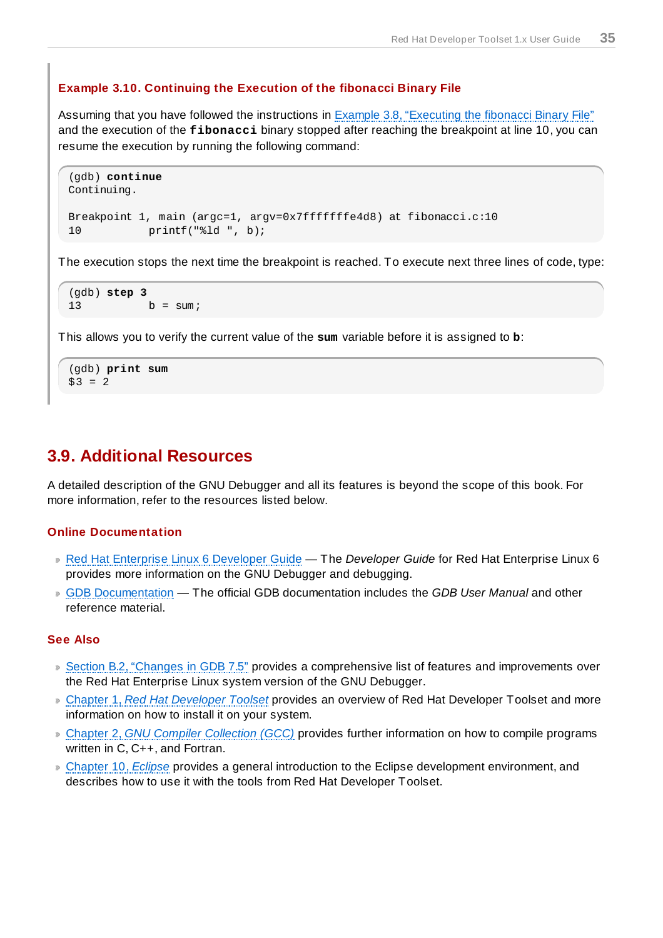### <span id="page-34-0"></span>**Example 3.10. Continuing the Execution of the fibonacci Binary File**

Assuming that you have followed the instructions in Example 3.8, ["Executing](#page-32-1) the fibonacci Binary File" and the execution of the **fibonacci** binary stopped after reaching the breakpoint at line 10, you can resume the execution by running the following command:

```
(gdb) continue
Continuing.
Breakpoint 1, main (argc=1, argv=0x7fffffffe4d8) at fibonacci.c:10
```

```
10 printf("%ld ", b);
```
The execution stops the next time the breakpoint is reached. To execute next three lines of code, type:

```
(gdb) step 3
13 b = sum;
```
This allows you to verify the current value of the **sum** variable before it is assigned to **b**:

```
(gdb) print sum
$3 = 2
```
### <span id="page-34-1"></span>**3.9. Additional Resources**

A detailed description of the GNU Debugger and all its features is beyond the scope of this book. For more information, refer to the resources listed below.

### **Online Documentation**

- Red Hat [Enterprise](https://access.redhat.com/knowledge/docs/en-US/Red_Hat_Enterprise_Linux/6/html/Developer_Guide/index.html) Linux 6 Developer Guide The *Developer Guide* for Red Hat Enterprise Linux 6 provides more information on the GNU Debugger and debugging.
- GDB [Documentation](http://www.gnu.org/software/gdb/documentation/) The official GDB documentation includes the *GDB User Manual* and other reference material.

### **See Also**

- Section B.2, ["Changes](#page-93-1) in GDB 7.5" provides a comprehensive list of features and improvements over the Red Hat Enterprise Linux system version of the GNU Debugger.
- Chapter 1, *Red Hat [Developer](#page-14-1) Toolset* provides an overview of Red Hat Developer Toolset and more information on how to install it on your system.
- Chapter 2, *GNU Compiler [Collection](#page-22-0) (GCC)* provides further information on how to compile programs written in C, C++, and Fortran.
- [Chapter](#page-55-1) 10, *Eclipse* provides a general introduction to the Eclipse development environment, and describes how to use it with the tools from Red Hat Developer Toolset.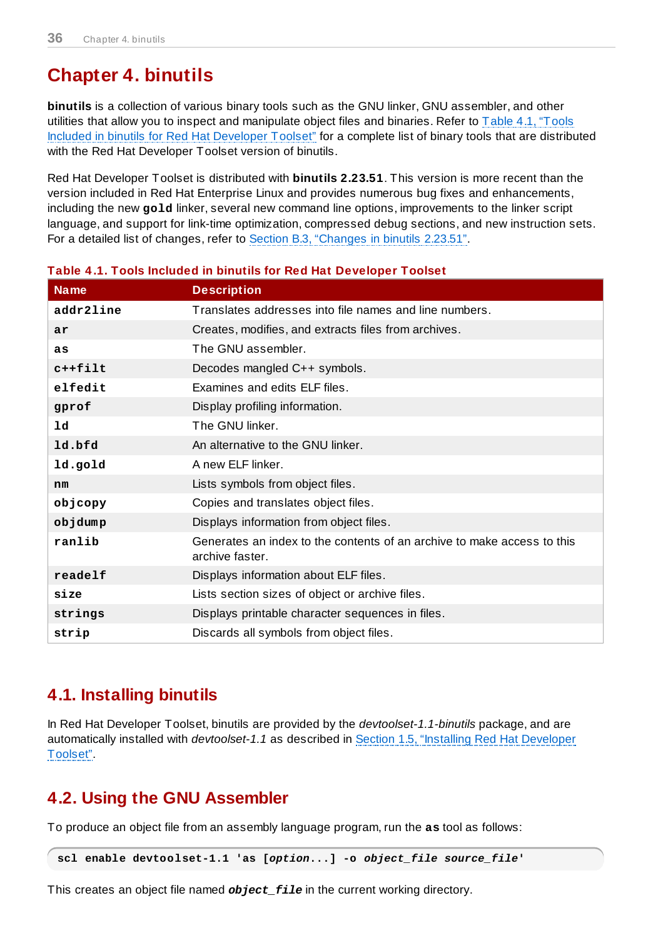# **Chapter 4. binutils**

**binutils** is a collection of various binary tools such as the GNU linker, GNU assembler, and other utilities that allow you to inspect and [manipulate](#page-35-1) object files and binaries. Refer to Table 4.1, "Tools Included in binutils for Red Hat Developer Toolset" for a complete list of binary tools that are distributed with the Red Hat Developer Toolset version of binutils.

Red Hat Developer Toolset is distributed with **binutils 2.23.51**. This version is more recent than the version included in Red Hat Enterprise Linux and provides numerous bug fixes and enhancements, including the new **gold** linker, several new command line options, improvements to the linker script language, and support for link-time optimization, compressed debug sections, and new instruction sets. For a detailed list of changes, refer to Section B.3, ["Changes](#page-94-0) in binutils 2.23.51".

| $N$ ame        | <b>Description</b>                                                                         |
|----------------|--------------------------------------------------------------------------------------------|
| addr2line      | Translates addresses into file names and line numbers.                                     |
| ar             | Creates, modifies, and extracts files from archives.                                       |
| as             | The GNU assembler.                                                                         |
| $c++filt$      | Decodes mangled C++ symbols.                                                               |
| elfedit        | Examines and edits ELF files.                                                              |
| gprof          | Display profiling information.                                                             |
| 1 <sub>d</sub> | The GNU linker.                                                                            |
| 1d.bfd         | An alternative to the GNU linker.                                                          |
| ld.gold        | A new ELF linker.                                                                          |
| n <sub>m</sub> | Lists symbols from object files.                                                           |
| objcopy        | Copies and translates object files.                                                        |
| objdump        | Displays information from object files.                                                    |
| ranlib         | Generates an index to the contents of an archive to make access to this<br>archive faster. |
| readelf        | Displays information about ELF files.                                                      |
| size           | Lists section sizes of object or archive files.                                            |
| strings        | Displays printable character sequences in files.                                           |
| strip          | Discards all symbols from object files.                                                    |

### <span id="page-35-1"></span>**Table 4 .1. Tools Included in binutils for Red Hat Developer Toolset**

### <span id="page-35-0"></span>**4.1. Installing binutils**

In Red Hat Developer Toolset, binutils are provided by the *devtoolset-1.1-binutils* package, and are automatically installed with *[devtoolset-1.1](#page-16-0)* as described in Section 1.5, "Installing Red Hat Developer Toolset".

### **4.2. Using the GNU Assembler**

To produce an object file from an assembly language program, run the **as** tool as follows:

**scl enable devtoolset-1.1 'as [***option***...] -o** *object\_file source\_file***'**

This creates an object file named *object\_file* in the current working directory.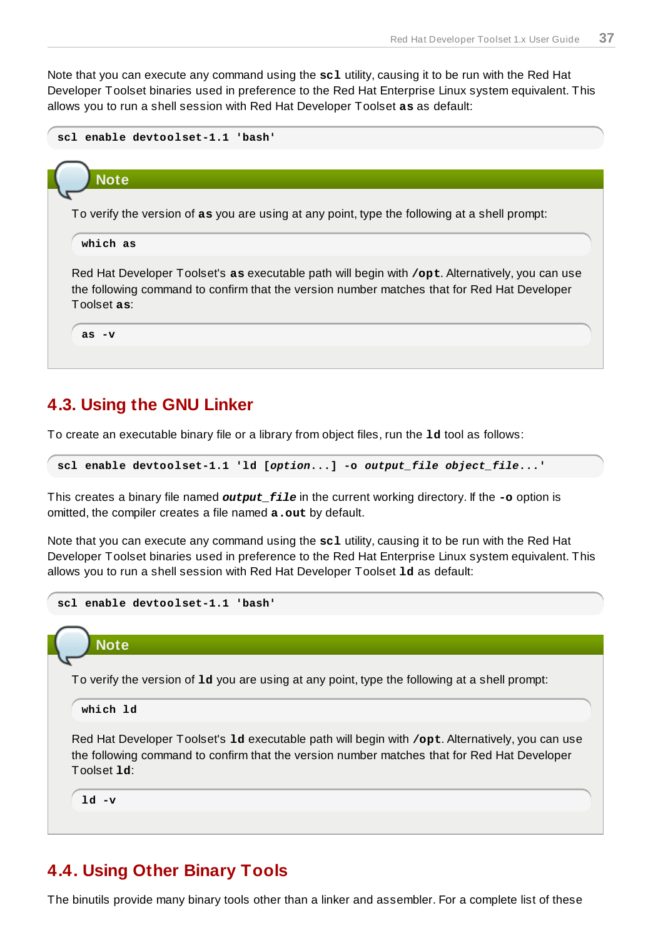<span id="page-36-0"></span>Note that you can execute any command using the **scl** utility, causing it to be run with the Red Hat Developer Toolset binaries used in preference to the Red Hat Enterprise Linux system equivalent. This allows you to run a shell session with Red Hat Developer Toolset **as** as default:



### **4.3. Using the GNU Linker**

To create an executable binary file or a library from object files, run the **ld** tool as follows:

```
scl enable devtoolset-1.1 'ld [option...] -o output_file object_file...'
```
This creates a binary file named *output\_file* in the current working directory. If the **-o** option is omitted, the compiler creates a file named **a.out** by default.

Note that you can execute any command using the **scl** utility, causing it to be run with the Red Hat Developer Toolset binaries used in preference to the Red Hat Enterprise Linux system equivalent. This allows you to run a shell session with Red Hat Developer Toolset **ld** as default:

```
scl enable devtoolset-1.1 'bash'
```
### **Note**

To verify the version of **ld** you are using at any point, type the following at a shell prompt:

**which ld**

Red Hat Developer Toolset's **ld** executable path will begin with **/opt**. Alternatively, you can use the following command to confirm that the version number matches that for Red Hat Developer Toolset **ld**:

**ld -v**

### **4.4. Using Other Binary Tools**

The binutils provide many binary tools other than a linker and assembler. For a complete list of these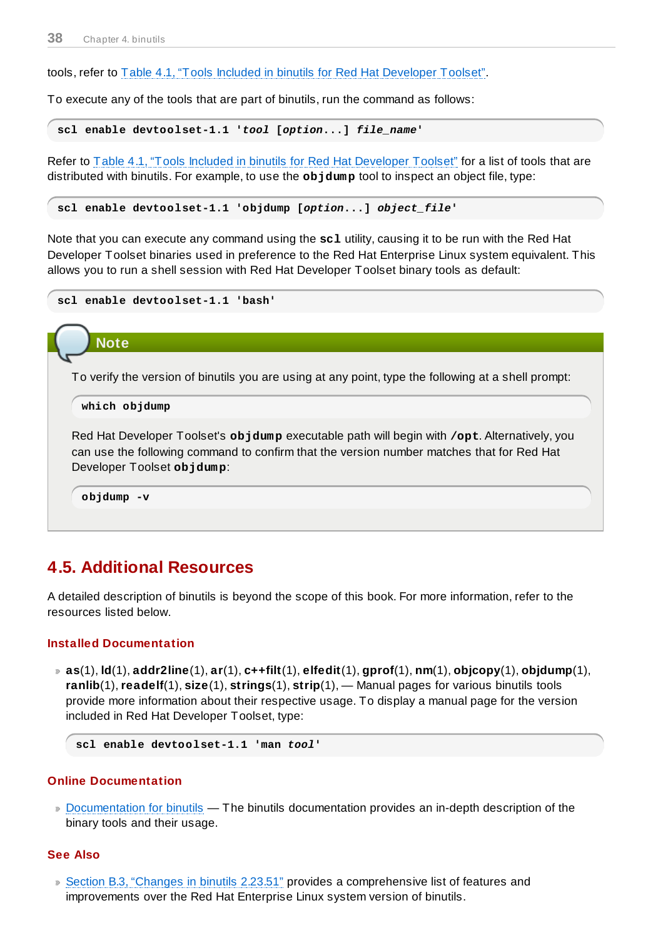tools, refer to Table 4.1, "Tools Included in binutils for Red Hat [Developer](#page-35-0) Toolset".

To execute any of the tools that are part of binutils, run the command as follows:

```
scl enable devtoolset-1.1 'tool [option...] file_name'
```
Refer to Table 4.1, "Tools Included in binutils for Red Hat [Developer](#page-35-0) Toolset" for a list of tools that are distributed with binutils. For example, to use the **objdump** tool to inspect an object file, type:

**scl enable devtoolset-1.1 'objdump [***option***...]** *object\_file***'**

Note that you can execute any command using the **scl** utility, causing it to be run with the Red Hat Developer Toolset binaries used in preference to the Red Hat Enterprise Linux system equivalent. This allows you to run a shell session with Red Hat Developer Toolset binary tools as default:

```
scl enable devtoolset-1.1 'bash'
```
**Note**

To verify the version of binutils you are using at any point, type the following at a shell prompt:

**which objdump**

Red Hat Developer Toolset's **objdump** executable path will begin with **/opt**. Alternatively, you can use the following command to confirm that the version number matches that for Red Hat Developer Toolset **objdump**:

**objdump -v**

### **4.5. Additional Resources**

A detailed description of binutils is beyond the scope of this book. For more information, refer to the resources listed below.

#### **Installed Documentation**

**as**(1), **ld**(1), **addr2line**(1), **ar**(1), **c++filt**(1), **elfedit**(1), **gprof**(1), **nm**(1), **objcopy**(1), **objdump**(1), **ranlib**(1), **readelf**(1), **size**(1), **strings**(1), **strip**(1), — Manual pages for various binutils tools provide more information about their respective usage. To display a manual page for the version included in Red Hat Developer Toolset, type:

```
scl enable devtoolset-1.1 'man tool'
```
#### **Online Documentation**

[Documentation](http://sourceware.org/binutils/docs-2.22/) for binutils — The binutils documentation provides an in-depth description of the binary tools and their usage.

#### **See Also**

Section B.3, ["Changes](#page-94-0) in binutils 2.23.51" provides a comprehensive list of features and improvements over the Red Hat Enterprise Linux system version of binutils.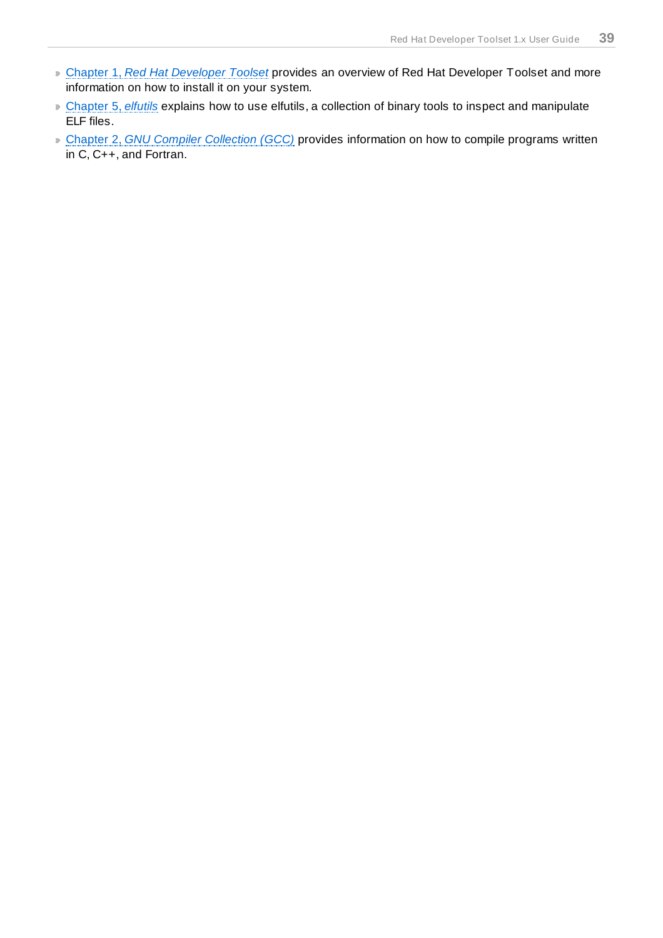- Chapter 1, *Red Hat [Developer](#page-14-0) Toolset* provides an overview of Red Hat Developer Toolset and more information on how to install it on your system.
- **[Chapter](#page-39-0) 5, elfutils** explains how to use elfutils, a collection of binary tools to inspect and manipulate ELF files.
- Chapter 2, *GNU Compiler [Collection](#page-22-0) (GCC)* provides information on how to compile programs written in C, C++, and Fortran.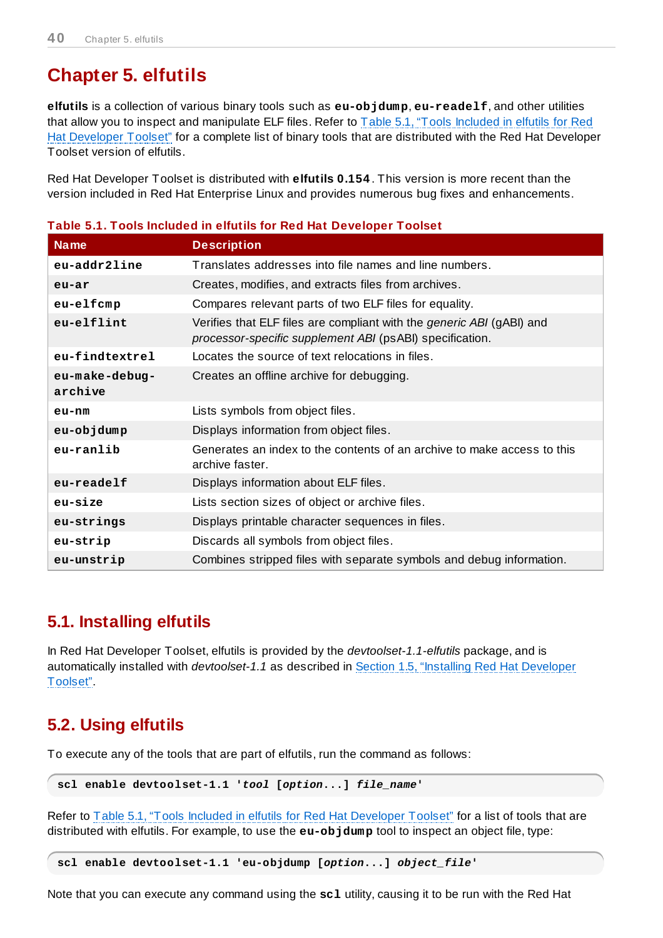# <span id="page-39-0"></span>**Chapter 5. elfutils**

**elfutils** is a collection of various binary tools such as **eu-objdump**, **eu-readelf**, and other utilities that allow you to inspect and [manipulate](#page-39-1) ELF files. Refer to Table 5.1, "Tools Included in elfutils for Red Hat Developer Toolset" for a complete list of binary tools that are distributed with the Red Hat Developer Toolset version of elfutils.

Red Hat Developer Toolset is distributed with **elfutils 0.154** . This version is more recent than the version included in Red Hat Enterprise Linux and provides numerous bug fixes and enhancements.

| <b>Name</b>               | <b>Description</b>                                                                                                                |
|---------------------------|-----------------------------------------------------------------------------------------------------------------------------------|
| eu-addr2line              | Translates addresses into file names and line numbers.                                                                            |
| eu-ar                     | Creates, modifies, and extracts files from archives.                                                                              |
| eu-elfcmp                 | Compares relevant parts of two ELF files for equality.                                                                            |
| eu-elflint                | Verifies that ELF files are compliant with the generic ABI (gABI) and<br>processor-specific supplement ABI (psABI) specification. |
| eu-findtextrel            | Locates the source of text relocations in files.                                                                                  |
| eu-make-debug-<br>archive | Creates an offline archive for debugging.                                                                                         |
| eu-nm                     | Lists symbols from object files.                                                                                                  |
| eu-objdump                | Displays information from object files.                                                                                           |
| eu-ranlib                 | Generates an index to the contents of an archive to make access to this<br>archive faster.                                        |
| eu-readelf                | Displays information about ELF files.                                                                                             |
| eu-size                   | Lists section sizes of object or archive files.                                                                                   |
| eu-strings                | Displays printable character sequences in files.                                                                                  |
| eu-strip                  | Discards all symbols from object files.                                                                                           |
| eu-unstrip                | Combines stripped files with separate symbols and debug information.                                                              |

#### <span id="page-39-1"></span>**Table 5.1. Tools Included in elfutils for Red Hat Developer Toolset**

### **5.1. Installing elfutils**

In Red Hat Developer Toolset, elfutils is provided by the *devtoolset-1.1-elfutils* package, and is automatically installed with *[devtoolset-1.1](#page-16-0)* as described in Section 1.5, "Installing Red Hat Developer Toolset".

### **5.2. Using elfutils**

To execute any of the tools that are part of elfutils, run the command as follows:

```
scl enable devtoolset-1.1 'tool [option...] file_name'
```
Refer to Table 5.1, "Tools Included in elfutils for Red Hat [Developer](#page-39-1) Toolset" for a list of tools that are distributed with elfutils. For example, to use the **eu-objdump** tool to inspect an object file, type:

**scl enable devtoolset-1.1 'eu-objdump [***option***...]** *object\_file***'**

Note that you can execute any command using the **scl** utility, causing it to be run with the Red Hat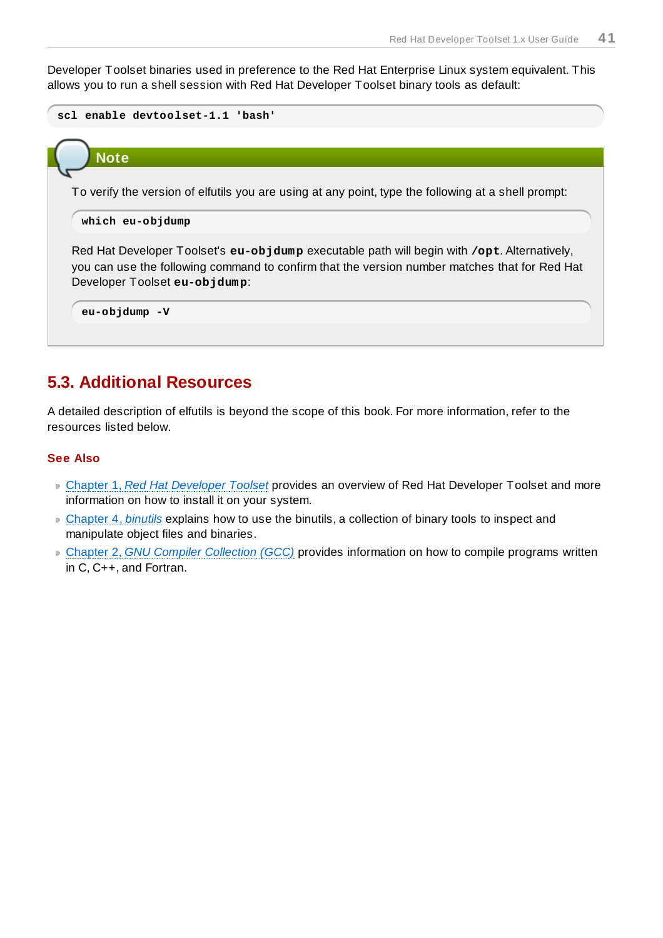Developer Toolset binaries used in preference to the Red Hat Enterprise Linux system equivalent. This allows you to run a shell session with Red Hat Developer Toolset binary tools as default:

```
scl enable devtoolset-1.1 'bash'
```
### **Note**

To verify the version of elfutils you are using at any point, type the following at a shell prompt:

```
which eu-objdump
```
Red Hat Developer Toolset's **eu-objdump** executable path will begin with **/opt**. Alternatively, you can use the following command to confirm that the version number matches that for Red Hat Developer Toolset **eu-objdump**:

**eu-objdump -V**

## **5.3. Additional Resources**

A detailed description of elfutils is beyond the scope of this book. For more information, refer to the resources listed below.

#### **See Also**

- Chapter 1, *Red Hat [Developer](#page-14-0) Toolset* provides an overview of Red Hat Developer Toolset and more information on how to install it on your system.
- **[Chapter](#page-36-0) 4,** *binutils* explains how to use the binutils, a collection of binary tools to inspect and manipulate object files and binaries.
- Chapter 2, *GNU Compiler [Collection](#page-22-0) (GCC)* provides information on how to compile programs written in C, C++, and Fortran.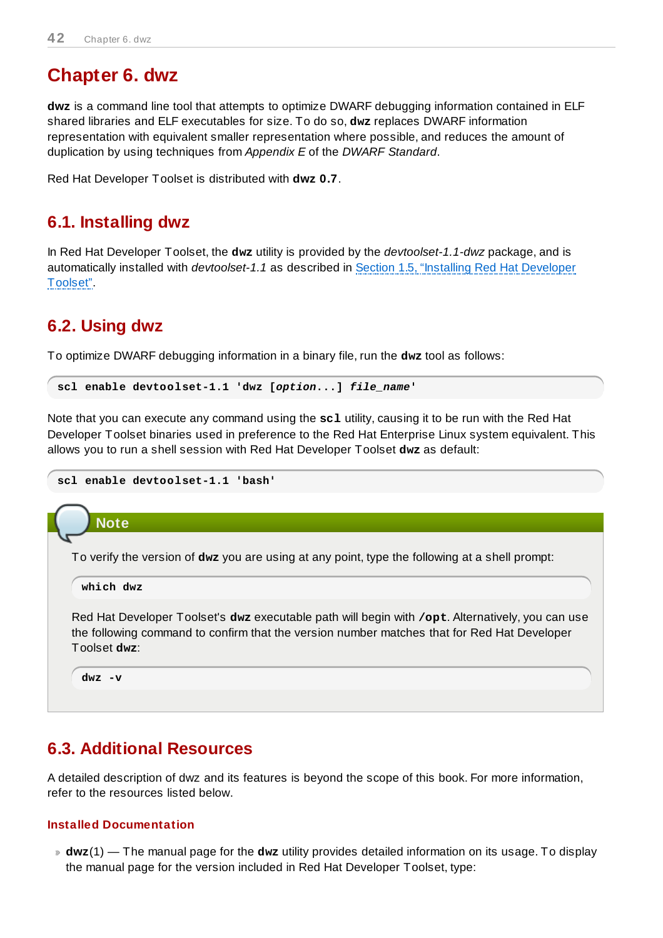# **Chapter 6. dwz**

**dwz** is a command line tool that attempts to optimize DWARF debugging information contained in ELF shared libraries and ELF executables for size. To do so, **dwz** replaces DWARF information representation with equivalent smaller representation where possible, and reduces the amount of duplication by using techniques from *Appendix E* of the *DWARF Standard*.

Red Hat Developer Toolset is distributed with **dwz 0.7**.

### **6.1. Installing dwz**

In Red Hat Developer Toolset, the **dwz** utility is provided by the *devtoolset-1.1-dwz* package, and is automatically installed with *[devtoolset-1.1](#page-16-0)* as described in Section 1.5, "Installing Red Hat Developer Toolset".

### **6.2. Using dwz**

To optimize DWARF debugging information in a binary file, run the **dwz** tool as follows:

```
scl enable devtoolset-1.1 'dwz [option...] file_name'
```
Note that you can execute any command using the **scl** utility, causing it to be run with the Red Hat Developer Toolset binaries used in preference to the Red Hat Enterprise Linux system equivalent. This allows you to run a shell session with Red Hat Developer Toolset **dwz** as default:

```
scl enable devtoolset-1.1 'bash'
```


**dwz -v**

Toolset **dwz**:

### **6.3. Additional Resources**

A detailed description of dwz and its features is beyond the scope of this book. For more information, refer to the resources listed below.

#### **Installed Documentation**

**dwz**(1) — The manual page for the **dwz** utility provides detailed information on its usage. To display the manual page for the version included in Red Hat Developer Toolset, type: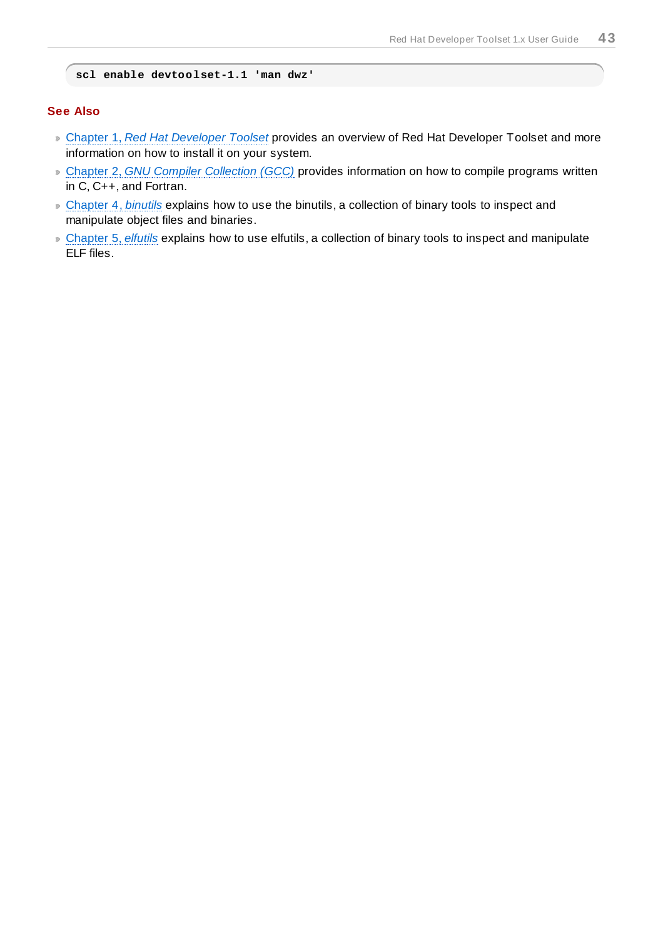**scl enable devtoolset-1.1 'man dwz'**

#### **See Also**

- Chapter 1, *Red Hat [Developer](#page-14-0) Toolset* provides an overview of Red Hat Developer Toolset and more information on how to install it on your system.
- Chapter 2, *GNU Compiler [Collection](#page-22-0) (GCC)* provides information on how to compile programs written in C, C++, and Fortran.
- [Chapter](#page-36-0) 4, *binutils* explains how to use the binutils, a collection of binary tools to inspect and manipulate object files and binaries.
- [Chapter](#page-39-0) 5, *elfutils* explains how to use elfutils, a collection of binary tools to inspect and manipulate ELF files.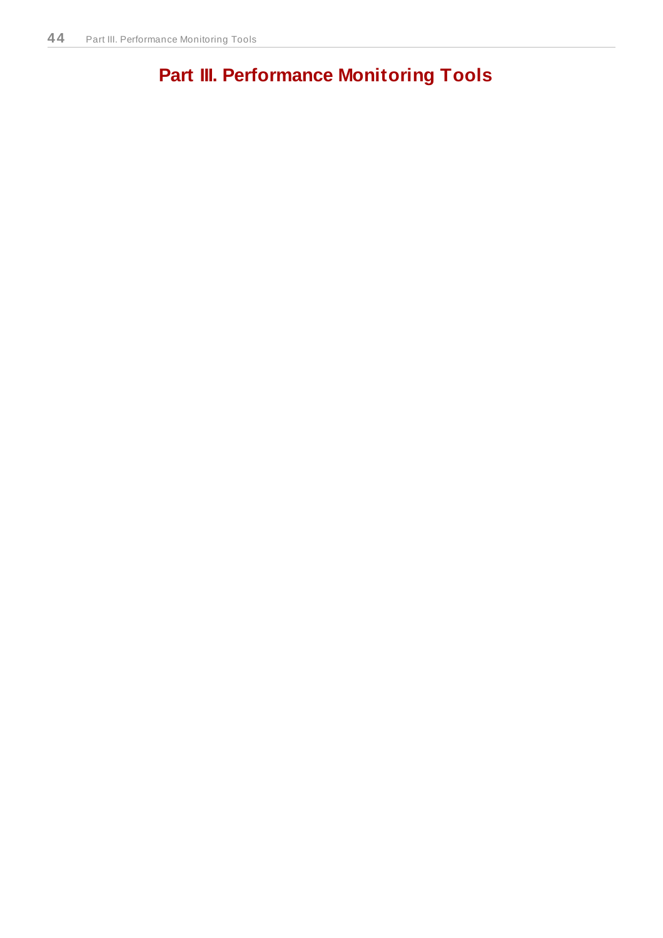# **Part III. Performance Monitoring Tools**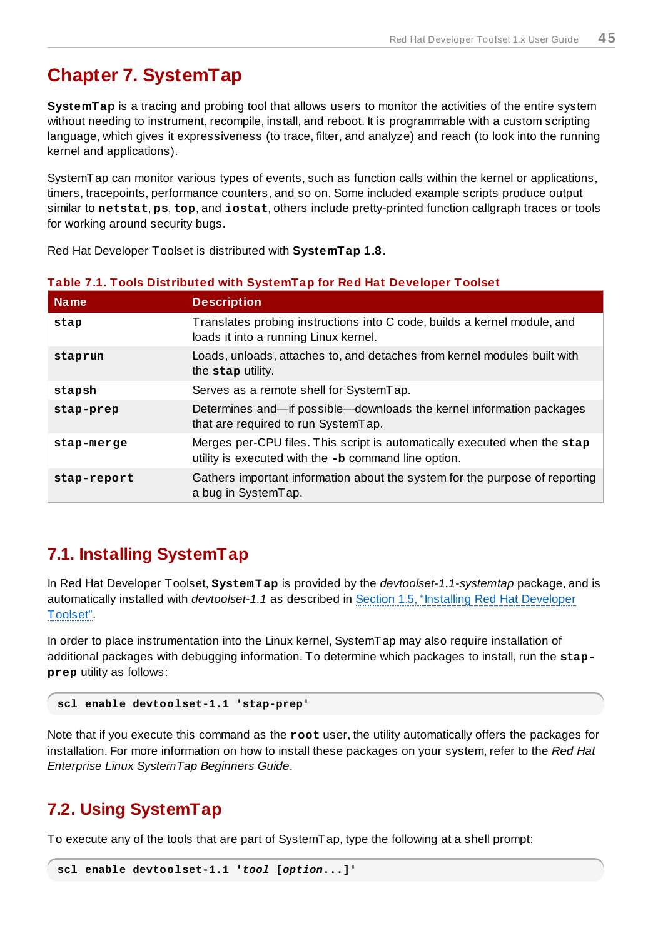# **Chapter 7. SystemTap**

**SystemTap** is a tracing and probing tool that allows users to monitor the activities of the entire system without needing to instrument, recompile, install, and reboot. It is programmable with a custom scripting language, which gives it expressiveness (to trace, filter, and analyze) and reach (to look into the running kernel and applications).

SystemTap can monitor various types of events, such as function calls within the kernel or applications, timers, tracepoints, performance counters, and so on. Some included example scripts produce output similar to **netstat**, **ps**, **top**, and **iostat**, others include pretty-printed function callgraph traces or tools for working around security bugs.

Red Hat Developer Toolset is distributed with **SystemTap 1.8**.

<span id="page-44-0"></span>

| Table 7.1. Tools Distributed with SystemTap for Red Hat Developer Toolset |  |  |  |
|---------------------------------------------------------------------------|--|--|--|
|                                                                           |  |  |  |

| <b>Name</b> | <b>Description</b>                                                                                                                        |
|-------------|-------------------------------------------------------------------------------------------------------------------------------------------|
| stap        | Translates probing instructions into C code, builds a kernel module, and<br>loads it into a running Linux kernel.                         |
| staprun     | Loads, unloads, attaches to, and detaches from kernel modules built with<br>the stap utility.                                             |
| stapsh      | Serves as a remote shell for SystemTap.                                                                                                   |
| stap-prep   | Determines and—if possible—downloads the kernel information packages<br>that are required to run SystemTap.                               |
| stap-merge  | Merges per-CPU files. This script is automatically executed when the stap<br>utility is executed with the - <b>b</b> command line option. |
| stap-report | Gathers important information about the system for the purpose of reporting<br>a bug in SystemTap.                                        |

### **7.1. Installing SystemTap**

In Red Hat Developer Toolset, **SystemTap** is provided by the *devtoolset-1.1-systemtap* package, and is automatically installed with *[devtoolset-1.1](#page-16-0)* as described in Section 1.5, "Installing Red Hat Developer Toolset".

In order to place instrumentation into the Linux kernel, SystemTap may also require installation of additional packages with debugging information. To determine which packages to install, run the **stapprep** utility as follows:

```
scl enable devtoolset-1.1 'stap-prep'
```
Note that if you execute this command as the **root** user, the utility automatically offers the packages for installation. For more information on how to install these packages on your system, refer to the *Red Hat Enterprise Linux SystemTap Beginners Guide*.

### **7.2. Using SystemTap**

To execute any of the tools that are part of SystemTap, type the following at a shell prompt:

```
scl enable devtoolset-1.1 'tool [option...]'
```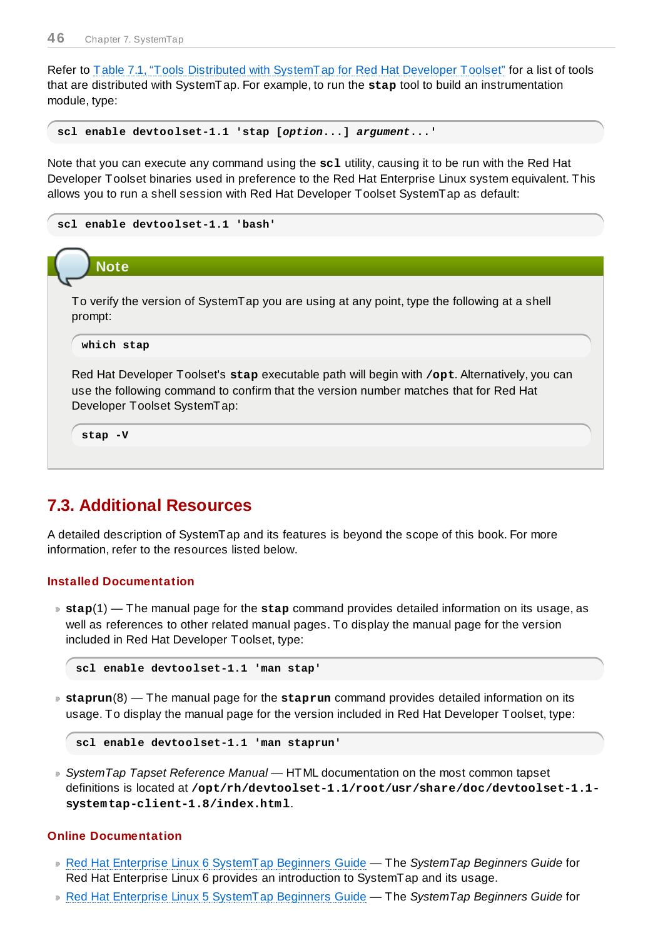<span id="page-45-0"></span>Refer to Table 7.1, "Tools Distributed with [SystemTap](#page-44-0) for Red Hat Developer Toolset" for a list of tools that are distributed with SystemTap. For example, to run the **stap** tool to build an instrumentation module, type:

**scl enable devtoolset-1.1 'stap [***option***...]** *argument***...'**

Note that you can execute any command using the **scl** utility, causing it to be run with the Red Hat Developer Toolset binaries used in preference to the Red Hat Enterprise Linux system equivalent. This allows you to run a shell session with Red Hat Developer Toolset SystemTap as default:

```
scl enable devtoolset-1.1 'bash'
```
### **Note**

To verify the version of SystemTap you are using at any point, type the following at a shell prompt:

**which stap**

Red Hat Developer Toolset's **stap** executable path will begin with **/opt**. Alternatively, you can use the following command to confirm that the version number matches that for Red Hat Developer Toolset SystemTap:

**stap -V**

### **7.3. Additional Resources**

A detailed description of SystemTap and its features is beyond the scope of this book. For more information, refer to the resources listed below.

#### **Installed Documentation**

**stap**(1) — The manual page for the **stap** command provides detailed information on its usage, as well as references to other related manual pages. To display the manual page for the version included in Red Hat Developer Toolset, type:

**scl enable devtoolset-1.1 'man stap'**

**staprun**(8) — The manual page for the **staprun** command provides detailed information on its usage. To display the manual page for the version included in Red Hat Developer Toolset, type:

**scl enable devtoolset-1.1 'man staprun'**

*SystemTap Tapset Reference Manual* — HTML documentation on the most common tapset definitions is located at **/opt/rh/devtoolset-1.1/root/usr/share/doc/devtoolset-1.1 systemtap-client-1.8/index.html**.

#### **Online Documentation**

- Red Hat Enterprise Linux 6 [SystemTap](https://access.redhat.com/knowledge/docs/en-US/Red_Hat_Enterprise_Linux/6/html/SystemTap_Beginners_Guide/index.html) Beginners Guide The *SystemTap Beginners Guide* for Red Hat Enterprise Linux 6 provides an introduction to SystemTap and its usage.
- Red Hat Enterprise Linux 5 [SystemTap](https://access.redhat.com/knowledge/docs/en-US/Red_Hat_Enterprise_Linux/5/html/SystemTap_Beginners_Guide/index.html) Beginners Guide The *SystemTap Beginners Guide* for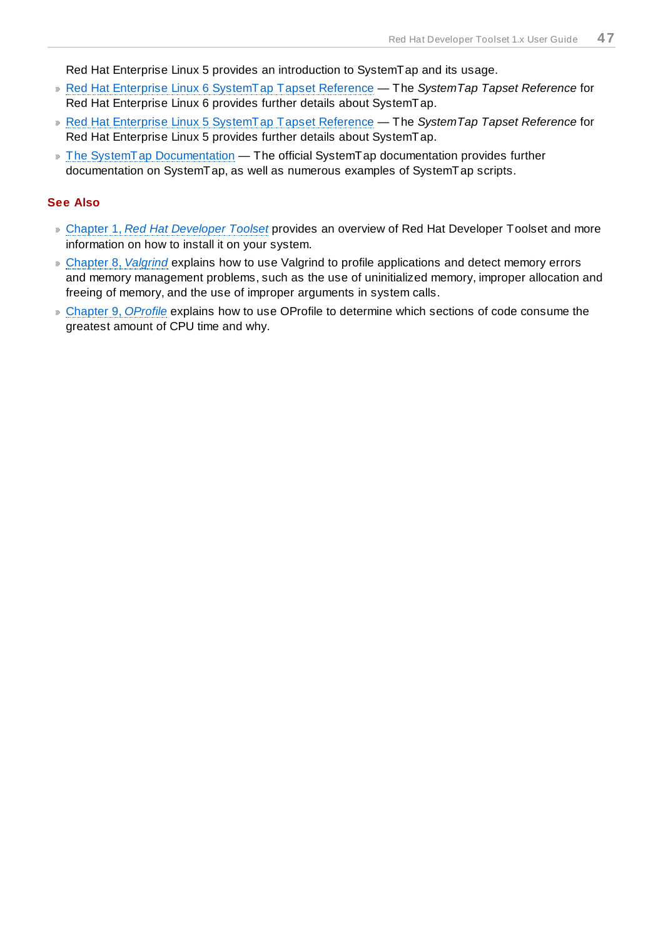Red Hat Enterprise Linux 5 provides an introduction to SystemTap and its usage.

- Red Hat Enterprise Linux 6 [SystemTap](https://access.redhat.com/knowledge/docs/en-US/Red_Hat_Enterprise_Linux/6/html/SystemTap_Tapset_Reference/index.html) Tapset Reference The *SystemTap Tapset Reference* for Red Hat Enterprise Linux 6 provides further details about SystemTap.
- Red Hat Enterprise Linux 5 [SystemTap](https://access.redhat.com/knowledge/docs/en-US/Red_Hat_Enterprise_Linux/5/html/SystemTap_Tapset_Reference/index.html) Tapset Reference The *SystemTap Tapset Reference* for Red Hat Enterprise Linux 5 provides further details about SystemTap.
- **The SystemTap [Documentation](http://sourceware.org/systemtap/documentation.html)** The official SystemTap documentation provides further documentation on SystemTap, as well as numerous examples of SystemTap scripts.

#### **See Also**

- Chapter 1, *Red Hat [Developer](#page-14-0) Toolset* provides an overview of Red Hat Developer Toolset and more information on how to install it on your system.
- Chapter 8, *[Valgrind](#page-48-0)* explains how to use Valgrind to profile applications and detect memory errors and memory management problems, such as the use of uninitialized memory, improper allocation and freeing of memory, and the use of improper arguments in system calls.
- [Chapter](#page-51-0) 9, *OProfile* explains how to use OProfile to determine which sections of code consume the greatest amount of CPU time and why.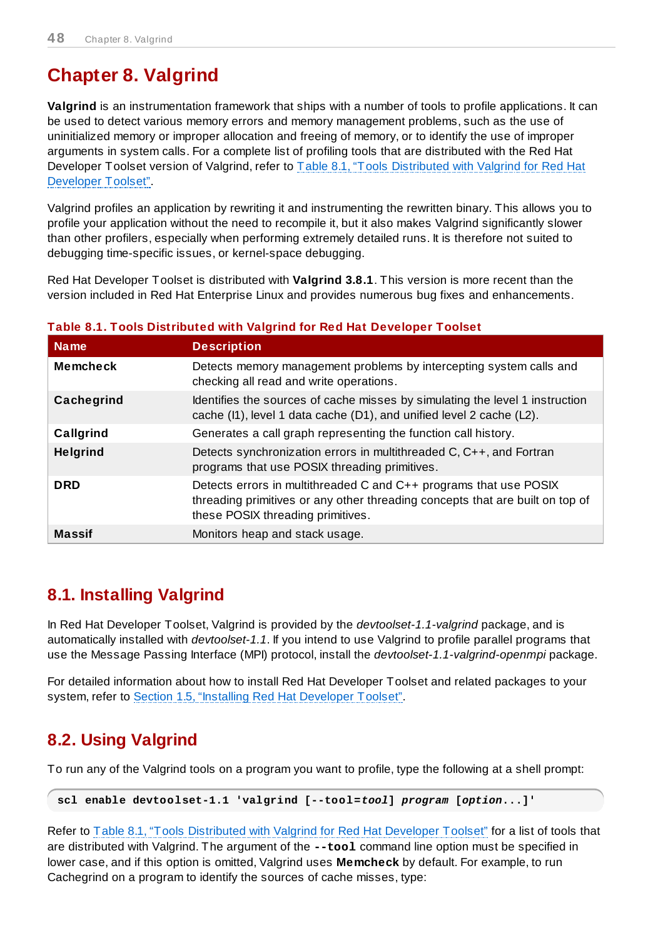# **Chapter 8. Valgrind**

**Valgrind** is an instrumentation framework that ships with a number of tools to profile applications. It can be used to detect various memory errors and memory management problems, such as the use of uninitialized memory or improper allocation and freeing of memory, or to identify the use of improper arguments in system calls. For a complete list of profiling tools that are distributed with the Red Hat Developer Toolset version of Valgrind, refer to Table 8.1, "Tools [Distributed](#page-47-0) with Valgrind for Red Hat Developer Toolset".

Valgrind profiles an application by rewriting it and instrumenting the rewritten binary. This allows you to profile your application without the need to recompile it, but it also makes Valgrind significantly slower than other profilers, especially when performing extremely detailed runs. It is therefore not suited to debugging time-specific issues, or kernel-space debugging.

Red Hat Developer Toolset is distributed with **Valgrind 3.8.1**. This version is more recent than the version included in Red Hat Enterprise Linux and provides numerous bug fixes and enhancements.

| <b>Name</b>     | <b>Description</b>                                                                                                                                                                      |
|-----------------|-----------------------------------------------------------------------------------------------------------------------------------------------------------------------------------------|
| <b>Memcheck</b> | Detects memory management problems by intercepting system calls and<br>checking all read and write operations.                                                                          |
| Cachegrind      | Identifies the sources of cache misses by simulating the level 1 instruction<br>cache (I1), level 1 data cache (D1), and unified level 2 cache (L2).                                    |
| Callgrind       | Generates a call graph representing the function call history.                                                                                                                          |
| Helgrind        | Detects synchronization errors in multithreaded C, C++, and Fortran<br>programs that use POSIX threading primitives.                                                                    |
| <b>DRD</b>      | Detects errors in multithreaded C and C++ programs that use POSIX<br>threading primitives or any other threading concepts that are built on top of<br>these POSIX threading primitives. |
| <b>Massif</b>   | Monitors heap and stack usage.                                                                                                                                                          |

#### <span id="page-47-0"></span>**Table 8.1. Tools Distributed with Valgrind for Red Hat Developer Toolset**

### **8.1. Installing Valgrind**

In Red Hat Developer Toolset, Valgrind is provided by the *devtoolset-1.1-valgrind* package, and is automatically installed with *devtoolset-1.1*. If you intend to use Valgrind to profile parallel programs that use the Message Passing Interface (MPI) protocol, install the *devtoolset-1.1-valgrind-openmpi* package.

For detailed information about how to install Red Hat Developer Toolset and related packages to your system, refer to Section 1.5, "Installing Red Hat [Developer](#page-16-0) Toolset".

### **8.2. Using Valgrind**

To run any of the Valgrind tools on a program you want to profile, type the following at a shell prompt:

**scl enable devtoolset-1.1 'valgrind [--tool=***tool***]** *program* **[***option***...]'**

Refer to Table 8.1, "Tools [Distributed](#page-47-0) with Valgrind for Red Hat Developer Toolset" for a list of tools that are distributed with Valgrind. The argument of the **--tool** command line option must be specified in lower case, and if this option is omitted, Valgrind uses **Memcheck** by default. For example, to run Cachegrind on a program to identify the sources of cache misses, type: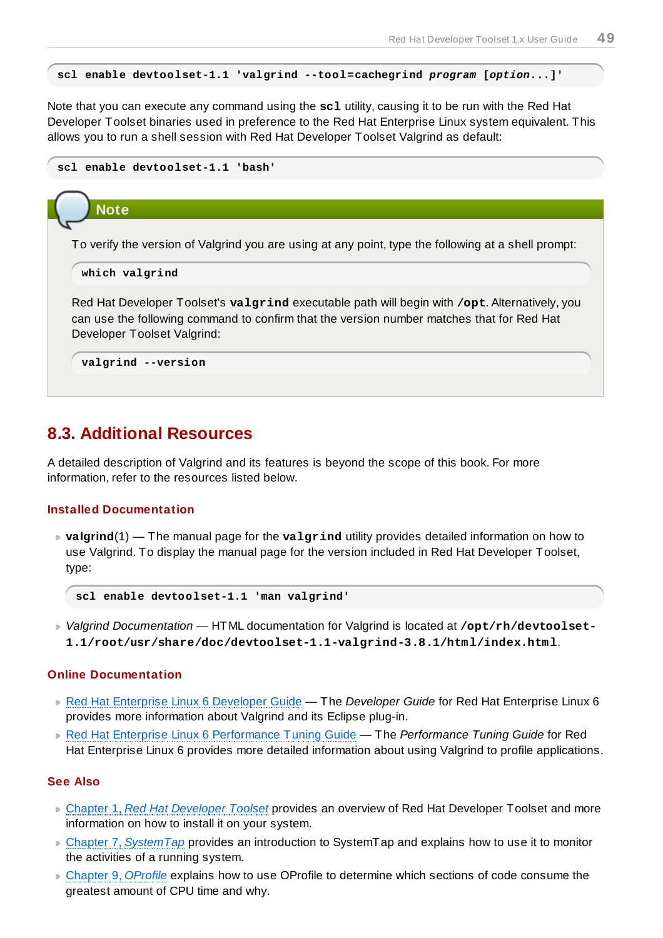```
scl enable devtoolset-1.1 'valgrind --tool=cachegrind program [option...]'
```
Note that you can execute any command using the **scl** utility, causing it to be run with the Red Hat Developer Toolset binaries used in preference to the Red Hat Enterprise Linux system equivalent. This allows you to run a shell session with Red Hat Developer Toolset Valgrind as default:

```
scl enable devtoolset-1.1 'bash'
```


### **8.3. Additional Resources**

A detailed description of Valgrind and its features is beyond the scope of this book. For more information, refer to the resources listed below.

#### **Installed Documentation**

**valgrind**(1) — The manual page for the **valgrind** utility provides detailed information on how to use Valgrind. To display the manual page for the version included in Red Hat Developer Toolset, type:

**scl enable devtoolset-1.1 'man valgrind'**

*Valgrind Documentation* — HTML documentation for Valgrind is located at **/opt/rh/devtoolset-1.1/root/usr/share/doc/devtoolset-1.1-valgrind-3.8.1/html/index.html**.

#### **Online Documentation**

- Red Hat [Enterprise](https://access.redhat.com/knowledge/docs/en-US/Red_Hat_Enterprise_Linux/6/html/Developer_Guide/index.html) Linux 6 Developer Guide The *Developer Guide* for Red Hat Enterprise Linux 6 provides more information about Valgrind and its Eclipse plug-in.
- Red Hat Enterprise Linux 6 [Performance](https://access.redhat.com/knowledge/docs/en-US/Red_Hat_Enterprise_Linux/6/html/Performance_Tuning_Guide/index.html) Tuning Guide The *Performance Tuning Guide* for Red Hat Enterprise Linux 6 provides more detailed information about using Valgrind to profile applications.

#### **See Also**

- Chapter 1, *Red Hat [Developer](#page-14-0) Toolset* provides an overview of Red Hat Developer Toolset and more information on how to install it on your system.
- Chapter 7, *[SystemTap](#page-45-0)* provides an introduction to SystemTap and explains how to use it to monitor the activities of a running system.
- [Chapter](#page-51-0) 9, *OProfile* explains how to use OProfile to determine which sections of code consume the greatest amount of CPU time and why.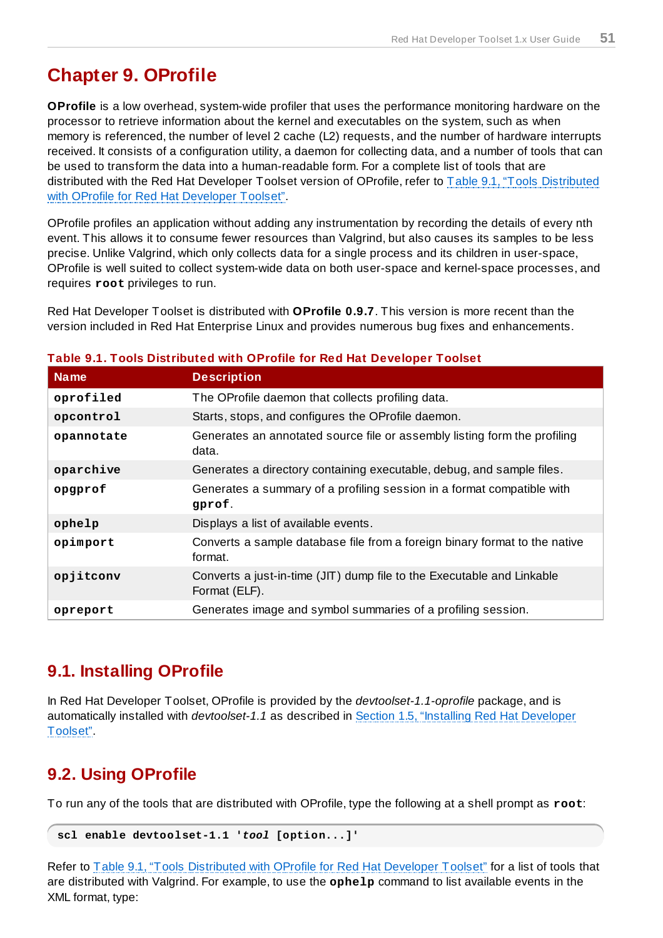# **Chapter 9. OProfile**

**OProfile** is a low overhead, system-wide profiler that uses the performance monitoring hardware on the processor to retrieve information about the kernel and executables on the system, such as when memory is referenced, the number of level 2 cache (L2) requests, and the number of hardware interrupts received. It consists of a configuration utility, a daemon for collecting data, and a number of tools that can be used to transform the data into a human-readable form. For a complete list of tools that are distributed with the Red Hat Developer Toolset version of OProfile, refer to Table 9.1, "Tools [Distributed](#page-50-0) with OProfile for Red Hat Developer Toolset".

OProfile profiles an application without adding any instrumentation by recording the details of every nth event. This allows it to consume fewer resources than Valgrind, but also causes its samples to be less precise. Unlike Valgrind, which only collects data for a single process and its children in user-space, OProfile is well suited to collect system-wide data on both user-space and kernel-space processes, and requires **root** privileges to run.

Red Hat Developer Toolset is distributed with **OProfile 0.9.7**. This version is more recent than the version included in Red Hat Enterprise Linux and provides numerous bug fixes and enhancements.

| <b>Name</b> | <b>Description</b>                                                                      |
|-------------|-----------------------------------------------------------------------------------------|
| oprofiled   | The OProfile daemon that collects profiling data.                                       |
| opcontrol   | Starts, stops, and configures the OProfile daemon.                                      |
| opannotate  | Generates an annotated source file or assembly listing form the profiling<br>data.      |
| oparchive   | Generates a directory containing executable, debug, and sample files.                   |
| opgprof     | Generates a summary of a profiling session in a format compatible with<br>gprof.        |
| ophelp      | Displays a list of available events.                                                    |
| opimport    | Converts a sample database file from a foreign binary format to the native<br>format.   |
| opjitconv   | Converts a just-in-time (JIT) dump file to the Executable and Linkable<br>Format (ELF). |
| opreport    | Generates image and symbol summaries of a profiling session.                            |

#### <span id="page-50-0"></span>**Table 9.1. Tools Distributed with OProfile for Red Hat Developer Toolset**

### **9.1. Installing OProfile**

In Red Hat Developer Toolset, OProfile is provided by the *devtoolset-1.1-oprofile* package, and is automatically installed with *[devtoolset-1.1](#page-16-0)* as described in Section 1.5, "Installing Red Hat Developer Toolset".

### **9.2. Using OProfile**

To run any of the tools that are distributed with OProfile, type the following at a shell prompt as **root**:

```
scl enable devtoolset-1.1 'tool [option...]'
```
Refer to Table 9.1, "Tools [Distributed](#page-50-0) with OProfile for Red Hat Developer Toolset" for a list of tools that are distributed with Valgrind. For example, to use the **ophelp** command to list available events in the XML format, type: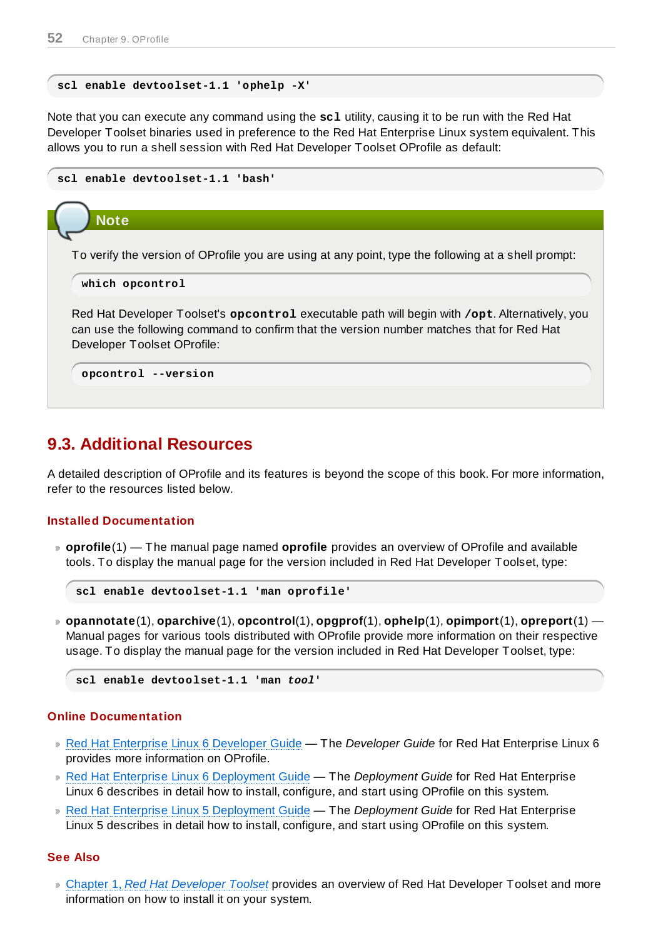#### <span id="page-51-0"></span>**scl enable devtoolset-1.1 'ophelp -X'**

Note that you can execute any command using the **scl** utility, causing it to be run with the Red Hat Developer Toolset binaries used in preference to the Red Hat Enterprise Linux system equivalent. This allows you to run a shell session with Red Hat Developer Toolset OProfile as default:

```
scl enable devtoolset-1.1 'bash'
```

```
Note
To verify the version of OProfile you are using at any point, type the following at a shell prompt:
 which opcontrol
Red Hat Developer Toolset's opcontrol executable path will begin with /opt. Alternatively, you
can use the following command to confirm that the version number matches that for Red Hat
Developer Toolset OProfile:
 opcontrol --version
```
### **9.3. Additional Resources**

A detailed description of OProfile and its features is beyond the scope of this book. For more information, refer to the resources listed below.

#### **Installed Documentation**

**oprofile**(1) — The manual page named **oprofile** provides an overview of OProfile and available tools. To display the manual page for the version included in Red Hat Developer Toolset, type:

```
scl enable devtoolset-1.1 'man oprofile'
```
**opannotate**(1), **oparchive**(1), **opcontrol**(1), **opgprof**(1), **ophelp**(1), **opimport**(1), **opreport**(1) — Manual pages for various tools distributed with OProfile provide more information on their respective usage. To display the manual page for the version included in Red Hat Developer Toolset, type:

```
scl enable devtoolset-1.1 'man tool'
```
#### **Online Documentation**

- Red Hat [Enterprise](https://access.redhat.com/knowledge/docs/en-US/Red_Hat_Enterprise_Linux/6/html/Developer_Guide/index.html) Linux 6 Developer Guide The *Developer Guide* for Red Hat Enterprise Linux 6 provides more information on OProfile.
- Red Hat Enterprise Linux 6 [Deployment](https://access.redhat.com/knowledge/docs/en-US/Red_Hat_Enterprise_Linux/6/html/Deployment_Guide/index.html) Guide The *Deployment Guide* for Red Hat Enterprise Linux 6 describes in detail how to install, configure, and start using OProfile on this system.
- Red Hat Enterprise Linux 5 [Deployment](https://access.redhat.com/knowledge/docs/en-US/Red_Hat_Enterprise_Linux/5/html/Deployment_Guide/index.html) Guide The *Deployment Guide* for Red Hat Enterprise Linux 5 describes in detail how to install, configure, and start using OProfile on this system.

#### **See Also**

Chapter 1, *Red Hat [Developer](#page-14-0) Toolset* provides an overview of Red Hat Developer Toolset and more information on how to install it on your system.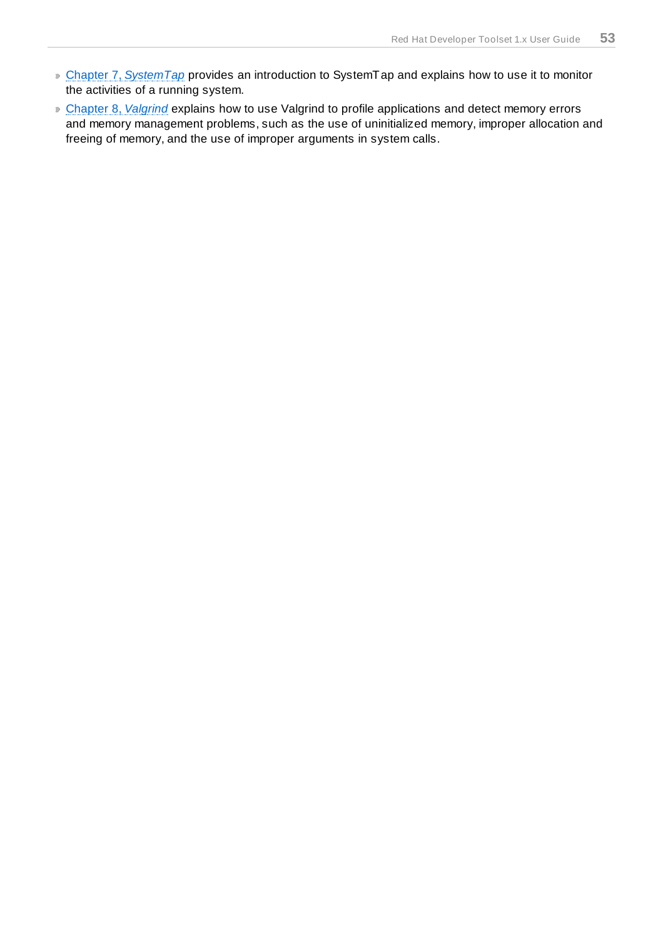- Chapter 7, *[SystemTap](#page-45-0)* provides an introduction to SystemTap and explains how to use it to monitor the activities of a running system.
- **Exampler 8, [Valgrind](#page-48-0)** explains how to use Valgrind to profile applications and detect memory errors and memory management problems, such as the use of uninitialized memory, improper allocation and freeing of memory, and the use of improper arguments in system calls.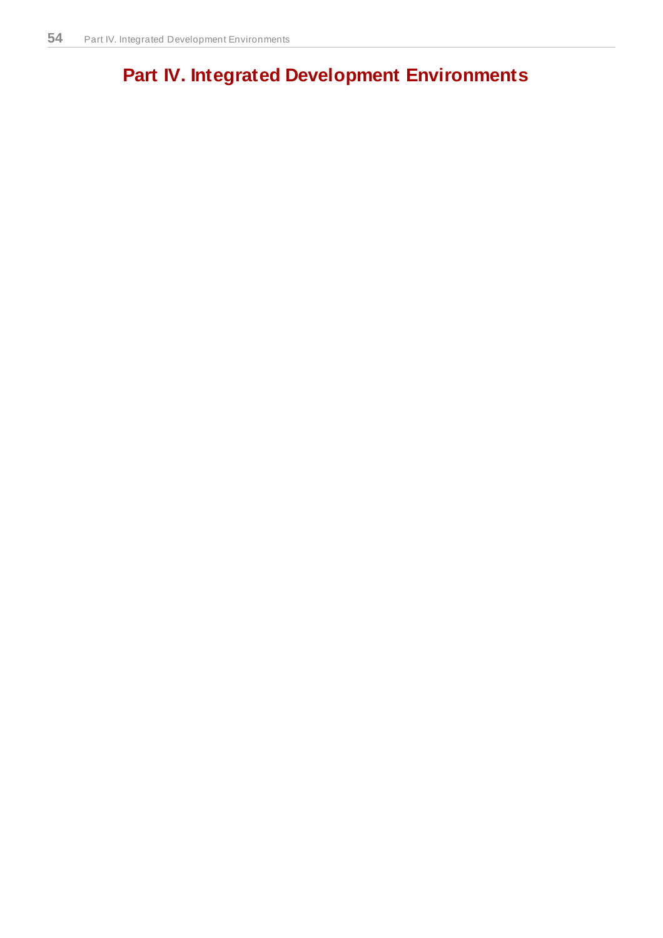# **Part IV. Integrated Development Environments**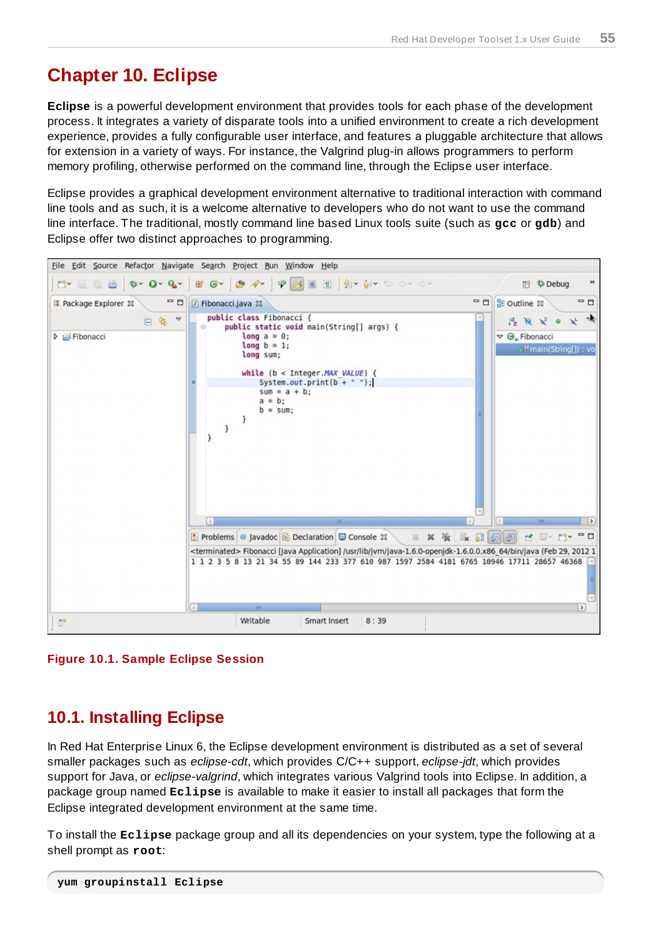# **Chapter 10. Eclipse**

**Eclipse** is a powerful development environment that provides tools for each phase of the development process. It integrates a variety of disparate tools into a unified environment to create a rich development experience, provides a fully configurable user interface, and features a pluggable architecture that allows for extension in a variety of ways. For instance, the Valgrind plug-in allows programmers to perform memory profiling, otherwise performed on the command line, through the Eclipse user interface.

Eclipse provides a graphical development environment alternative to traditional interaction with command line tools and as such, it is a welcome alternative to developers who do not want to use the command line interface. The traditional, mostly command line based Linux tools suite (such as **gcc** or **gdb**) and Eclipse offer two distinct approaches to programming.



**Figure 10.1. Sample Eclipse Session**

### **10.1. Installing Eclipse**

In Red Hat Enterprise Linux 6, the Eclipse development environment is distributed as a set of several smaller packages such as *eclipse-cdt*, which provides C/C++ support, *eclipse-jdt*, which provides support for Java, or *eclipse-valgrind*, which integrates various Valgrind tools into Eclipse. In addition, a package group named **Eclipse** is available to make it easier to install all packages that form the Eclipse integrated development environment at the same time.

To install the **Eclipse** package group and all its dependencies on your system, type the following at a shell prompt as **root**: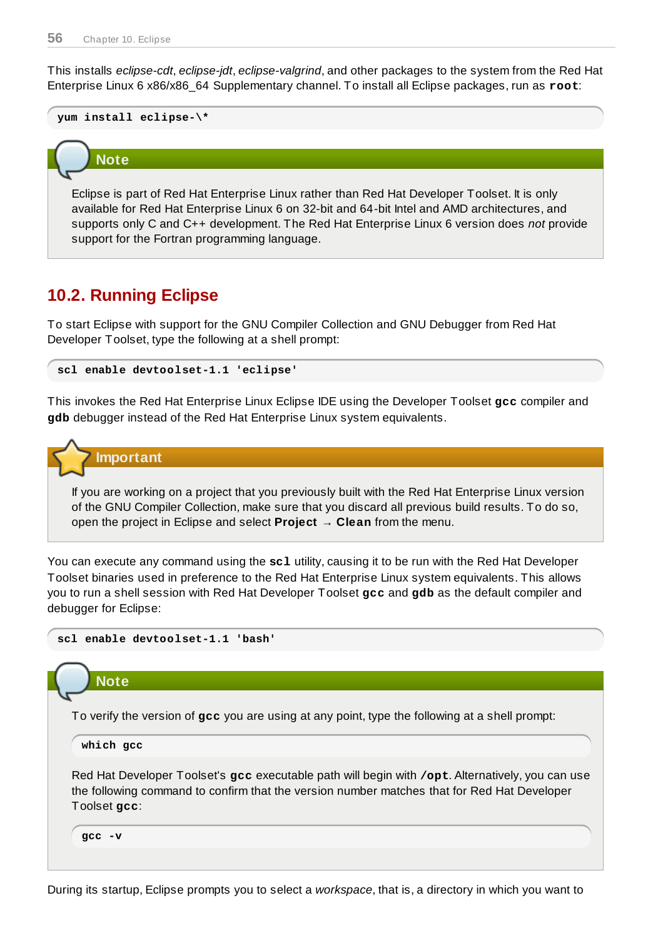This installs *eclipse-cdt*, *eclipse-jdt*, *eclipse-valgrind*, and other packages to the system from the Red Hat Enterprise Linux 6 x86/x86\_64 Supplementary channel. To install all Eclipse packages, run as **root**:

**yum install eclipse-\\***

**Note**

Eclipse is part of Red Hat Enterprise Linux rather than Red Hat Developer Toolset. It is only available for Red Hat Enterprise Linux 6 on 32-bit and 64-bit Intel and AMD architectures, and supports only C and C++ development. The Red Hat Enterprise Linux 6 version does *not* provide support for the Fortran programming language.

### **10.2. Running Eclipse**

To start Eclipse with support for the GNU Compiler Collection and GNU Debugger from Red Hat Developer Toolset, type the following at a shell prompt:

**scl enable devtoolset-1.1 'eclipse'**

This invokes the Red Hat Enterprise Linux Eclipse IDE using the Developer Toolset **gcc** compiler and **gdb** debugger instead of the Red Hat Enterprise Linux system equivalents.

# **Important**

If you are working on a project that you previously built with the Red Hat Enterprise Linux version of the GNU Compiler Collection, make sure that you discard all previous build results. To do so, open the project in Eclipse and select **Project** → **Clean** from the menu.

You can execute any command using the **scl** utility, causing it to be run with the Red Hat Developer Toolset binaries used in preference to the Red Hat Enterprise Linux system equivalents. This allows you to run a shell session with Red Hat Developer Toolset **gcc** and **gdb** as the default compiler and debugger for Eclipse:

**scl enable devtoolset-1.1 'bash'**

### **Note**

To verify the version of **gcc** you are using at any point, type the following at a shell prompt:

#### **which gcc**

Red Hat Developer Toolset's **gcc** executable path will begin with **/opt**. Alternatively, you can use the following command to confirm that the version number matches that for Red Hat Developer Toolset **gcc**:

**gcc -v**

During its startup, Eclipse prompts you to select a *workspace*, that is, a directory in which you want to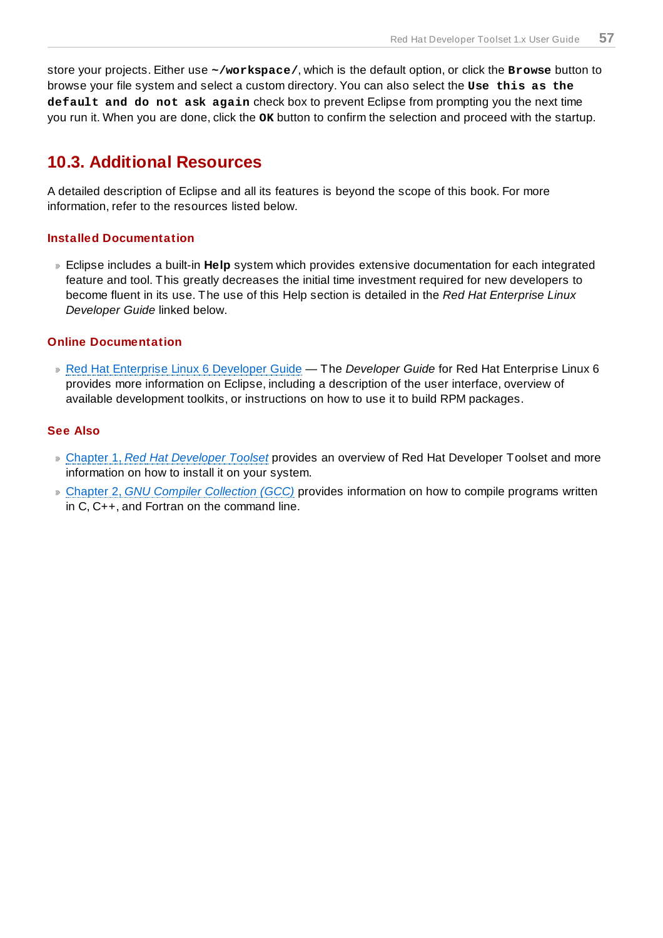store your projects. Either use **~/workspace/**, which is the default option, or click the **Browse** button to browse your file system and select a custom directory. You can also select the **Use this as the default and do not ask again** check box to prevent Eclipse from prompting you the next time you run it. When you are done, click the **OK** button to confirm the selection and proceed with the startup.

## **10.3. Additional Resources**

A detailed description of Eclipse and all its features is beyond the scope of this book. For more information, refer to the resources listed below.

### **Installed Documentation**

Eclipse includes a built-in **Help** system which provides extensive documentation for each integrated feature and tool. This greatly decreases the initial time investment required for new developers to become fluent in its use. The use of this Help section is detailed in the *Red Hat Enterprise Linux Developer Guide* linked below.

#### **Online Documentation**

Red Hat [Enterprise](https://access.redhat.com/knowledge/docs/en-US/Red_Hat_Enterprise_Linux/6/html/Developer_Guide/index.html) Linux 6 Developer Guide — The *Developer Guide* for Red Hat Enterprise Linux 6 provides more information on Eclipse, including a description of the user interface, overview of available development toolkits, or instructions on how to use it to build RPM packages.

#### **See Also**

- Chapter 1, *Red Hat [Developer](#page-14-0) Toolset* provides an overview of Red Hat Developer Toolset and more information on how to install it on your system.
- Chapter 2, *GNU Compiler [Collection](#page-22-0) (GCC)* provides information on how to compile programs written in C, C++, and Fortran on the command line.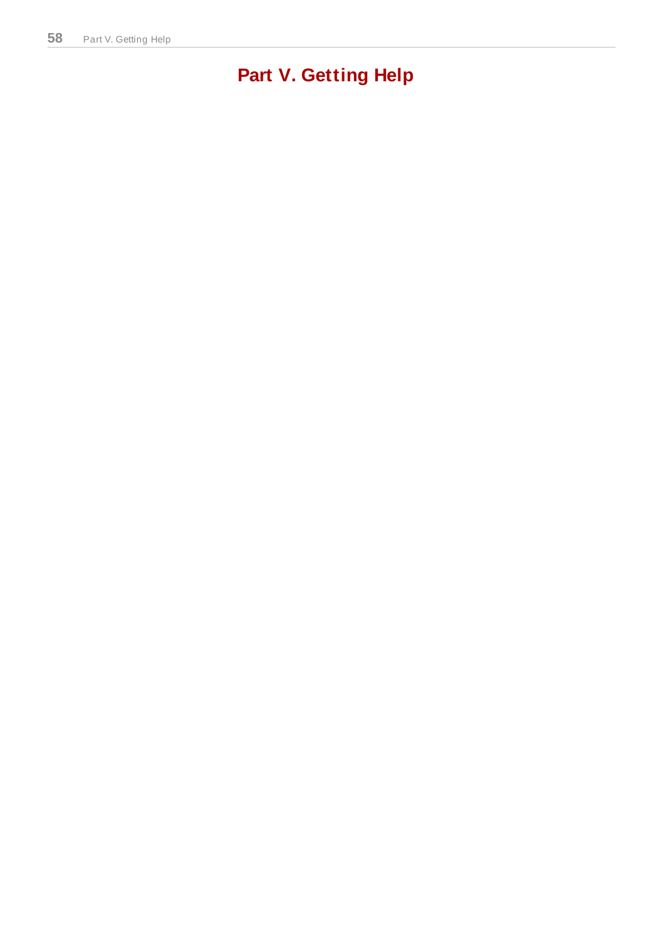# **Part V. Getting Help**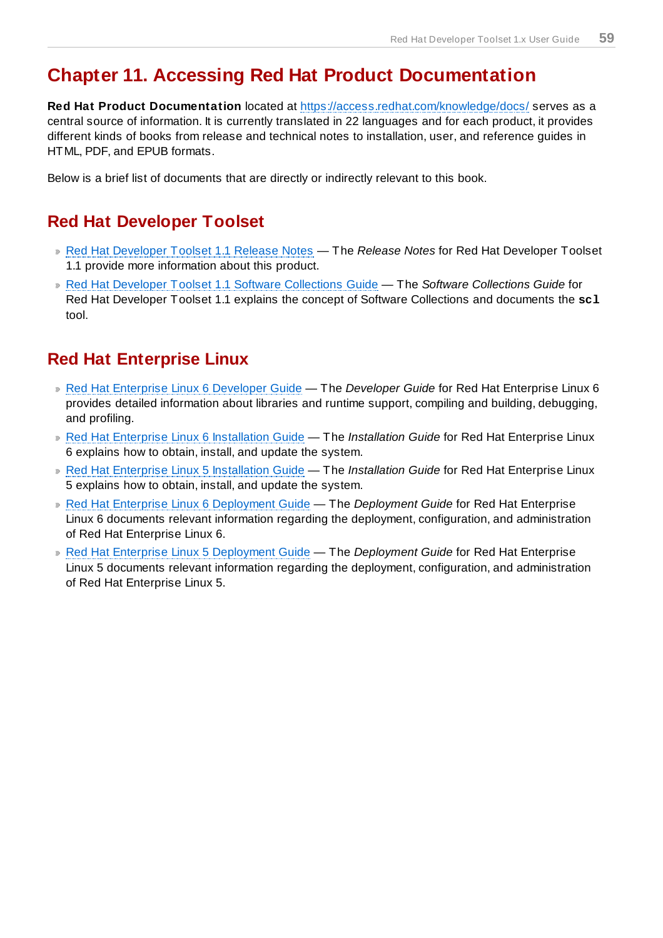# **Chapter 11. Accessing Red Hat Product Documentation**

**Red Hat Product Documentation** located at <https://access.redhat.com/knowledge/docs/> serves as a central source of information. It is currently translated in 22 languages and for each product, it provides different kinds of books from release and technical notes to installation, user, and reference guides in HTML, PDF, and EPUB formats.

Below is a brief list of documents that are directly or indirectly relevant to this book.

### **Red Hat Developer Toolset**

- Red Hat [Developer](https://access.redhat.com/knowledge/docs/en-US/Red_Hat_Developer_Toolset/1/html-single/1.1_Release_Notes/index.html) Toolset 1.1 Release Notes The *Release Notes* for Red Hat Developer Toolset 1.1 provide more information about this product.
- Red Hat Developer Toolset 1.1 Software [Collections](https://access.redhat.com/knowledge/docs/en-US/Red_Hat_Developer_Toolset/1/html/Software_Collections_Guide/index.html) Guide The *Software Collections Guide* for Red Hat Developer Toolset 1.1 explains the concept of Software Collections and documents the **scl** tool.

### **Red Hat Enterprise Linux**

- Red Hat [Enterprise](https://access.redhat.com/knowledge/docs/en-US/Red_Hat_Enterprise_Linux/6/html/Developer_Guide/index.html) Linux 6 Developer Guide The *Developer Guide* for Red Hat Enterprise Linux 6 provides detailed information about libraries and runtime support, compiling and building, debugging, and profiling.
- Red Hat Enterprise Linux 6 [Installation](https://access.redhat.com/knowledge/docs/en-US/Red_Hat_Enterprise_Linux/6/html/Installation_Guide/index.html) Guide The *Installation Guide* for Red Hat Enterprise Linux 6 explains how to obtain, install, and update the system.
- Red Hat Enterprise Linux 5 [Installation](https://access.redhat.com/knowledge/docs/en-US/Red_Hat_Enterprise_Linux/5/html/Installation_Guide/index.html) Guide The *Installation Guide* for Red Hat Enterprise Linux 5 explains how to obtain, install, and update the system.
- Red Hat Enterprise Linux 6 [Deployment](https://access.redhat.com/knowledge/docs/en-US/Red_Hat_Enterprise_Linux/6/html/Deployment_Guide/index.html) Guide The *Deployment Guide* for Red Hat Enterprise Linux 6 documents relevant information regarding the deployment, configuration, and administration of Red Hat Enterprise Linux 6.
- Red Hat Enterprise Linux 5 [Deployment](https://access.redhat.com/knowledge/docs/en-US/Red_Hat_Enterprise_Linux/5/html/Deployment_Guide/index.html) Guide The *Deployment Guide* for Red Hat Enterprise Linux 5 documents relevant information regarding the deployment, configuration, and administration of Red Hat Enterprise Linux 5.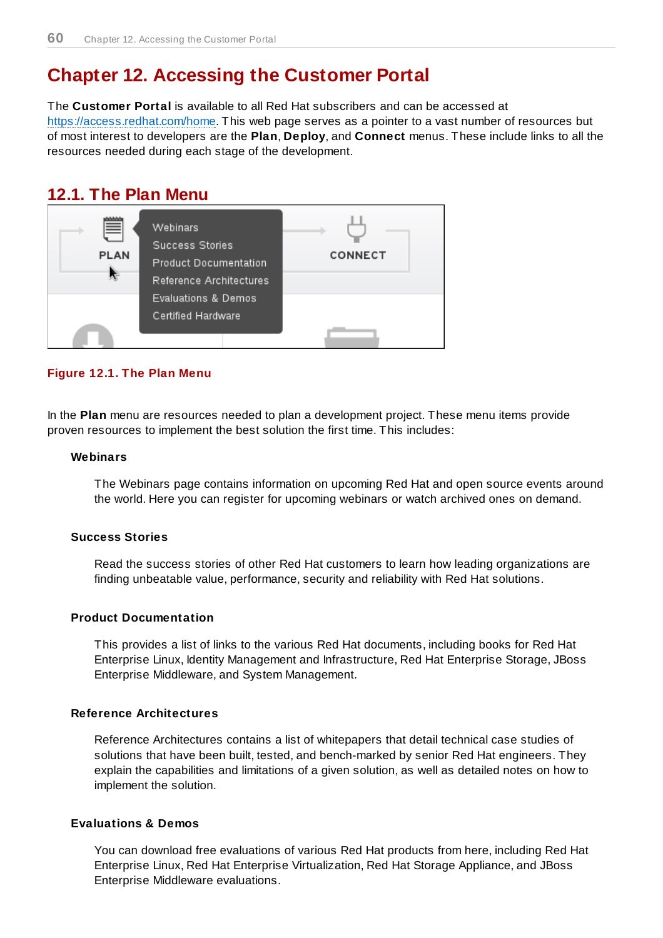# **Chapter 12. Accessing the Customer Portal**

The **Customer Portal** is available to all Red Hat subscribers and can be accessed at <https://access.redhat.com/home>. This web page serves as a pointer to a vast number of resources but of most interest to developers are the **Plan**, **Deploy**, and **Connect** menus. These include links to all the resources needed during each stage of the development.

### **12.1. The Plan Menu**



#### **Figure 12.1. The Plan Menu**

In the **Plan** menu are resources needed to plan a development project. These menu items provide proven resources to implement the best solution the first time. This includes:

#### **Webinars**

The Webinars page contains information on upcoming Red Hat and open source events around the world. Here you can register for upcoming webinars or watch archived ones on demand.

#### **Success Stories**

Read the success stories of other Red Hat customers to learn how leading organizations are finding unbeatable value, performance, security and reliability with Red Hat solutions.

#### **Product Documentation**

This provides a list of links to the various Red Hat documents, including books for Red Hat Enterprise Linux, Identity Management and Infrastructure, Red Hat Enterprise Storage, JBoss Enterprise Middleware, and System Management.

#### **Reference Architectures**

Reference Architectures contains a list of whitepapers that detail technical case studies of solutions that have been built, tested, and bench-marked by senior Red Hat engineers. They explain the capabilities and limitations of a given solution, as well as detailed notes on how to implement the solution.

#### **Evaluations & Demos**

You can download free evaluations of various Red Hat products from here, including Red Hat Enterprise Linux, Red Hat Enterprise Virtualization, Red Hat Storage Appliance, and JBoss Enterprise Middleware evaluations.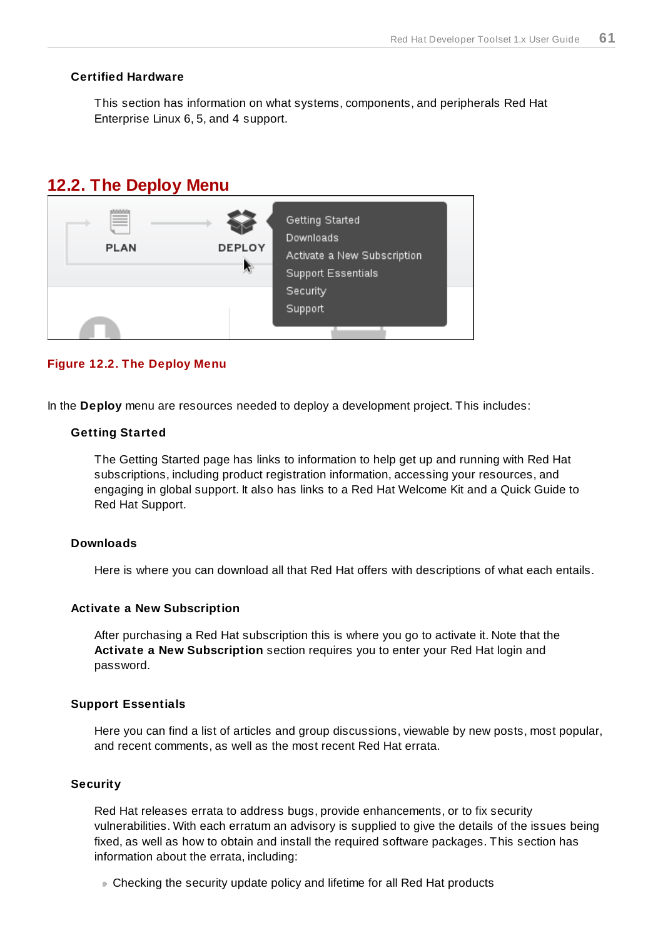#### **Certified Hardware**

This section has information on what systems, components, and peripherals Red Hat Enterprise Linux 6, 5, and 4 support.

### **12.2. The Deploy Menu**



#### **Figure 12.2. The Deploy Menu**

In the **Deploy** menu are resources needed to deploy a development project. This includes:

#### **Getting Started**

The Getting Started page has links to information to help get up and running with Red Hat subscriptions, including product registration information, accessing your resources, and engaging in global support. It also has links to a Red Hat Welcome Kit and a Quick Guide to Red Hat Support.

#### **Downloads**

Here is where you can download all that Red Hat offers with descriptions of what each entails.

#### **Activate a New Subscription**

After purchasing a Red Hat subscription this is where you go to activate it. Note that the **Activate a New Subscription** section requires you to enter your Red Hat login and password.

#### **Support Essentials**

Here you can find a list of articles and group discussions, viewable by new posts, most popular, and recent comments, as well as the most recent Red Hat errata.

#### **Security**

Red Hat releases errata to address bugs, provide enhancements, or to fix security vulnerabilities. With each erratum an advisory is supplied to give the details of the issues being fixed, as well as how to obtain and install the required software packages. This section has information about the errata, including:

Checking the security update policy and lifetime for all Red Hat products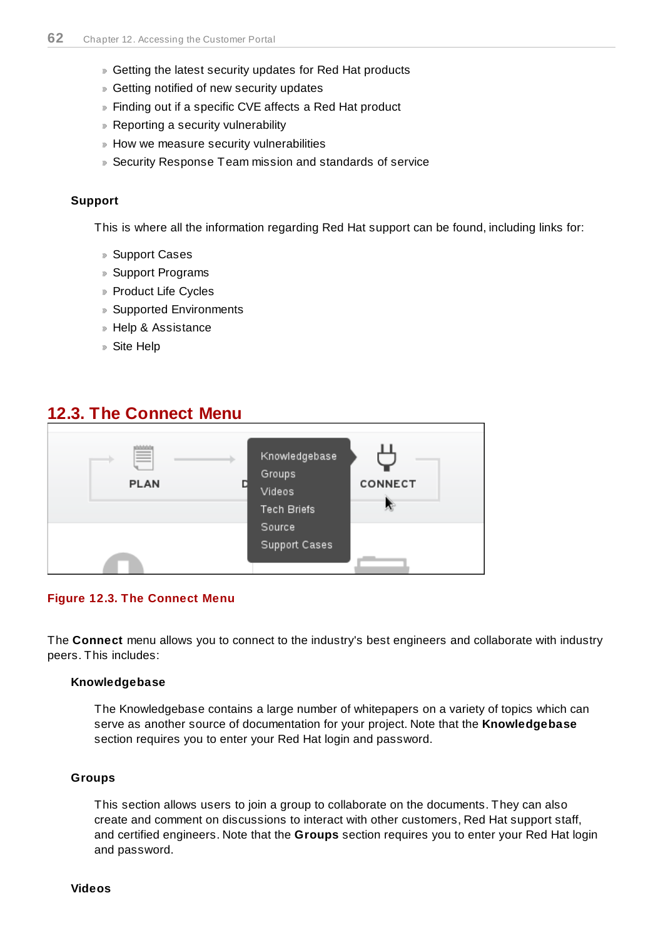- Getting the latest security updates for Red Hat products
- Getting notified of new security updates
- Finding out if a specific CVE affects a Red Hat product
- Reporting a security vulnerability
- **How we measure security vulnerabilities**
- Security Response Team mission and standards of service

#### **Support**

This is where all the information regarding Red Hat support can be found, including links for:

- Support Cases
- **Support Programs**
- **Product Life Cycles**
- **Supported Environments**
- **Help & Assistance**
- Site Help

### **12.3. The Connect Menu**



#### **Figure 12.3. The Connect Menu**

The **Connect** menu allows you to connect to the industry's best engineers and collaborate with industry peers. This includes:

#### **Knowledgebase**

The Knowledgebase contains a large number of whitepapers on a variety of topics which can serve as another source of documentation for your project. Note that the **Knowledgebase** section requires you to enter your Red Hat login and password.

#### **Groups**

This section allows users to join a group to collaborate on the documents. They can also create and comment on discussions to interact with other customers, Red Hat support staff, and certified engineers. Note that the **Groups** section requires you to enter your Red Hat login and password.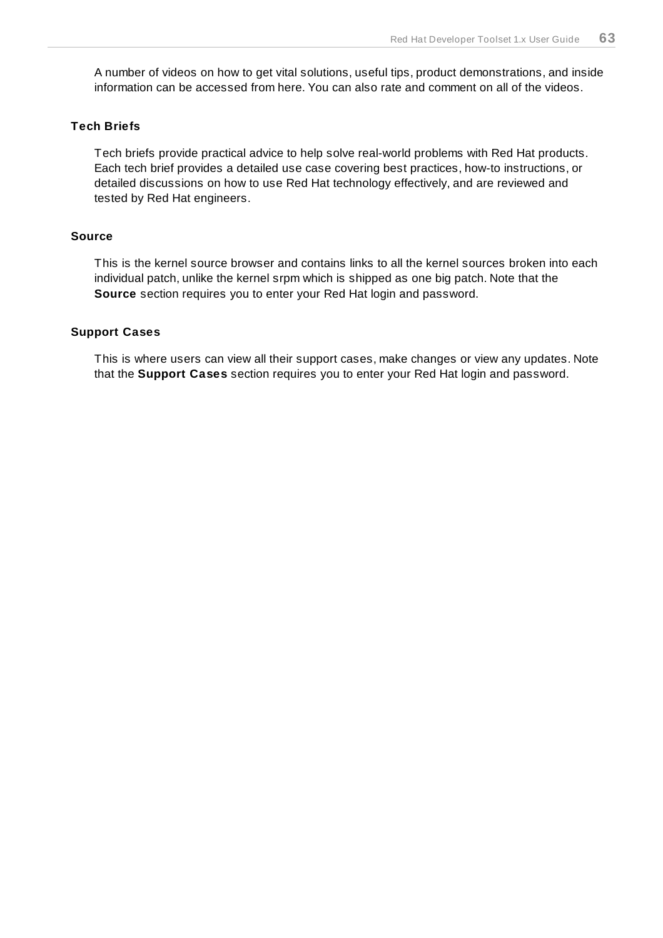A number of videos on how to get vital solutions, useful tips, product demonstrations, and inside information can be accessed from here. You can also rate and comment on all of the videos.

#### **Tech Briefs**

Tech briefs provide practical advice to help solve real-world problems with Red Hat products. Each tech brief provides a detailed use case covering best practices, how-to instructions, or detailed discussions on how to use Red Hat technology effectively, and are reviewed and tested by Red Hat engineers.

#### **Source**

This is the kernel source browser and contains links to all the kernel sources broken into each individual patch, unlike the kernel srpm which is shipped as one big patch. Note that the **Source** section requires you to enter your Red Hat login and password.

#### **Support Cases**

This is where users can view all their support cases, make changes or view any updates. Note that the **Support Cases** section requires you to enter your Red Hat login and password.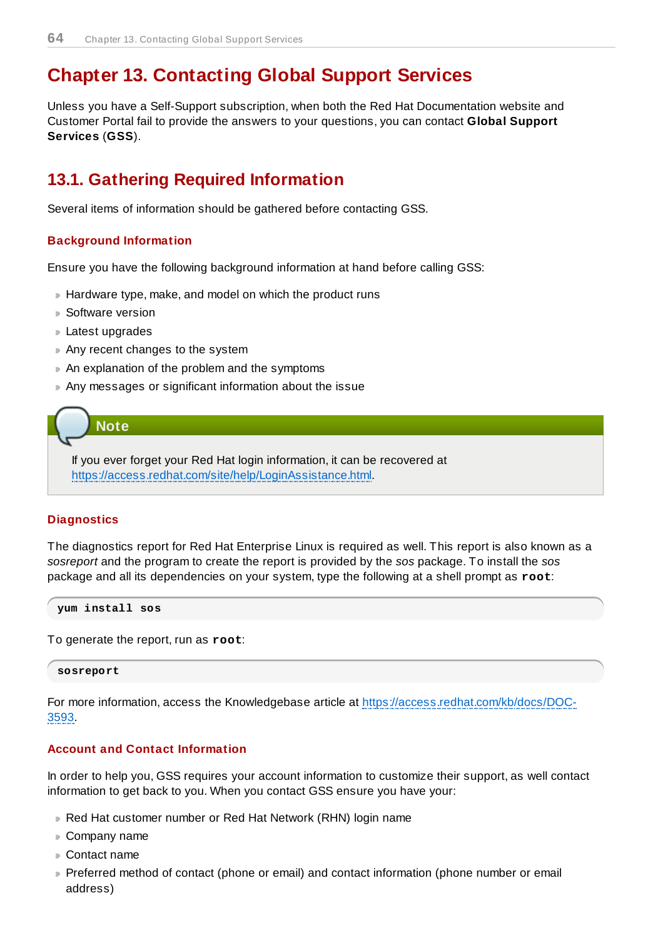# **Chapter 13. Contacting Global Support Services**

Unless you have a Self-Support subscription, when both the Red Hat Documentation website and Customer Portal fail to provide the answers to your questions, you can contact **Global Support Services** (**GSS**).

## **13.1. Gathering Required Information**

Several items of information should be gathered before contacting GSS.

#### **Background Information**

Ensure you have the following background information at hand before calling GSS:

- Hardware type, make, and model on which the product runs
- Software version
- Latest upgrades
- Any recent changes to the system
- An explanation of the problem and the symptoms
- Any messages or significant information about the issue

**Note**

If you ever forget your Red Hat login information, it can be recovered at <https://access.redhat.com/site/help/LoginAssistance.html>.

#### **Diagnostics**

The diagnostics report for Red Hat Enterprise Linux is required as well. This report is also known as a *sosreport* and the program to create the report is provided by the *sos* package. To install the *sos* package and all its dependencies on your system, type the following at a shell prompt as **root**:

#### **yum install sos**

To generate the report, run as **root**:

#### **sosreport**

For more information, access the Knowledgebase article at [https://access.redhat.com/kb/docs/DOC-](https://access.redhat.com/kb/docs/DOC-3593)3593.

#### **Account and Contact Information**

In order to help you, GSS requires your account information to customize their support, as well contact information to get back to you. When you contact GSS ensure you have your:

- Red Hat customer number or Red Hat Network (RHN) login name
- **Example 13 Company name**
- Contact name
- Preferred method of contact (phone or email) and contact information (phone number or email address)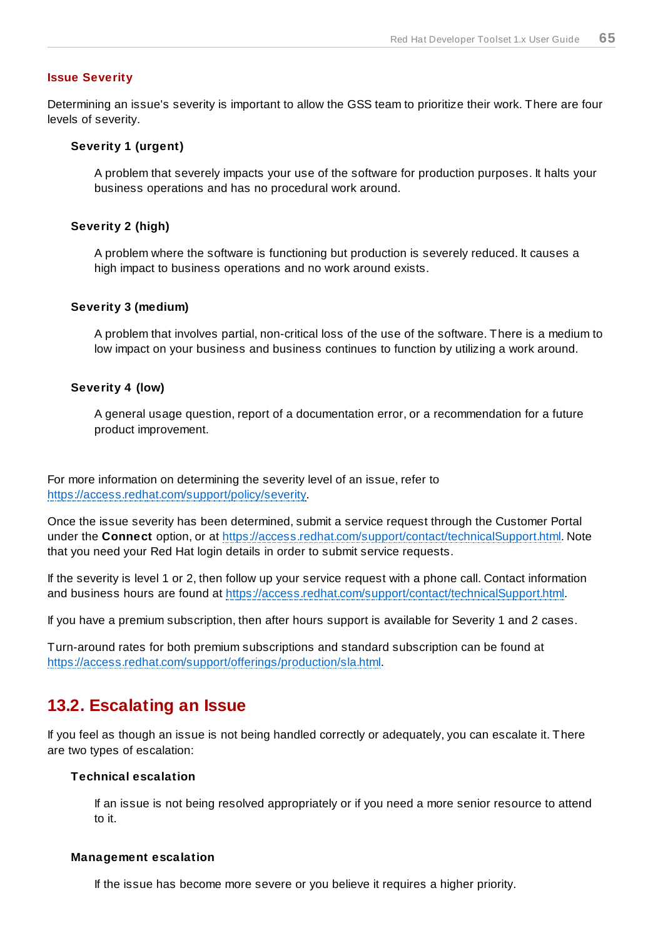#### **Issue Severity**

Determining an issue's severity is important to allow the GSS team to prioritize their work. There are four levels of severity.

#### **Severity 1 (urgent)**

A problem that severely impacts your use of the software for production purposes. It halts your business operations and has no procedural work around.

#### **Severity 2 (high)**

A problem where the software is functioning but production is severely reduced. It causes a high impact to business operations and no work around exists.

#### **Severity 3 (medium)**

A problem that involves partial, non-critical loss of the use of the software. There is a medium to low impact on your business and business continues to function by utilizing a work around.

#### **Severity 4 (low)**

A general usage question, report of a documentation error, or a recommendation for a future product improvement.

For more information on determining the severity level of an issue, refer to [https://access.redhat.com/support/policy/severity.](https://access.redhat.com/support/policy/severity)

Once the issue severity has been determined, submit a service request through the Customer Portal under the **Connect** option, or at <https://access.redhat.com/support/contact/technicalSupport.html>. Note that you need your Red Hat login details in order to submit service requests.

If the severity is level 1 or 2, then follow up your service request with a phone call. Contact information and business hours are found at <https://access.redhat.com/support/contact/technicalSupport.html>.

If you have a premium subscription, then after hours support is available for Severity 1 and 2 cases.

Turn-around rates for both premium subscriptions and standard subscription can be found at <https://access.redhat.com/support/offerings/production/sla.html>.

### **13.2. Escalating an Issue**

If you feel as though an issue is not being handled correctly or adequately, you can escalate it. There are two types of escalation:

#### **Technical escalation**

If an issue is not being resolved appropriately or if you need a more senior resource to attend to it.

#### **Management escalation**

If the issue has become more severe or you believe it requires a higher priority.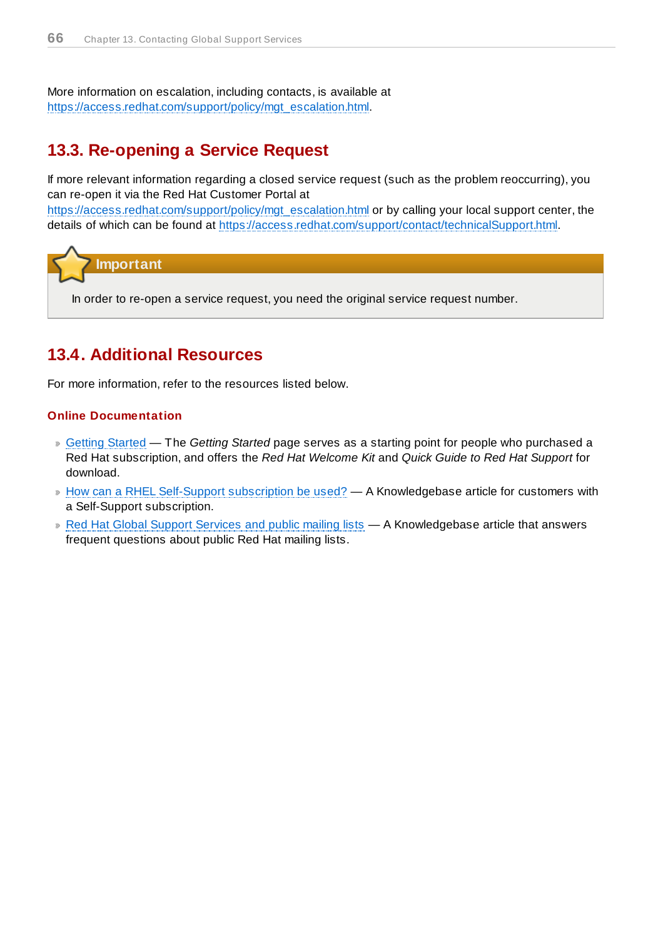More information on escalation, including contacts, is available at [https://access.redhat.com/support/policy/mgt\\_escalation.html](https://access.redhat.com/support/policy/mgt_escalation.html).

# **13.3. Re-opening a Service Request**

If more relevant information regarding a closed service request (such as the problem reoccurring), you can re-open it via the Red Hat Customer Portal at [https://access.redhat.com/support/policy/mgt\\_escalation.html](https://access.redhat.com/support/policy/mgt_escalation.html) or by calling your local support center, the

details of which can be found at <https://access.redhat.com/support/contact/technicalSupport.html>.



### **13.4. Additional Resources**

For more information, refer to the resources listed below.

#### **Online Documentation**

- [Getting](https://access.redhat.com/support/start/) Started The *Getting Started* page serves as a starting point for people who purchased a Red Hat subscription, and offers the *Red Hat Welcome Kit* and *Quick Guide to Red Hat Support* for download.
- How can a RHEL [Self-Support](https://access.redhat.com/knowledge/articles/54702) subscription be used? A Knowledgebase article for customers with a Self-Support subscription.
- Red Hat Global Support [Services](https://access.redhat.com/knowledge/articles/92323) and public mailing lists A Knowledgebase article that answers frequent questions about public Red Hat mailing lists.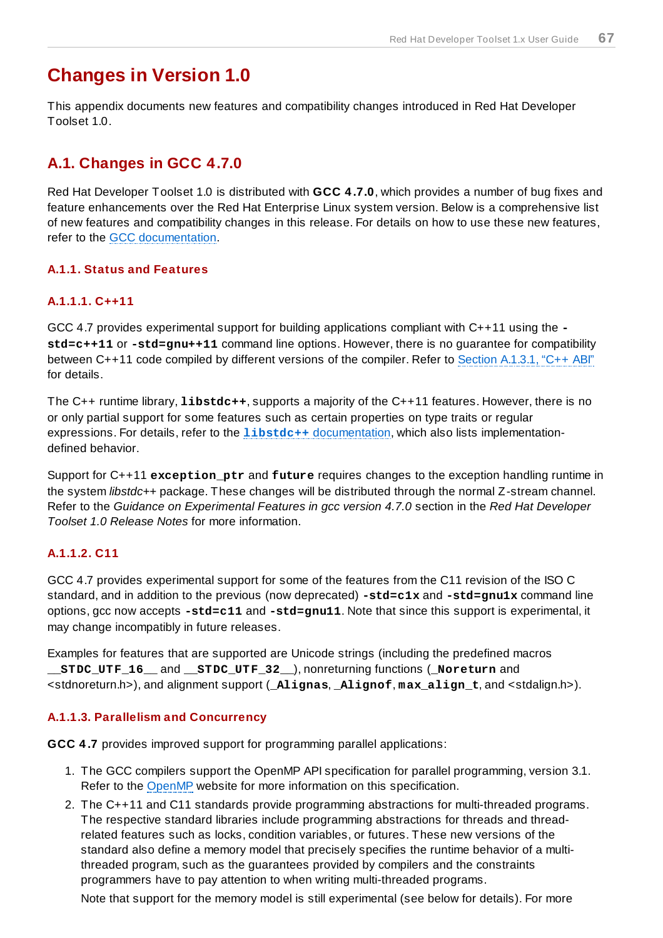# **Changes in Version 1.0**

This appendix documents new features and compatibility changes introduced in Red Hat Developer Toolset 1.0.

### **A.1. Changes in GCC 4.7.0**

Red Hat Developer Toolset 1.0 is distributed with **GCC 4 .7.0**, which provides a number of bug fixes and feature enhancements over the Red Hat Enterprise Linux system version. Below is a comprehensive list of new features and compatibility changes in this release. For details on how to use these new features, refer to the GCC [documentation](http://gcc.gnu.org/onlinedocs/).

### **A.1.1. Status and Features**

### <span id="page-66-0"></span>**A.1.1.1. C++11**

GCC 4.7 provides experimental support for building applications compliant with C++11 using the  **std=c++11** or **-std=gnu++11** command line options. However, there is no guarantee for compatibility between C++11 code compiled by different versions of the compiler. Refer to [Section](#page-76-0) A.1.3.1, "C++ ABI" for details.

The C++ runtime library, **libstdc++**, supports a majority of the C++11 features. However, there is no or only partial support for some features such as certain properties on type traits or regular expressions. For details, refer to the **libstdc++** [documentation](http://gcc.gnu.org/onlinedocs/gcc-4.7.0/libstdc++/manual/manual/status.html#status.iso.2011), which also lists implementationdefined behavior.

Support for C++11 **exception\_ptr** and **future** requires changes to the exception handling runtime in the system *libstdc++* package. These changes will be distributed through the normal Z-stream channel. Refer to the *Guidance on Experimental Features in gcc version 4.7.0* section in the *Red Hat Developer Toolset 1.0 Release Notes* for more information.

### <span id="page-66-1"></span>**A.1.1.2. C11**

GCC 4.7 provides experimental support for some of the features from the C11 revision of the ISO C standard, and in addition to the previous (now deprecated) **-std=c1x** and **-std=gnu1x** command line options, gcc now accepts **-std=c11** and **-std=gnu11**. Note that since this support is experimental, it may change incompatibly in future releases.

Examples for features that are supported are Unicode strings (including the predefined macros **\_\_STDC\_UTF\_16\_\_** and **\_\_STDC\_UTF\_32\_\_**), nonreturning functions (**\_Noreturn** and <stdnoreturn.h>), and alignment support (**\_Alignas**, **\_Alignof**, **max\_align\_t**, and <stdalign.h>).

### **A.1.1.3. Parallelism and Concurrency**

**GCC 4 .7** provides improved support for programming parallel applications:

- 1. The GCC compilers support the OpenMP API specification for parallel programming, version 3.1. Refer to the [OpenMP](http://openmp.org/wp/openmp-specifications/) website for more information on this specification.
- 2. The C++11 and C11 standards provide programming abstractions for multi-threaded programs. The respective standard libraries include programming abstractions for threads and threadrelated features such as locks, condition variables, or futures. These new versions of the standard also define a memory model that precisely specifies the runtime behavior of a multithreaded program, such as the guarantees provided by compilers and the constraints programmers have to pay attention to when writing multi-threaded programs.

Note that support for the memory model is still experimental (see below for details). For more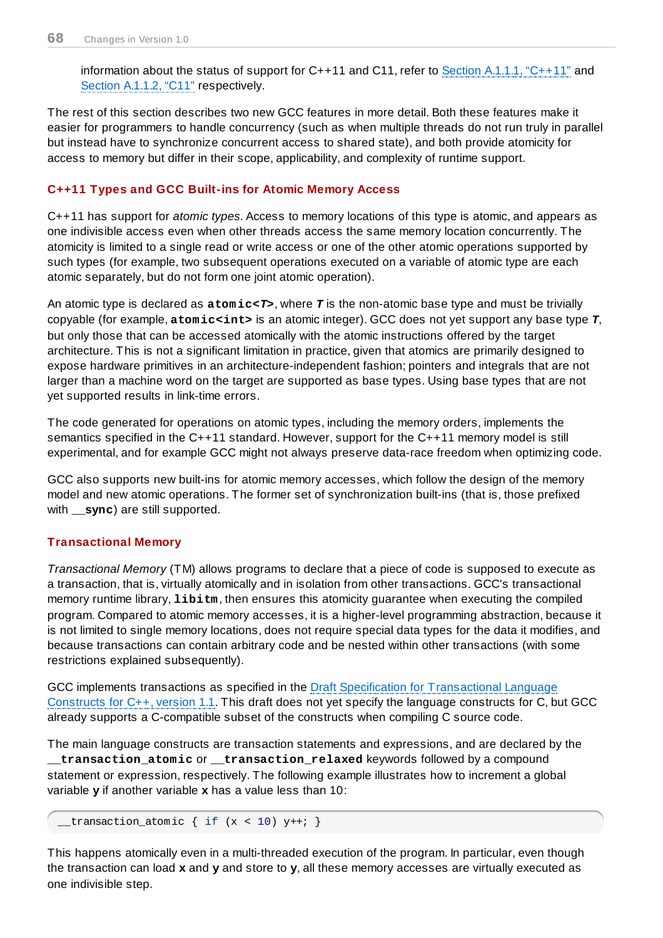information about the status of support for C++11 and C11, refer to Section A.1.1.1, ["C++11"](#page-66-0) and [Section](#page-66-1) A.1.1.2, "C11" respectively.

The rest of this section describes two new GCC features in more detail. Both these features make it easier for programmers to handle concurrency (such as when multiple threads do not run truly in parallel but instead have to synchronize concurrent access to shared state), and both provide atomicity for access to memory but differ in their scope, applicability, and complexity of runtime support.

#### **C++11 Types and GCC Built-ins for Atomic Memory Access**

C++11 has support for *atomic types*. Access to memory locations of this type is atomic, and appears as one indivisible access even when other threads access the same memory location concurrently. The atomicity is limited to a single read or write access or one of the other atomic operations supported by such types (for example, two subsequent operations executed on a variable of atomic type are each atomic separately, but do not form one joint atomic operation).

An atomic type is declared as **atomic**< $\tau$ >, where  $\tau$  is the non-atomic base type and must be trivially copyable (for example, **atomic<int>** is an atomic integer). GCC does not yet support any base type **T**, but only those that can be accessed atomically with the atomic instructions offered by the target architecture. This is not a significant limitation in practice, given that atomics are primarily designed to expose hardware primitives in an architecture-independent fashion; pointers and integrals that are not larger than a machine word on the target are supported as base types. Using base types that are not yet supported results in link-time errors.

The code generated for operations on atomic types, including the memory orders, implements the semantics specified in the C++11 standard. However, support for the C++11 memory model is still experimental, and for example GCC might not always preserve data-race freedom when optimizing code.

GCC also supports new built-ins for atomic memory accesses, which follow the design of the memory model and new atomic operations. The former set of synchronization built-ins (that is, those prefixed with **\_\_sync**) are still supported.

#### **Transactional Memory**

*Transactional Memory* (TM) allows programs to declare that a piece of code is supposed to execute as a transaction, that is, virtually atomically and in isolation from other transactions. GCC's transactional memory runtime library, **libitm**, then ensures this atomicity guarantee when executing the compiled program. Compared to atomic memory accesses, it is a higher-level programming abstraction, because it is not limited to single memory locations, does not require special data types for the data it modifies, and because transactions can contain arbitrary code and be nested within other transactions (with some restrictions explained subsequently).

GCC implements transactions as specified in the Draft Specification for [Transactional](https://sites.google.com/site/tmforcplusplus/) Language Constructs for C++, version 1.1. This draft does not yet specify the language constructs for C, but GCC already supports a C-compatible subset of the constructs when compiling C source code.

The main language constructs are transaction statements and expressions, and are declared by the **\_\_transaction\_atomic** or **\_\_transaction\_relaxed** keywords followed by a compound statement or expression, respectively. The following example illustrates how to increment a global variable **y** if another variable **x** has a value less than 10:

```
transaction_atomic { if (x < 10) y++; }
```
This happens atomically even in a multi-threaded execution of the program. In particular, even though the transaction can load **x** and **y** and store to **y**, all these memory accesses are virtually executed as one indivisible step.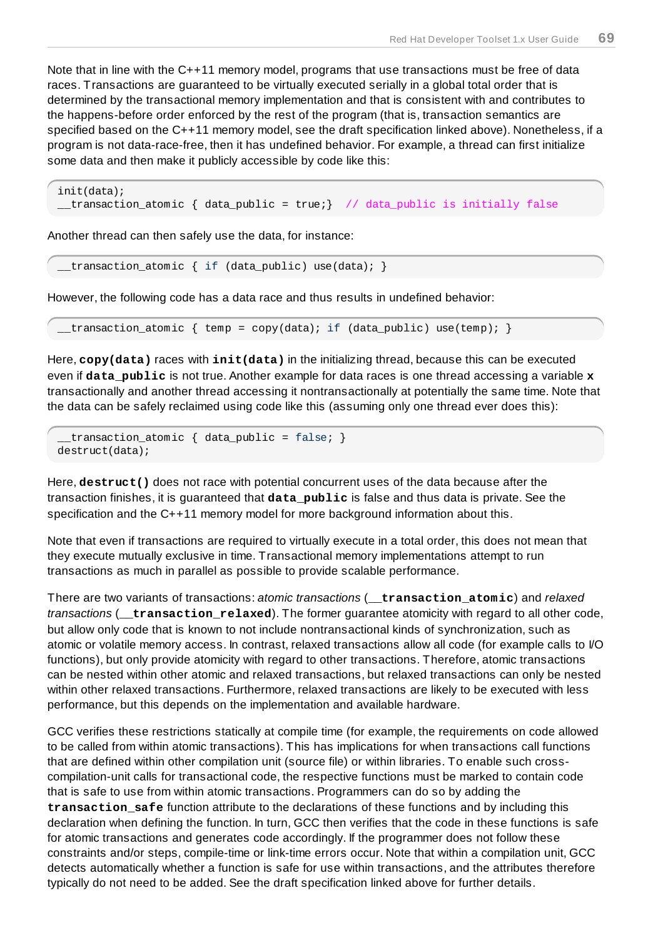Note that in line with the C++11 memory model, programs that use transactions must be free of data races. Transactions are guaranteed to be virtually executed serially in a global total order that is determined by the transactional memory implementation and that is consistent with and contributes to the happens-before order enforced by the rest of the program (that is, transaction semantics are specified based on the C++11 memory model, see the draft specification linked above). Nonetheless, if a program is not data-race-free, then it has undefined behavior. For example, a thread can first initialize some data and then make it publicly accessible by code like this:

```
init(data);
 _ttransaction_atomic { data_public = true;} // data_public is initially false
```
Another thread can then safely use the data, for instance:

 $_1$ transaction\_atomic { if (data\_public) use(data); }

However, the following code has a data race and thus results in undefined behavior:

transaction\_atomic { temp = copy(data); if (data\_public) use(temp); }

Here, **copy(data)** races with **init(data)** in the initializing thread, because this can be executed even if **data\_public** is not true. Another example for data races is one thread accessing a variable **x** transactionally and another thread accessing it nontransactionally at potentially the same time. Note that the data can be safely reclaimed using code like this (assuming only one thread ever does this):

 $transaction\_atomic$  { data\_public = false; } destruct(data);

Here, **destruct()** does not race with potential concurrent uses of the data because after the transaction finishes, it is guaranteed that **data\_public** is false and thus data is private. See the specification and the C++11 memory model for more background information about this.

Note that even if transactions are required to virtually execute in a total order, this does not mean that they execute mutually exclusive in time. Transactional memory implementations attempt to run transactions as much in parallel as possible to provide scalable performance.

There are two variants of transactions: *atomic transactions* (**\_\_transaction\_atomic**) and *relaxed transactions* (**\_\_transaction\_relaxed**). The former guarantee atomicity with regard to all other code, but allow only code that is known to not include nontransactional kinds of synchronization, such as atomic or volatile memory access. In contrast, relaxed transactions allow all code (for example calls to I/O functions), but only provide atomicity with regard to other transactions. Therefore, atomic transactions can be nested within other atomic and relaxed transactions, but relaxed transactions can only be nested within other relaxed transactions. Furthermore, relaxed transactions are likely to be executed with less performance, but this depends on the implementation and available hardware.

GCC verifies these restrictions statically at compile time (for example, the requirements on code allowed to be called from within atomic transactions). This has implications for when transactions call functions that are defined within other compilation unit (source file) or within libraries. To enable such crosscompilation-unit calls for transactional code, the respective functions must be marked to contain code that is safe to use from within atomic transactions. Programmers can do so by adding the **transaction\_safe** function attribute to the declarations of these functions and by including this declaration when defining the function. In turn, GCC then verifies that the code in these functions is safe for atomic transactions and generates code accordingly. If the programmer does not follow these constraints and/or steps, compile-time or link-time errors occur. Note that within a compilation unit, GCC detects automatically whether a function is safe for use within transactions, and the attributes therefore typically do not need to be added. See the draft specification linked above for further details.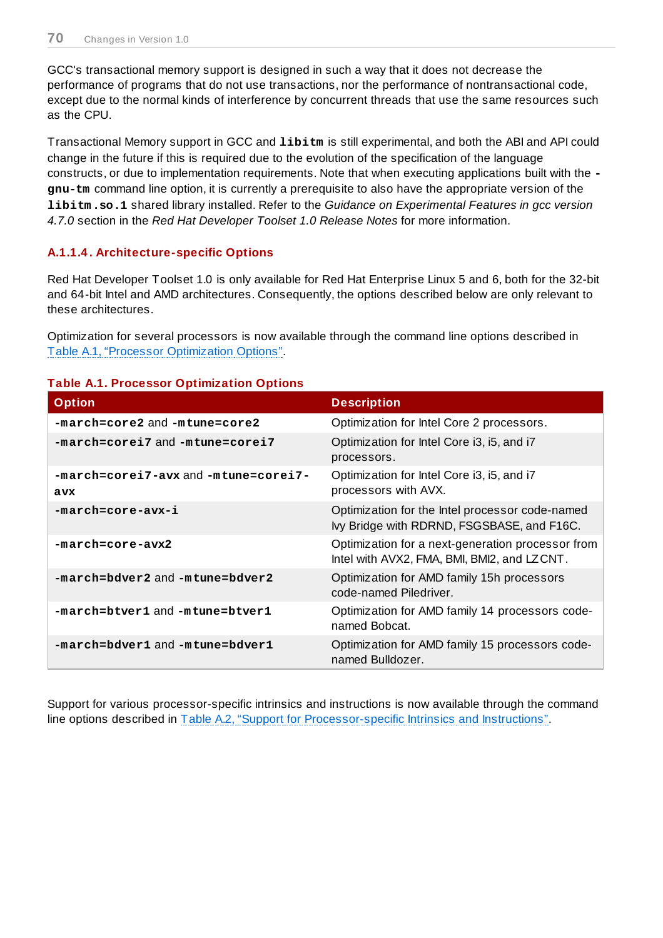GCC's transactional memory support is designed in such a way that it does not decrease the performance of programs that do not use transactions, nor the performance of nontransactional code, except due to the normal kinds of interference by concurrent threads that use the same resources such as the CPU.

Transactional Memory support in GCC and **libitm** is still experimental, and both the ABI and API could change in the future if this is required due to the evolution of the specification of the language constructs, or due to implementation requirements. Note that when executing applications built with the  **gnu-tm** command line option, it is currently a prerequisite to also have the appropriate version of the **libitm.so.1** shared library installed. Refer to the *Guidance on Experimental Features in gcc version 4.7.0* section in the *Red Hat Developer Toolset 1.0 Release Notes* for more information.

#### **A.1.1.4 . Architecture-specific Options**

Red Hat Developer Toolset 1.0 is only available for Red Hat Enterprise Linux 5 and 6, both for the 32-bit and 64-bit Intel and AMD architectures. Consequently, the options described below are only relevant to these architectures.

Optimization for several processors is now available through the command line options described in Table A.1, "Processor [Optimization](#page-69-0) Options".

#### <span id="page-69-0"></span>**Table A.1. Processor Optimization Options**

| <b>Option</b>                               | <b>Description</b>                                                                               |
|---------------------------------------------|--------------------------------------------------------------------------------------------------|
| -march=core2 and -mtune=core2               | Optimization for Intel Core 2 processors.                                                        |
| -march=corei7 and -mtune=corei7             | Optimization for Intel Core i3, i5, and i7<br>processors.                                        |
| -march=corei7-avx and -mtune=corei7-<br>avx | Optimization for Intel Core i3, i5, and i7<br>processors with AVX.                               |
| -march=core-avx-i                           | Optimization for the Intel processor code-named<br>Ivy Bridge with RDRND, FSGSBASE, and F16C.    |
| -march=core-avx2                            | Optimization for a next-generation processor from<br>Intel with AVX2, FMA, BMI, BMI2, and LZCNT. |
| -march=bdver2 and -mtune=bdver2             | Optimization for AMD family 15h processors<br>code-named Piledriver.                             |
| -march=btver1 and -mtune=btver1             | Optimization for AMD family 14 processors code-<br>named Bobcat.                                 |
| -march=bdver1 and -mtune=bdver1             | Optimization for AMD family 15 processors code-<br>named Bulldozer.                              |

Support for various processor-specific intrinsics and instructions is now available through the command line options described in Table A.2, "Support for [Processor-specific](#page-70-0) Intrinsics and Instructions".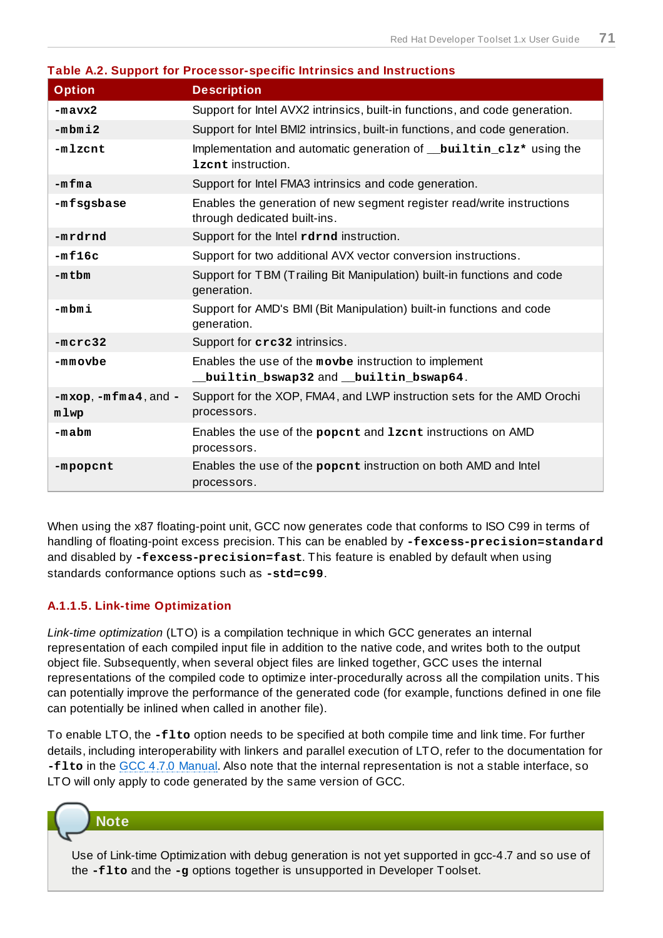| <b>Option</b>                                                | 011 101 1 10000001 0poolno intrinoioo ana motraotiono<br><b>Description</b>                            |
|--------------------------------------------------------------|--------------------------------------------------------------------------------------------------------|
| -mayx2                                                       | Support for Intel AVX2 intrinsics, built-in functions, and code generation.                            |
| $-mbmi2$                                                     | Support for Intel BMI2 intrinsics, built-in functions, and code generation.                            |
| $-mlzcnt$                                                    | Implementation and automatic generation of <b>_builtin_clz</b> * using the<br>1zcnt instruction.       |
| -mfma                                                        | Support for Intel FMA3 intrinsics and code generation.                                                 |
| -mfsgsbase                                                   | Enables the generation of new segment register read/write instructions<br>through dedicated built-ins. |
| -mrdrnd                                                      | Support for the Intel rdrnd instruction.                                                               |
| $-mf16c$                                                     | Support for two additional AVX vector conversion instructions.                                         |
| $-m$ tbm                                                     | Support for TBM (Trailing Bit Manipulation) built-in functions and code<br>generation.                 |
| $-mbm i$                                                     | Support for AMD's BMI (Bit Manipulation) built-in functions and code<br>generation.                    |
| $-merc32$                                                    | Support for crc32 intrinsics.                                                                          |
| -mmovbe                                                      | Enables the use of the movbe instruction to implement<br>builtin_bswap32 and __builtin_bswap64.        |
| $-mxop, -mfma4, and -$<br>$m \, \mathbf{1}$ <sub>W</sub> $p$ | Support for the XOP, FMA4, and LWP instruction sets for the AMD Orochi<br>processors.                  |
| -mabm                                                        | Enables the use of the popcnt and 1zcnt instructions on AMD<br>processors.                             |
| -mpopcnt                                                     | Enables the use of the popcnt instruction on both AMD and Intel<br>processors.                         |

<span id="page-70-0"></span>**Table A.2. Support for Processor-specific Intrinsics and Instructions**

When using the x87 floating-point unit, GCC now generates code that conforms to ISO C99 in terms of handling of floating-point excess precision. This can be enabled by **-fexcess-precision=standard** and disabled by **-fexcess-precision=fast**. This feature is enabled by default when using standards conformance options such as **-std=c99**.

#### **A.1.1.5. Link-time Optimization**

*Link-time optimization* (LTO) is a compilation technique in which GCC generates an internal representation of each compiled input file in addition to the native code, and writes both to the output object file. Subsequently, when several object files are linked together, GCC uses the internal representations of the compiled code to optimize inter-procedurally across all the compilation units. This can potentially improve the performance of the generated code (for example, functions defined in one file can potentially be inlined when called in another file).

To enable LTO, the **-flto** option needs to be specified at both compile time and link time. For further details, including interoperability with linkers and parallel execution of LTO, refer to the documentation for **-flto** in the GCC 4.7.0 [Manual](http://gcc.gnu.org/onlinedocs/gcc-4.7.0/gcc/Optimize-Options.html). Also note that the internal representation is not a stable interface, so LTO will only apply to code generated by the same version of GCC.

**Note**

Use of Link-time Optimization with debug generation is not yet supported in gcc-4.7 and so use of the **-flto** and the **-g** options together is unsupported in Developer Toolset.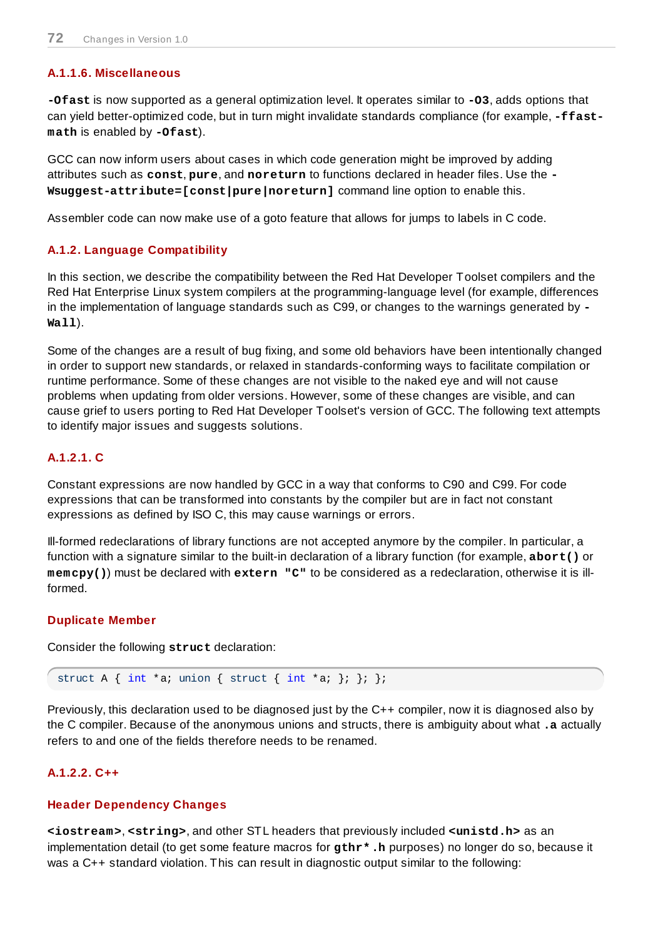#### **A.1.1.6. Miscellaneous**

**-Ofast** is now supported as a general optimization level. It operates similar to **-O3**, adds options that can yield better-optimized code, but in turn might invalidate standards compliance (for example, **-ffastmath** is enabled by **-Ofast**).

GCC can now inform users about cases in which code generation might be improved by adding attributes such as **const**, **pure**, and **noreturn** to functions declared in header files. Use the **- Westlest-attribute=[const|pure|noreturn]** command line option to enable this.

Assembler code can now make use of a goto feature that allows for jumps to labels in C code.

#### **A.1.2. Language Compatibility**

In this section, we describe the compatibility between the Red Hat Developer Toolset compilers and the Red Hat Enterprise Linux system compilers at the programming-language level (for example, differences in the implementation of language standards such as C99, or changes to the warnings generated by **- Wall**).

Some of the changes are a result of bug fixing, and some old behaviors have been intentionally changed in order to support new standards, or relaxed in standards-conforming ways to facilitate compilation or runtime performance. Some of these changes are not visible to the naked eye and will not cause problems when updating from older versions. However, some of these changes are visible, and can cause grief to users porting to Red Hat Developer Toolset's version of GCC. The following text attempts to identify major issues and suggests solutions.

### **A.1.2.1. C**

Constant expressions are now handled by GCC in a way that conforms to C90 and C99. For code expressions that can be transformed into constants by the compiler but are in fact not constant expressions as defined by ISO C, this may cause warnings or errors.

Ill-formed redeclarations of library functions are not accepted anymore by the compiler. In particular, a function with a signature similar to the built-in declaration of a library function (for example, **abort()** or **memcpy()**) must be declared with **extern "C"** to be considered as a redeclaration, otherwise it is illformed.

#### **Duplicate Member**

Consider the following **struct** declaration:

```
struct A { int *a; union { struct { int *a; }; }; };
```
Previously, this declaration used to be diagnosed just by the C++ compiler, now it is diagnosed also by the C compiler. Because of the anonymous unions and structs, there is ambiguity about what **.a** actually refers to and one of the fields therefore needs to be renamed.

### **A.1.2.2. C++**

#### **Header Dependency Changes**

**<iostream>**, **<string>**, and other STL headers that previously included **<unistd.h>** as an implementation detail (to get some feature macros for **gthr\*.h** purposes) no longer do so, because it was a C++ standard violation. This can result in diagnostic output similar to the following: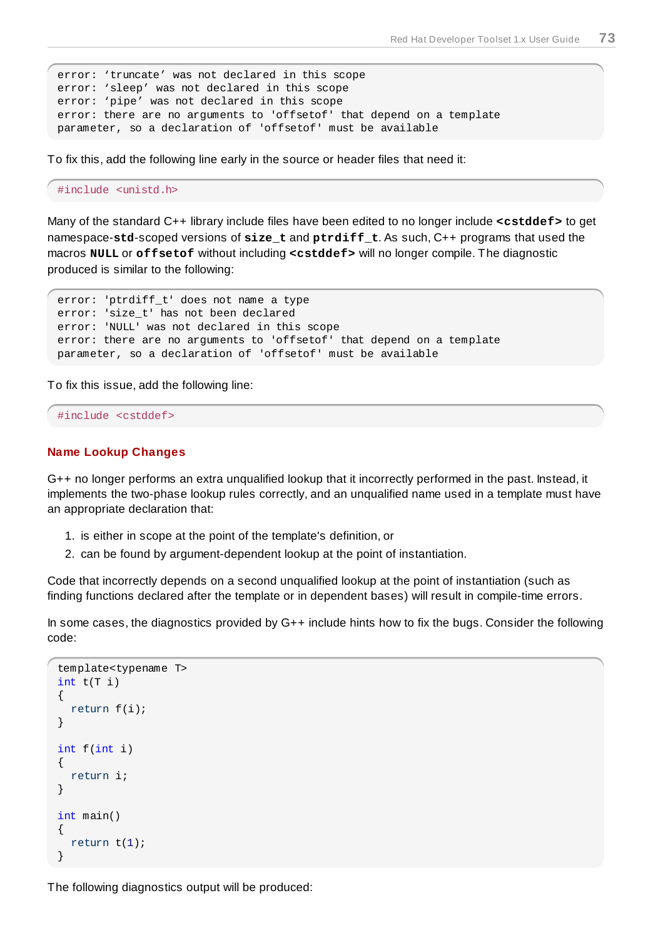```
error: 'truncate' was not declared in this scope
error: 'sleep' was not declared in this scope
error: 'pipe' was not declared in this scope
error: there are no arguments to 'offsetof' that depend on a template
parameter, so a declaration of 'offsetof' must be available
```
To fix this, add the following line early in the source or header files that need it:

#include <unistd.h>

Many of the standard C++ library include files have been edited to no longer include **<cstddef>** to get namespace-**std**-scoped versions of **size\_t** and **ptrdiff\_t**. As such, C++ programs that used the macros **NULL** or **offsetof** without including **<cstddef>** will no longer compile. The diagnostic produced is similar to the following:

error: 'ptrdiff\_t' does not name a type error: 'size\_t' has not been declared error: 'NULL' was not declared in this scope error: there are no arguments to 'offsetof' that depend on a template parameter, so a declaration of 'offsetof' must be available

To fix this issue, add the following line:

#include <cstddef>

#### **Name Lookup Changes**

G++ no longer performs an extra unqualified lookup that it incorrectly performed in the past. Instead, it implements the two-phase lookup rules correctly, and an unqualified name used in a template must have an appropriate declaration that:

- 1. is either in scope at the point of the template's definition, or
- 2. can be found by argument-dependent lookup at the point of instantiation.

Code that incorrectly depends on a second unqualified lookup at the point of instantiation (such as finding functions declared after the template or in dependent bases) will result in compile-time errors.

In some cases, the diagnostics provided by G++ include hints how to fix the bugs. Consider the following code:

```
template<typename T>
int t(T i){
  return f(i);
}
int f(int i)
{
  return i;
}
int main()
{
  return t(1);
}
```
The following diagnostics output will be produced: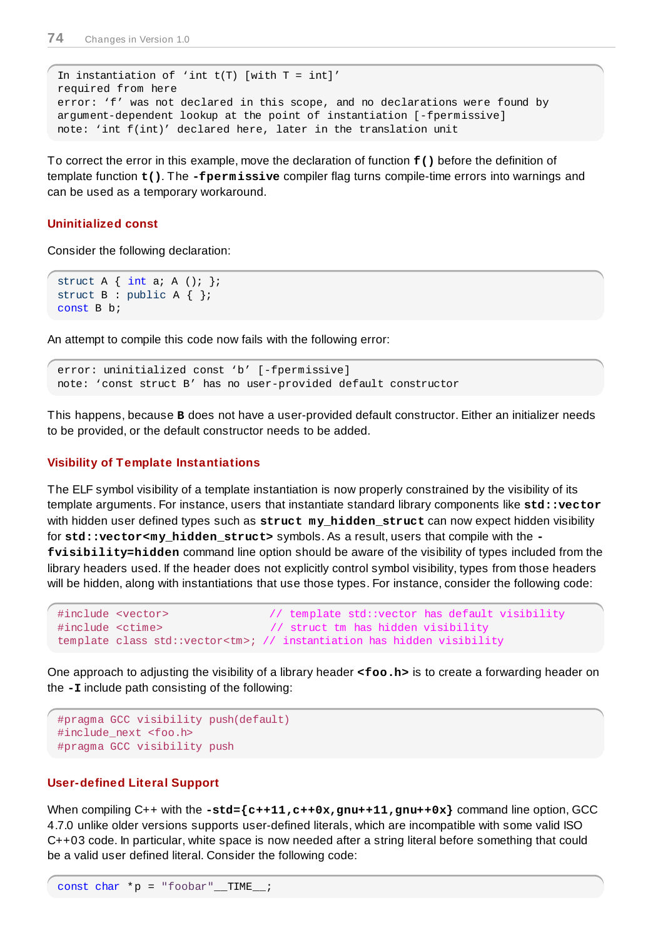```
In instantiation of 'int t(T) [with T = int]'
required from here
error: 'f' was not declared in this scope, and no declarations were found by
argument-dependent lookup at the point of instantiation [-fpermissive]
note: 'int f(int)' declared here, later in the translation unit
```
To correct the error in this example, move the declaration of function **f()** before the definition of template function **t()**. The **-fpermissive** compiler flag turns compile-time errors into warnings and can be used as a temporary workaround.

### **Uninitialized const**

Consider the following declaration:

```
struct A { int a; A (); };
struct B : public A \{ \};
const B b;
```
An attempt to compile this code now fails with the following error:

```
error: uninitialized const 'b' [-fpermissive]
note: 'const struct B' has no user-provided default constructor
```
This happens, because **B** does not have a user-provided default constructor. Either an initializer needs to be provided, or the default constructor needs to be added.

#### **Visibility of Template Instantiations**

The ELF symbol visibility of a template instantiation is now properly constrained by the visibility of its template arguments. For instance, users that instantiate standard library components like **std::vector** with hidden user defined types such as **struct my\_hidden\_struct** can now expect hidden visibility for **std::vector<my\_hidden\_struct>** symbols. As a result, users that compile with the  **fvisibility=hidden** command line option should be aware of the visibility of types included from the library headers used. If the header does not explicitly control symbol visibility, types from those headers will be hidden, along with instantiations that use those types. For instance, consider the following code:

```
#include <vector> // template std::vector has default visibility
#include <ctime> // struct tm has hidden visibility
template class std::vector<tm>; // instantiation has hidden visibility
```
One approach to adjusting the visibility of a library header **<foo.h>** is to create a forwarding header on the **-I** include path consisting of the following:

```
#pragma GCC visibility push(default)
#include_next <foo.h>
#pragma GCC visibility push
```
### **User-defined Literal Support**

When compiling C++ with the -std={c++11,c++0x,gnu++11,gnu++0x} command line option, GCC 4.7.0 unlike older versions supports user-defined literals, which are incompatible with some valid ISO C++03 code. In particular, white space is now needed after a string literal before something that could be a valid user defined literal. Consider the following code: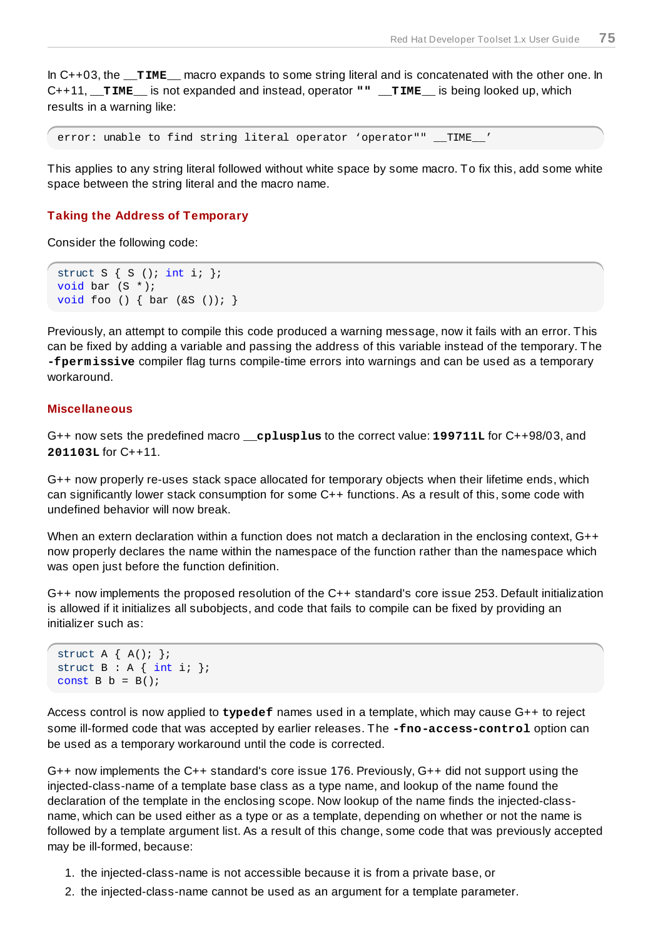In C++03, the **\_\_TIME\_\_** macro expands to some string literal and is concatenated with the other one. In C++11, **\_\_TIME\_\_** is not expanded and instead, operator **"" \_\_TIME\_\_** is being looked up, which results in a warning like:

error: unable to find string literal operator 'operator"" \_\_TIME\_\_'

This applies to any string literal followed without white space by some macro. To fix this, add some white space between the string literal and the macro name.

#### **Taking the Address of Temporary**

Consider the following code:

```
struct S { S (); int i; };
void bar (S^*);
void foo () { bar ( (&S ()); }
```
Previously, an attempt to compile this code produced a warning message, now it fails with an error. This can be fixed by adding a variable and passing the address of this variable instead of the temporary. The **-fpermissive** compiler flag turns compile-time errors into warnings and can be used as a temporary workaround.

#### **Miscellaneous**

G++ now sets the predefined macro **\_\_cplusplus** to the correct value: **199711L** for C++98/03, and **201103L** for C++11.

G++ now properly re-uses stack space allocated for temporary objects when their lifetime ends, which can significantly lower stack consumption for some C++ functions. As a result of this, some code with undefined behavior will now break.

When an extern declaration within a function does not match a declaration in the enclosing context, G++ now properly declares the name within the namespace of the function rather than the namespace which was open just before the function definition.

G++ now implements the proposed resolution of the C++ standard's core issue 253. Default initialization is allowed if it initializes all subobjects, and code that fails to compile can be fixed by providing an initializer such as:

```
struct A { A(); };
struct B : A \{ int i; \};
const B b = B();
```
Access control is now applied to **typedef** names used in a template, which may cause G++ to reject some ill-formed code that was accepted by earlier releases. The **-fno-access-control** option can be used as a temporary workaround until the code is corrected.

G++ now implements the C++ standard's core issue 176. Previously, G++ did not support using the injected-class-name of a template base class as a type name, and lookup of the name found the declaration of the template in the enclosing scope. Now lookup of the name finds the injected-classname, which can be used either as a type or as a template, depending on whether or not the name is followed by a template argument list. As a result of this change, some code that was previously accepted may be ill-formed, because:

- 1. the injected-class-name is not accessible because it is from a private base, or
- 2. the injected-class-name cannot be used as an argument for a template parameter.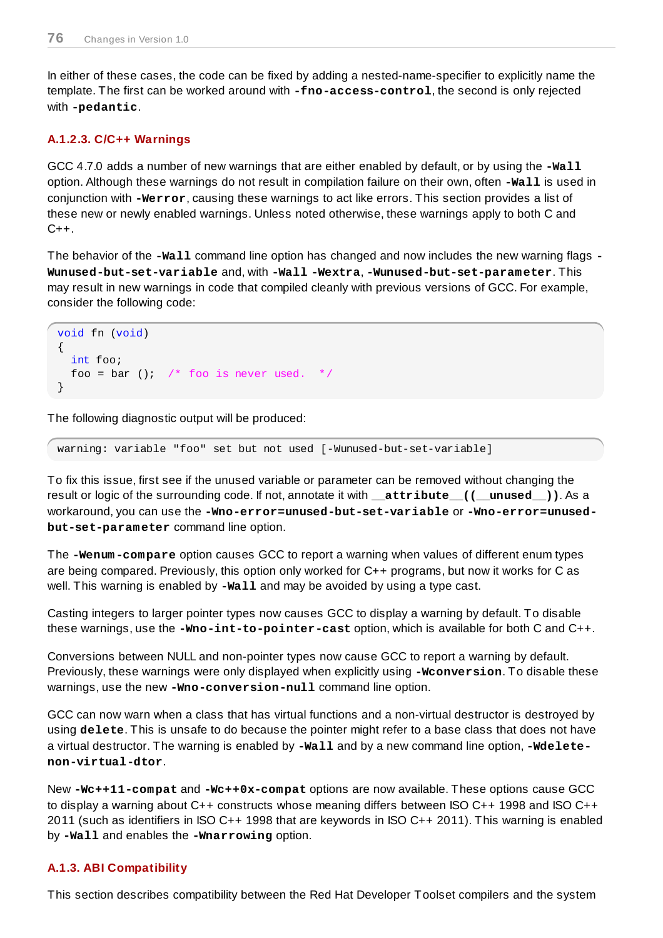In either of these cases, the code can be fixed by adding a nested-name-specifier to explicitly name the template. The first can be worked around with **-fno-access-control**, the second is only rejected with **-pedantic**.

### **A.1.2.3. C/C++ Warnings**

GCC 4.7.0 adds a number of new warnings that are either enabled by default, or by using the **-Wall** option. Although these warnings do not result in compilation failure on their own, often **-Wall** is used in conjunction with **-Werror**, causing these warnings to act like errors. This section provides a list of these new or newly enabled warnings. Unless noted otherwise, these warnings apply to both C and  $C++$ 

The behavior of the **-Wall** command line option has changed and now includes the new warning flags **- Wunused-but-set-variable** and, with **-Wall -Wextra**, **-Wunused-but-set-parameter**. This may result in new warnings in code that compiled cleanly with previous versions of GCC. For example, consider the following code:

```
void fn (void)
{
  int foo;
  foo = bar (); \frac{1}{2} foo is never used. */
}
```
The following diagnostic output will be produced:

warning: variable "foo" set but not used [-Wunused-but-set-variable]

To fix this issue, first see if the unused variable or parameter can be removed without changing the result or logic of the surrounding code. If not, annotate it with **\_\_attribute\_\_((\_\_unused\_\_))**. As a workaround, you can use the **-Wno-error=unused-but-set-variable** or **-Wno-error=unusedbut-set-parameter** command line option.

The **-Wenum-compare** option causes GCC to report a warning when values of different enum types are being compared. Previously, this option only worked for C++ programs, but now it works for C as well. This warning is enabled by **-Wall** and may be avoided by using a type cast.

Casting integers to larger pointer types now causes GCC to display a warning by default. To disable these warnings, use the **-Wno-int-to-pointer-cast** option, which is available for both C and C++.

Conversions between NULL and non-pointer types now cause GCC to report a warning by default. Previously, these warnings were only displayed when explicitly using **-Wconversion**. To disable these warnings, use the new **-Wno-conversion-null** command line option.

GCC can now warn when a class that has virtual functions and a non-virtual destructor is destroyed by using **delete**. This is unsafe to do because the pointer might refer to a base class that does not have a virtual destructor. The warning is enabled by **-Wall** and by a new command line option, **-Wdeletenon-virtual-dtor**.

New **-Wc++11-compat** and **-Wc++0x-compat** options are now available. These options cause GCC to display a warning about C++ constructs whose meaning differs between ISO C++ 1998 and ISO C++ 2011 (such as identifiers in ISO C++ 1998 that are keywords in ISO C++ 2011). This warning is enabled by **-Wall** and enables the **-Wnarrowing** option.

### **A.1.3. ABI Compatibility**

This section describes compatibility between the Red Hat Developer Toolset compilers and the system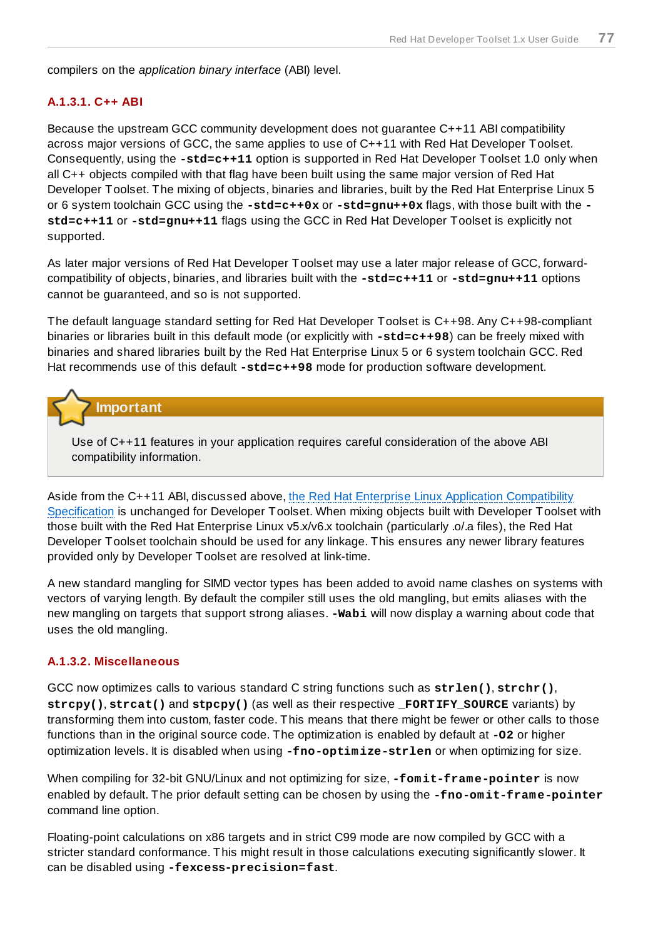<span id="page-76-1"></span><span id="page-76-0"></span>compilers on the *application binary interface* (ABI) level.

### **A.1.3.1. C++ ABI**

Because the upstream GCC community development does not guarantee C++11 ABI compatibility across major versions of GCC, the same applies to use of C++11 with Red Hat Developer Toolset. Consequently, using the **-std=c++11** option is supported in Red Hat Developer Toolset 1.0 only when all C++ objects compiled with that flag have been built using the same major version of Red Hat Developer Toolset. The mixing of objects, binaries and libraries, built by the Red Hat Enterprise Linux 5 or 6 system toolchain GCC using the **-std=c++0x** or **-std=gnu++0x** flags, with those built with the  **std=c++11** or **-std=gnu++11** flags using the GCC in Red Hat Developer Toolset is explicitly not supported.

As later major versions of Red Hat Developer Toolset may use a later major release of GCC, forwardcompatibility of objects, binaries, and libraries built with the **-std=c++11** or **-std=gnu++11** options cannot be guaranteed, and so is not supported.

The default language standard setting for Red Hat Developer Toolset is C++98. Any C++98-compliant binaries or libraries built in this default mode (or explicitly with **-std=c++98**) can be freely mixed with binaries and shared libraries built by the Red Hat Enterprise Linux 5 or 6 system toolchain GCC. Red Hat recommends use of this default **-std=c++98** mode for production software development.



Use of C++11 features in your application requires careful consideration of the above ABI compatibility information.

Aside from the C++11 ABI, discussed above, the Red Hat Enterprise Linux Application [Compatibility](http://www.redhat.com/f/pdf/rhel/RHEL6_App_Compatibility_WP.pdf) Specification is unchanged for Developer Toolset. When mixing objects built with Developer Toolset with those built with the Red Hat Enterprise Linux v5.x/v6.x toolchain (particularly .o/.a files), the Red Hat Developer Toolset toolchain should be used for any linkage. This ensures any newer library features provided only by Developer Toolset are resolved at link-time.

A new standard mangling for SIMD vector types has been added to avoid name clashes on systems with vectors of varying length. By default the compiler still uses the old mangling, but emits aliases with the new mangling on targets that support strong aliases. **-Wabi** will now display a warning about code that uses the old mangling.

### **A.1.3.2. Miscellaneous**

GCC now optimizes calls to various standard C string functions such as **strlen()**, **strchr()**, **strcpy()**, **strcat()** and **stpcpy()** (as well as their respective **\_FORTIFY\_SOURCE** variants) by transforming them into custom, faster code. This means that there might be fewer or other calls to those functions than in the original source code. The optimization is enabled by default at **-O2** or higher optimization levels. It is disabled when using **-fno-optimize-strlen** or when optimizing for size.

When compiling for 32-bit GNU/Linux and not optimizing for size, **-fomit-frame-pointer** is now enabled by default. The prior default setting can be chosen by using the **-fno-omit-frame-pointer** command line option.

Floating-point calculations on x86 targets and in strict C99 mode are now compiled by GCC with a stricter standard conformance. This might result in those calculations executing significantly slower. It can be disabled using **-fexcess-precision=fast**.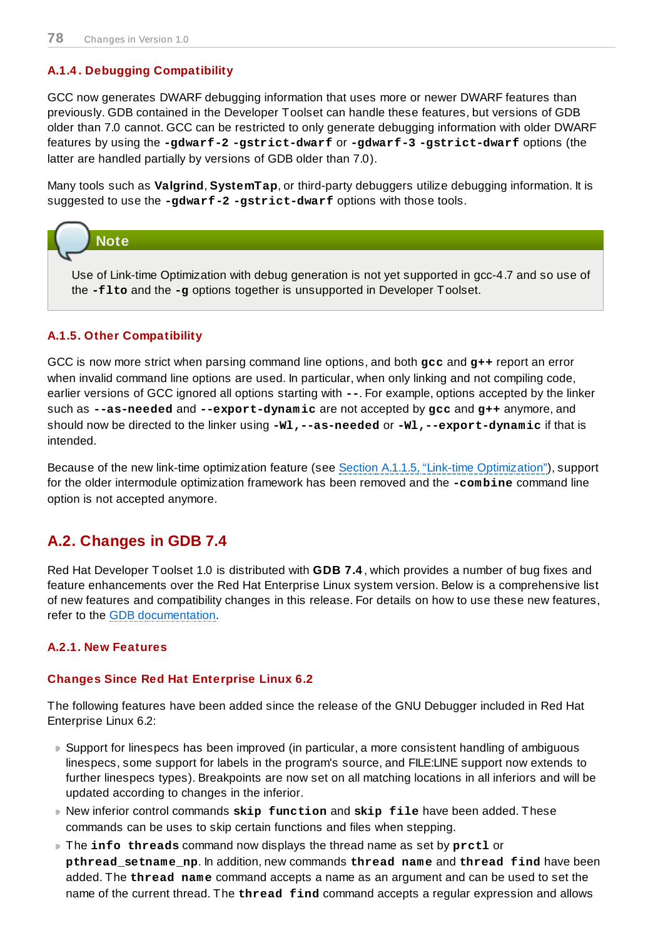## <span id="page-77-0"></span>**A.1.4 . Debugging Compatibility**

GCC now generates DWARF debugging information that uses more or newer DWARF features than previously. GDB contained in the Developer Toolset can handle these features, but versions of GDB older than 7.0 cannot. GCC can be restricted to only generate debugging information with older DWARF features by using the **-gdwarf-2 -gstrict-dwarf** or **-gdwarf-3 -gstrict-dwarf** options (the latter are handled partially by versions of GDB older than 7.0).

Many tools such as **Valgrind**, **SystemTap**, or third-party debuggers utilize debugging information. It is suggested to use the **-gdwarf-2 -gstrict-dwarf** options with those tools.

## **Note** Use of Link-time Optimization with debug generation is not yet supported in gcc-4.7 and so use of the **-flto** and the **-g** options together is unsupported in Developer Toolset.

### <span id="page-77-1"></span>**A.1.5. Other Compatibility**

GCC is now more strict when parsing command line options, and both **gcc** and **g++** report an error when invalid command line options are used. In particular, when only linking and not compiling code, earlier versions of GCC ignored all options starting with **--**. For example, options accepted by the linker such as **--as-needed** and **--export-dynamic** are not accepted by **gcc** and **g++** anymore, and should now be directed to the linker using **-Wl,--as-needed** or **-Wl,--export-dynamic** if that is intended.

Because of the new link-time optimization feature (see Section A.1.1.5, "Link-time [Optimization"](#page-70-0)), support for the older intermodule optimization framework has been removed and the **-combine** command line option is not accepted anymore.

## **A.2. Changes in GDB 7.4**

Red Hat Developer Toolset 1.0 is distributed with **GDB 7.4** , which provides a number of bug fixes and feature enhancements over the Red Hat Enterprise Linux system version. Below is a comprehensive list of new features and compatibility changes in this release. For details on how to use these new features, refer to the GDB [documentation](http://www.gnu.org/software/gdb/documentation/).

### **A.2.1. New Features**

### **Changes Since Red Hat Enterprise Linux 6.2**

The following features have been added since the release of the GNU Debugger included in Red Hat Enterprise Linux 6.2:

- Support for linespecs has been improved (in particular, a more consistent handling of ambiguous linespecs, some support for labels in the program's source, and FILE:LINE support now extends to further linespecs types). Breakpoints are now set on all matching locations in all inferiors and will be updated according to changes in the inferior.
- New inferior control commands **skip function** and **skip file** have been added. These commands can be uses to skip certain functions and files when stepping.
- The **info threads** command now displays the thread name as set by **prctl** or **pthread\_setname\_np**. In addition, new commands **thread name** and **thread find** have been added. The **thread name** command accepts a name as an argument and can be used to set the name of the current thread. The **thread find** command accepts a regular expression and allows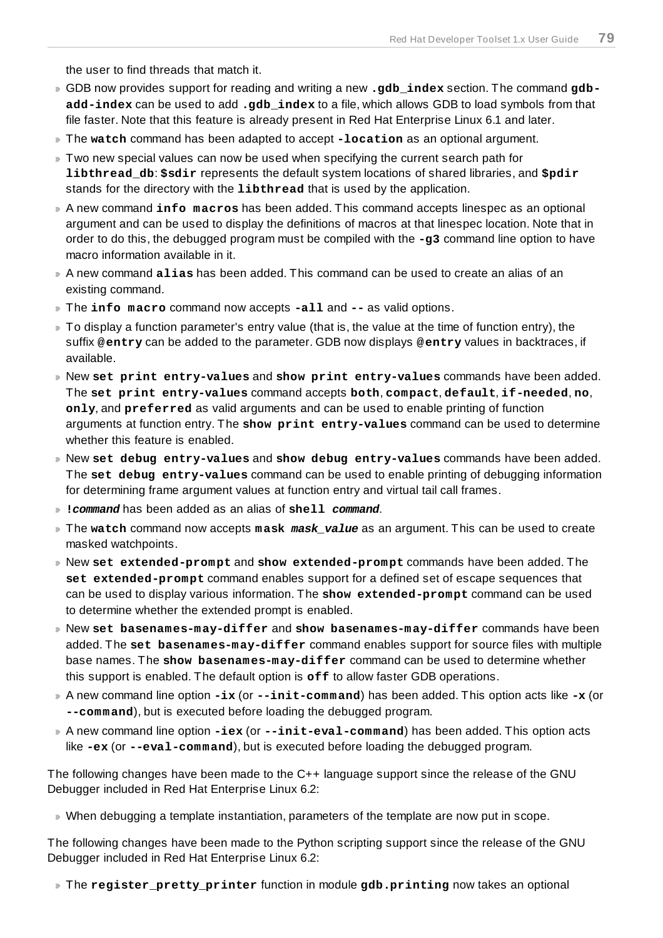the user to find threads that match it.

- GDB now provides support for reading and writing a new **.gdb\_index** section. The command **gdbadd-index** can be used to add **.gdb\_index** to a file, which allows GDB to load symbols from that file faster. Note that this feature is already present in Red Hat Enterprise Linux 6.1 and later.
- The **watch** command has been adapted to accept **-location** as an optional argument.
- Two new special values can now be used when specifying the current search path for **libthread\_db**: **\$sdir** represents the default system locations of shared libraries, and **\$pdir** stands for the directory with the **libthread** that is used by the application.
- A new command **info macros** has been added. This command accepts linespec as an optional argument and can be used to display the definitions of macros at that linespec location. Note that in order to do this, the debugged program must be compiled with the **-g3** command line option to have macro information available in it.
- A new command **alias** has been added. This command can be used to create an alias of an existing command.
- The **info macro** command now accepts **-all** and **--** as valid options.
- To display a function parameter's entry value (that is, the value at the time of function entry), the suffix **@entry** can be added to the parameter. GDB now displays **@entry** values in backtraces, if available.
- New **set print entry-values** and **show print entry-values** commands have been added. The **set print entry-values** command accepts **both**, **compact**, **default**, **if-needed**, **no**, **only**, and **preferred** as valid arguments and can be used to enable printing of function arguments at function entry. The **show print entry-values** command can be used to determine whether this feature is enabled.
- New **set debug entry-values** and **show debug entry-values** commands have been added. The **set debug entry-values** command can be used to enable printing of debugging information for determining frame argument values at function entry and virtual tail call frames.
- **!***command* has been added as an alias of **shell** *command*.
- The **watch** command now accepts **mask** *mask\_value* as an argument. This can be used to create masked watchpoints.
- New **set extended-prompt** and **show extended-prompt** commands have been added. The **set extended-prompt** command enables support for a defined set of escape sequences that can be used to display various information. The **show extended-prompt** command can be used to determine whether the extended prompt is enabled.
- New **set basenames-may-differ** and **show basenames-may-differ** commands have been added. The **set basenames-may-differ** command enables support for source files with multiple base names. The **show basenames-may-differ** command can be used to determine whether this support is enabled. The default option is **off** to allow faster GDB operations.
- A new command line option **-ix** (or **--init-command**) has been added. This option acts like **-x** (or **--command**), but is executed before loading the debugged program.
- A new command line option **-iex** (or **--init-eval-command**) has been added. This option acts like **-ex** (or **--eval-command**), but is executed before loading the debugged program.

The following changes have been made to the C++ language support since the release of the GNU Debugger included in Red Hat Enterprise Linux 6.2:

When debugging a template instantiation, parameters of the template are now put in scope.

The following changes have been made to the Python scripting support since the release of the GNU Debugger included in Red Hat Enterprise Linux 6.2:

The **register\_pretty\_printer** function in module **gdb.printing** now takes an optional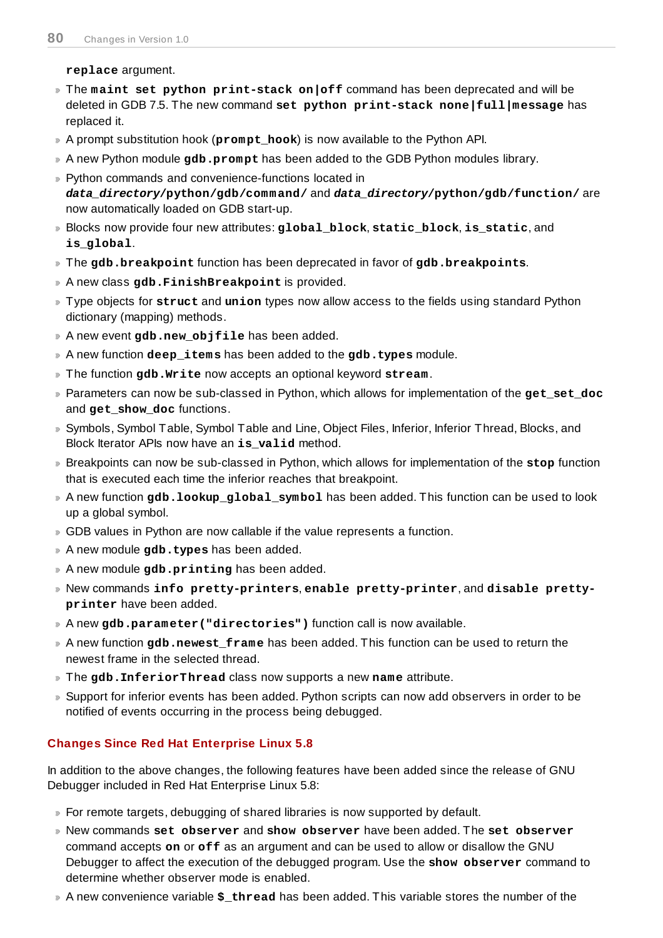<span id="page-79-0"></span>**replace** argument.

- The **maint set python print-stack on|off** command has been deprecated and will be deleted in GDB 7.5. The new command **set python print-stack none|full|message** has replaced it.
- A prompt substitution hook (**prompt\_hook**) is now available to the Python API.
- A new Python module **gdb.prompt** has been added to the GDB Python modules library.
- Python commands and convenience-functions located in *data\_directory***/python/gdb/command/** and *data\_directory***/python/gdb/function/** are now automatically loaded on GDB start-up.
- Blocks now provide four new attributes: **global\_block**, **static\_block**, **is\_static**, and **is\_global**.
- The **gdb.breakpoint** function has been deprecated in favor of **gdb.breakpoints**.
- A new class **gdb.FinishBreakpoint** is provided.
- Type objects for **struct** and **union** types now allow access to the fields using standard Python dictionary (mapping) methods.
- A new event **gdb.new\_objfile** has been added.
- A new function **deep\_items** has been added to the **gdb.types** module.
- The function **gdb.Write** now accepts an optional keyword **stream**.
- Parameters can now be sub-classed in Python, which allows for implementation of the **get\_set\_doc** and **get** show doc functions.
- Symbols, Symbol Table, Symbol Table and Line, Object Files, Inferior, Inferior Thread, Blocks, and Block Iterator APIs now have an is valid method.
- Breakpoints can now be sub-classed in Python, which allows for implementation of the **stop** function that is executed each time the inferior reaches that breakpoint.
- A new function **gdb.lookup\_global\_symbol** has been added. This function can be used to look up a global symbol.
- GDB values in Python are now callable if the value represents a function.
- A new module **gdb.types** has been added.
- A new module **gdb.printing** has been added.
- New commands **info pretty-printers**, **enable pretty-printer**, and **disable prettyprinter** have been added.
- A new **gdb.parameter("directories")** function call is now available.
- A new function **gdb.newest\_frame** has been added. This function can be used to return the newest frame in the selected thread.
- The **gdb.InferiorThread** class now supports a new **name** attribute.
- Support for inferior events has been added. Python scripts can now add observers in order to be notified of events occurring in the process being debugged.

### **Changes Since Red Hat Enterprise Linux 5.8**

In addition to the above changes, the following features have been added since the release of GNU Debugger included in Red Hat Enterprise Linux 5.8:

- For remote targets, debugging of shared libraries is now supported by default.
- New commands **set observer** and **show observer** have been added. The **set observer** command accepts **on** or **off** as an argument and can be used to allow or disallow the GNU Debugger to affect the execution of the debugged program. Use the **show observer** command to determine whether observer mode is enabled.
- A new convenience variable **\$\_thread** has been added. This variable stores the number of the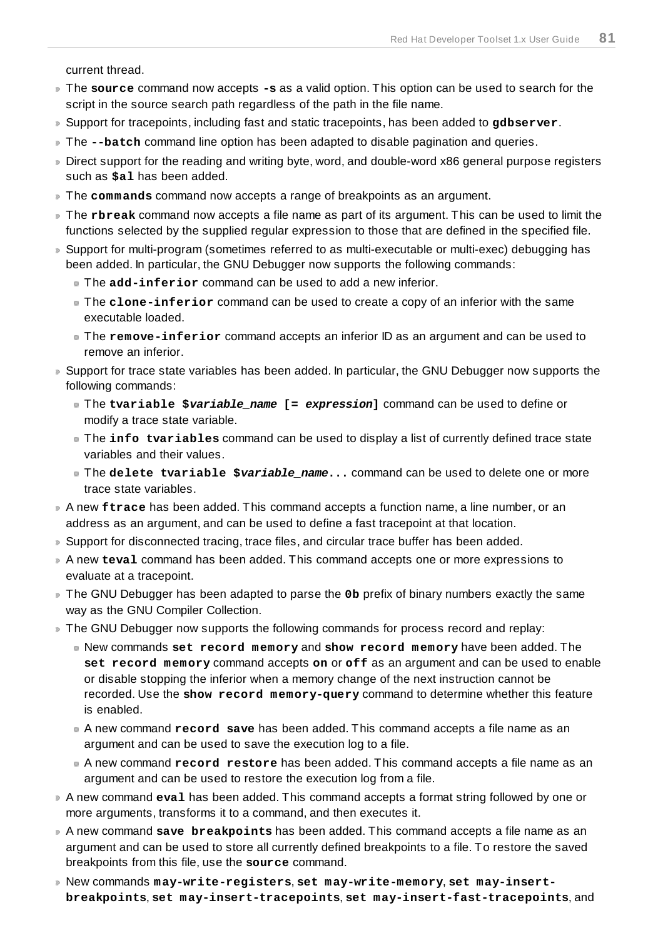<span id="page-80-0"></span>current thread.

- The **source** command now accepts **-s** as a valid option. This option can be used to search for the script in the source search path regardless of the path in the file name.
- Support for tracepoints, including fast and static tracepoints, has been added to **gdbserver**.
- The **--batch** command line option has been adapted to disable pagination and queries.
- Direct support for the reading and writing byte, word, and double-word x86 general purpose registers such as **\$al** has been added.
- The **commands** command now accepts a range of breakpoints as an argument.
- The **rbreak** command now accepts a file name as part of its argument. This can be used to limit the functions selected by the supplied regular expression to those that are defined in the specified file.
- **Demontative Communds** Support in Support in Support 1 support 1 support 6 support for multi-exec) debugging has been added. In particular, the GNU Debugger now supports the following commands:
	- The **add-inferior** command can be used to add a new inferior.
	- The **clone-inferior** command can be used to create a copy of an inferior with the same executable loaded.
	- The **remove-inferior** command accepts an inferior ID as an argument and can be used to remove an inferior.
- Support for trace state variables has been added. In particular, the GNU Debugger now supports the following commands:
	- The **tvariable \$***variable\_name* **[=** *expression***]** command can be used to define or modify a trace state variable.
	- The **info tvariables** command can be used to display a list of currently defined trace state variables and their values.
	- The **delete tvariable \$***variable\_name***...** command can be used to delete one or more trace state variables.
- A new **ftrace** has been added. This command accepts a function name, a line number, or an address as an argument, and can be used to define a fast tracepoint at that location.
- **Support for disconnected tracing, trace files, and circular trace buffer has been added.**
- A new **teval** command has been added. This command accepts one or more expressions to evaluate at a tracepoint.
- The GNU Debugger has been adapted to parse the **0b** prefix of binary numbers exactly the same way as the GNU Compiler Collection.
- The GNU Debugger now supports the following commands for process record and replay:
	- New commands **set record memory** and **show record memory** have been added. The **set record memory** command accepts **on** or **off** as an argument and can be used to enable or disable stopping the inferior when a memory change of the next instruction cannot be recorded. Use the **show record memory-query** command to determine whether this feature is enabled.
	- A new command **record save** has been added. This command accepts a file name as an argument and can be used to save the execution log to a file.
	- A new command **record restore** has been added. This command accepts a file name as an argument and can be used to restore the execution log from a file.
- A new command **eval** has been added. This command accepts a format string followed by one or more arguments, transforms it to a command, and then executes it.
- A new command **save breakpoints** has been added. This command accepts a file name as an argument and can be used to store all currently defined breakpoints to a file. To restore the saved breakpoints from this file, use the **source** command.
- New commands **may-write-registers**, **set may-write-memory**, **set may-insertbreakpoints**, **set may-insert-tracepoints**, **set may-insert-fast-tracepoints**, and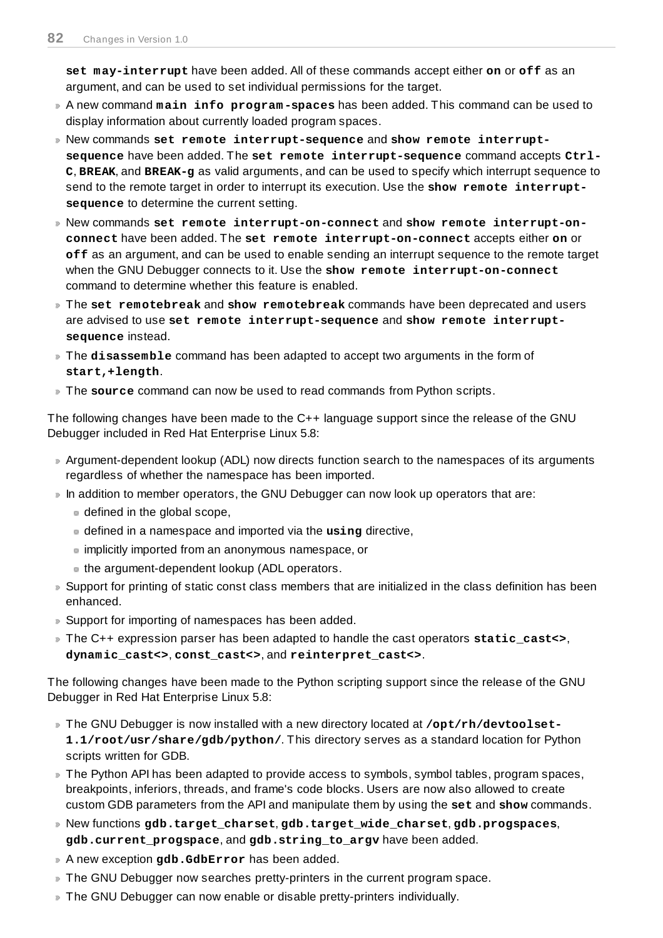**set may-interrupt** have been added. All of these commands accept either **on** or **off** as an argument, and can be used to set individual permissions for the target.

- A new command **main info program-spaces** has been added. This command can be used to display information about currently loaded program spaces.
- New commands **set remote interrupt-sequence** and **show remote interruptsequence** have been added. The **set remote interrupt-sequence** command accepts **Ctrl-C**, **BREAK**, and **BREAK-g** as valid arguments, and can be used to specify which interrupt sequence to send to the remote target in order to interrupt its execution. Use the **show remote interruptsequence** to determine the current setting.
- New commands **set remote interrupt-on-connect** and **show remote interrupt-onconnect** have been added. The **set remote interrupt-on-connect** accepts either **on** or **off** as an argument, and can be used to enable sending an interrupt sequence to the remote target when the GNU Debugger connects to it. Use the **show remote interrupt-on-connect** command to determine whether this feature is enabled.
- The **set remotebreak** and **show remotebreak** commands have been deprecated and users are advised to use **set remote interrupt-sequence** and **show remote interruptsequence** instead.
- The **disassemble** command has been adapted to accept two arguments in the form of **start,+length**.
- The **source** command can now be used to read commands from Python scripts.

The following changes have been made to the C++ language support since the release of the GNU Debugger included in Red Hat Enterprise Linux 5.8:

- Argument-dependent lookup (ADL) now directs function search to the namespaces of its arguments regardless of whether the namespace has been imported.
- In addition to member operators, the GNU Debugger can now look up operators that are:
	- defined in the global scope,
	- defined in a namespace and imported via the **using** directive,
	- $\blacksquare$  implicitly imported from an anonymous namespace, or
	- **the argument-dependent lookup (ADL operators.**
- Support for printing of static const class members that are initialized in the class definition has been enhanced.
- **Support for importing of namespaces has been added.**
- The C++ expression parser has been adapted to handle the cast operators **static\_cast<>**, **dynamic\_cast<>**, **const\_cast<>**, and **reinterpret\_cast<>**.

The following changes have been made to the Python scripting support since the release of the GNU Debugger in Red Hat Enterprise Linux 5.8:

- The GNU Debugger is now installed with a new directory located at **/opt/rh/devtoolset**-**1.1/root/usr/share/gdb/python/**. This directory serves as a standard location for Python scripts written for GDB.
- The Python API has been adapted to provide access to symbols, symbol tables, program spaces, breakpoints, inferiors, threads, and frame's code blocks. Users are now also allowed to create custom GDB parameters from the API and manipulate them by using the **set** and **show** commands.
- New functions **gdb.target\_charset**, **gdb.target\_wide\_charset**, **gdb.progspaces**, **gdb.current\_progspace**, and **gdb.string\_to\_argv** have been added.
- A new exception **gdb.GdbError** has been added.
- The GNU Debugger now searches pretty-printers in the current program space.
- The GNU Debugger can now enable or disable pretty-printers individually.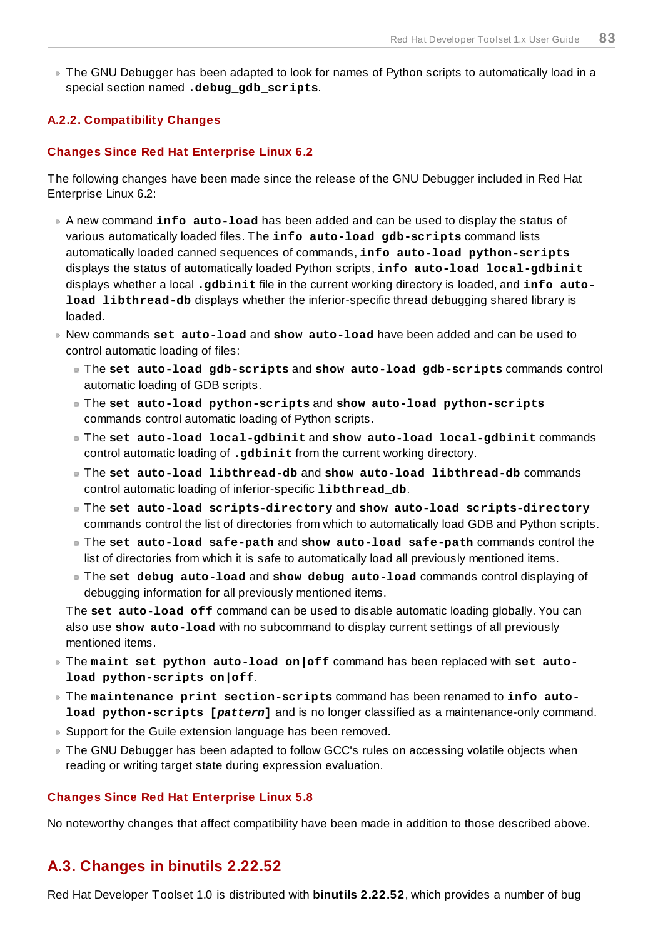The GNU Debugger has been adapted to look for names of Python scripts to automatically load in a special section named **.debug\_gdb\_scripts**.

### <span id="page-82-0"></span>**A.2.2. Compatibility Changes**

### **Changes Since Red Hat Enterprise Linux 6.2**

The following changes have been made since the release of the GNU Debugger included in Red Hat Enterprise Linux 6.2:

- A new command **info auto-load** has been added and can be used to display the status of various automatically loaded files. The **info auto-load gdb-scripts** command lists automatically loaded canned sequences of commands, **info auto-load python-scripts** displays the status of automatically loaded Python scripts, **info auto-load local-gdbinit** displays whether a local **.gdbinit** file in the current working directory is loaded, and **info autoload libthread-db** displays whether the inferior-specific thread debugging shared library is loaded.
- New commands **set auto-load** and **show auto-load** have been added and can be used to control automatic loading of files:
	- The **set auto-load gdb-scripts** and **show auto-load gdb-scripts** commands control automatic loading of GDB scripts.
	- The **set auto-load python-scripts** and **show auto-load python-scripts** commands control automatic loading of Python scripts.
	- The **set auto-load local-gdbinit** and **show auto-load local-gdbinit** commands control automatic loading of **.gdbinit** from the current working directory.
	- The **set auto-load libthread-db** and **show auto-load libthread-db** commands control automatic loading of inferior-specific **libthread\_db**.
	- The **set auto-load scripts-directory** and **show auto-load scripts-directory** commands control the list of directories from which to automatically load GDB and Python scripts.
	- The **set auto-load safe-path** and **show auto-load safe-path** commands control the list of directories from which it is safe to automatically load all previously mentioned items.
	- The **set debug auto-load** and **show debug auto-load** commands control displaying of debugging information for all previously mentioned items.

The **set auto-load off** command can be used to disable automatic loading globally. You can also use **show auto-load** with no subcommand to display current settings of all previously mentioned items.

- The **maint set python auto-load on|off** command has been replaced with **set autoload python-scripts on|off**.
- The **maintenance print section-scripts** command has been renamed to **info autoload python-scripts [***pattern***]** and is no longer classified as a maintenance-only command.
- **Support for the Guile extension language has been removed.**
- The GNU Debugger has been adapted to follow GCC's rules on accessing volatile objects when reading or writing target state during expression evaluation.

#### **Changes Since Red Hat Enterprise Linux 5.8**

No noteworthy changes that affect compatibility have been made in addition to those described above.

## **A.3. Changes in binutils 2.22.52**

Red Hat Developer Toolset 1.0 is distributed with **binutils 2.22.52**, which provides a number of bug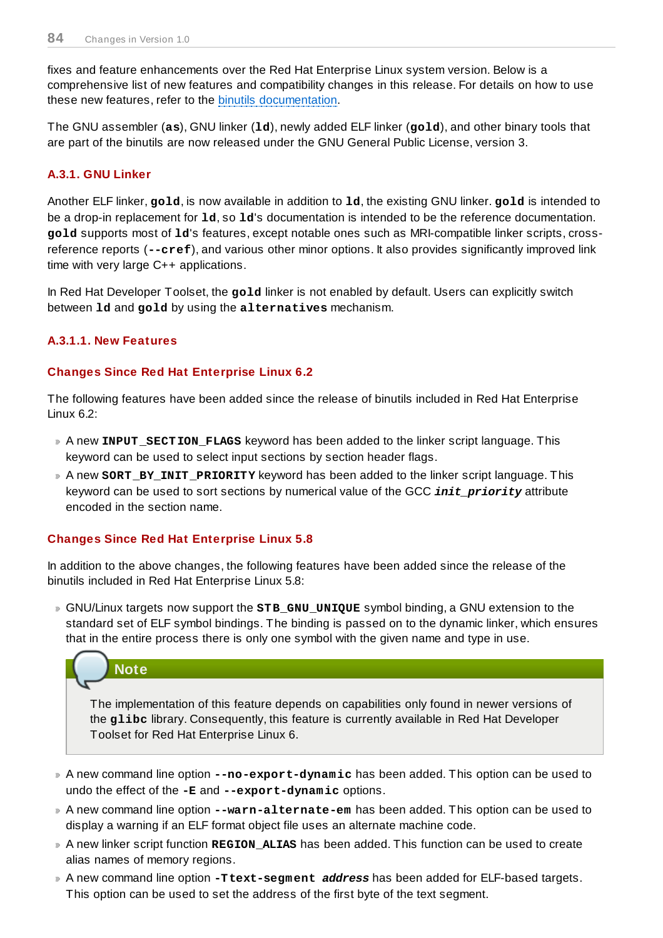fixes and feature enhancements over the Red Hat Enterprise Linux system version. Below is a comprehensive list of new features and compatibility changes in this release. For details on how to use these new features, refer to the binutils [documentation](http://sourceware.org/binutils/docs-2.22/).

The GNU assembler (**as**), GNU linker (**ld**), newly added ELF linker (**gold**), and other binary tools that are part of the binutils are now released under the GNU General Public License, version 3.

### **A.3.1. GNU Linker**

Another ELF linker, **gold**, is now available in addition to **ld**, the existing GNU linker. **gold** is intended to be a drop-in replacement for **ld**, so **ld**'s documentation is intended to be the reference documentation. **gold** supports most of **ld**'s features, except notable ones such as MRI-compatible linker scripts, crossreference reports (**--cref**), and various other minor options. It also provides significantly improved link time with very large C++ applications.

In Red Hat Developer Toolset, the **gold** linker is not enabled by default. Users can explicitly switch between **ld** and **gold** by using the **alternatives** mechanism.

### <span id="page-83-0"></span>**A.3.1.1. New Features**

### **Changes Since Red Hat Enterprise Linux 6.2**

The following features have been added since the release of binutils included in Red Hat Enterprise Linux 6.2:

- A new **INPUT\_SECTION\_FLAGS** keyword has been added to the linker script language. This keyword can be used to select input sections by section header flags.
- A new **SORT\_BY\_INIT\_PRIORITY** keyword has been added to the linker script language. This keyword can be used to sort sections by numerical value of the GCC *init\_priority* attribute encoded in the section name.

### **Changes Since Red Hat Enterprise Linux 5.8**

In addition to the above changes, the following features have been added since the release of the binutils included in Red Hat Enterprise Linux 5.8:

GNU/Linux targets now support the **STB\_GNU\_UNIQUE** symbol binding, a GNU extension to the standard set of ELF symbol bindings. The binding is passed on to the dynamic linker, which ensures that in the entire process there is only one symbol with the given name and type in use.

# **Note**

The implementation of this feature depends on capabilities only found in newer versions of the **glibc** library. Consequently, this feature is currently available in Red Hat Developer Toolset for Red Hat Enterprise Linux 6.

- A new command line option **--no-export-dynamic** has been added. This option can be used to undo the effect of the **-E** and **--export-dynamic** options.
- A new command line option **--warn-alternate-em** has been added. This option can be used to display a warning if an ELF format object file uses an alternate machine code.
- A new linker script function **REGION\_ALIAS** has been added. This function can be used to create alias names of memory regions.
- A new command line option **-Ttext-segment** *address* has been added for ELF-based targets. This option can be used to set the address of the first byte of the text segment.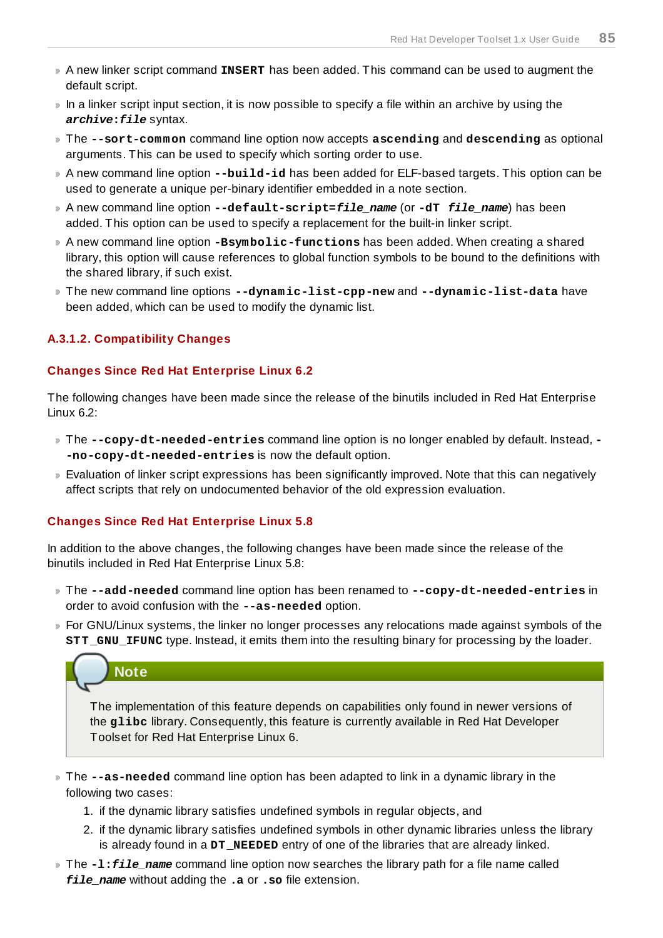- A new linker script command **INSERT** has been added. This command can be used to augment the default script.
- In a linker script input section, it is now possible to specify a file within an archive by using the *archive***:***file* syntax.
- The **--sort-common** command line option now accepts **ascending** and **descending** as optional arguments. This can be used to specify which sorting order to use.
- A new command line option **--build-id** has been added for ELF-based targets. This option can be used to generate a unique per-binary identifier embedded in a note section.
- A new command line option **--default-script=***file\_name* (or **-dT** *file\_name*) has been added. This option can be used to specify a replacement for the built-in linker script.
- A new command line option **-Bsymbolic-functions** has been added. When creating a shared library, this option will cause references to global function symbols to be bound to the definitions with the shared library, if such exist.
- The new command line options **--dynamic-list-cpp-new** and **--dynamic-list-data** have been added, which can be used to modify the dynamic list.

### <span id="page-84-0"></span>**A.3.1.2. Compatibility Changes**

### **Changes Since Red Hat Enterprise Linux 6.2**

The following changes have been made since the release of the binutils included in Red Hat Enterprise Linux 6.2:

- The **--copy-dt-needed-entries** command line option is no longer enabled by default. Instead, **- -no-copy-dt-needed-entries** is now the default option.
- Evaluation of linker script expressions has been significantly improved. Note that this can negatively affect scripts that rely on undocumented behavior of the old expression evaluation.

### **Changes Since Red Hat Enterprise Linux 5.8**

In addition to the above changes, the following changes have been made since the release of the binutils included in Red Hat Enterprise Linux 5.8:

- The **--add-needed** command line option has been renamed to **--copy-dt-needed-entries** in order to avoid confusion with the **--as-needed** option.
- For GNU/Linux systems, the linker no longer processes any relocations made against symbols of the **STT\_GNU\_IFUNC** type. Instead, it emits them into the resulting binary for processing by the loader.

# **Note**

The implementation of this feature depends on capabilities only found in newer versions of the **glibc** library. Consequently, this feature is currently available in Red Hat Developer Toolset for Red Hat Enterprise Linux 6.

- The **--as-needed** command line option has been adapted to link in a dynamic library in the following two cases:
	- 1. if the dynamic library satisfies undefined symbols in regular objects, and
	- 2. if the dynamic library satisfies undefined symbols in other dynamic libraries unless the library is already found in a **DT\_NEEDED** entry of one of the libraries that are already linked.
- The **-1:** *file* name command line option now searches the library path for a file name called *file\_name* without adding the **.a** or **.so** file extension.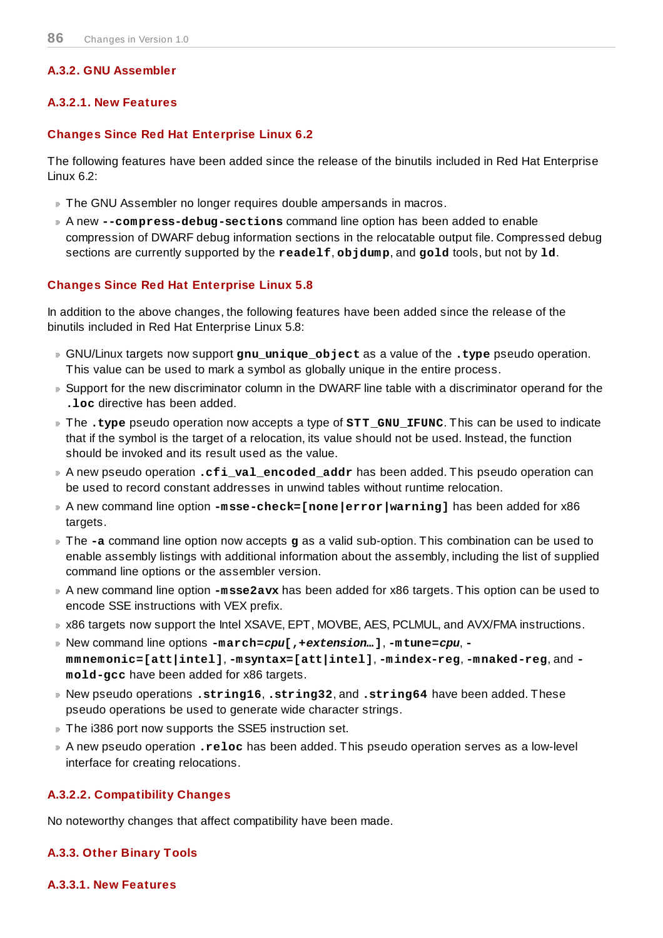### <span id="page-85-0"></span>**A.3.2. GNU Assembler**

### <span id="page-85-2"></span>**A.3.2.1. New Features**

### **Changes Since Red Hat Enterprise Linux 6.2**

The following features have been added since the release of the binutils included in Red Hat Enterprise Linux 6.2:

- The GNU Assembler no longer requires double ampersands in macros.
- A new **--compress-debug-sections** command line option has been added to enable compression of DWARF debug information sections in the relocatable output file. Compressed debug sections are currently supported by the **readelf**, **objdump**, and **gold** tools, but not by **ld**.

### **Changes Since Red Hat Enterprise Linux 5.8**

In addition to the above changes, the following features have been added since the release of the binutils included in Red Hat Enterprise Linux 5.8:

- GNU/Linux targets now support **gnu\_unique\_object** as a value of the **.type** pseudo operation. This value can be used to mark a symbol as globally unique in the entire process.
- Support for the new discriminator column in the DWARF line table with a discriminator operand for the **.loc** directive has been added.
- The **.type** pseudo operation now accepts a type of **STT\_GNU\_IFUNC**. This can be used to indicate that if the symbol is the target of a relocation, its value should not be used. Instead, the function should be invoked and its result used as the value.
- **▶ A new pseudo operation .cfi val encoded addr** has been added. This pseudo operation can be used to record constant addresses in unwind tables without runtime relocation.
- A new command line option **-msse-check=[none|error|warning]** has been added for x86 targets.
- The **-a** command line option now accepts **g** as a valid sub-option. This combination can be used to enable assembly listings with additional information about the assembly, including the list of supplied command line options or the assembler version.
- A new command line option **-msse2avx** has been added for x86 targets. This option can be used to encode SSE instructions with VEX prefix.
- x86 targets now support the Intel XSAVE, EPT, MOVBE, AES, PCLMUL, and AVX/FMA instructions.
- New command line options **-march=***cpu***[,+***extension***…]**, **-mtune=***cpu*,  **mmnemonic=[att|intel]**, **-msyntax=[att|intel]**, **-mindex-reg**, **-mnaked-reg**, and  **mold-gcc** have been added for x86 targets.
- New pseudo operations **.string16**, **.string32**, and **.string64** have been added. These pseudo operations be used to generate wide character strings.
- The i386 port now supports the SSE5 instruction set.
- A new pseudo operation **.reloc** has been added. This pseudo operation serves as a low-level interface for creating relocations.

### <span id="page-85-1"></span>**A.3.2.2. Compatibility Changes**

No noteworthy changes that affect compatibility have been made.

### **A.3.3. Other Binary Tools**

#### **A.3.3.1. New Features**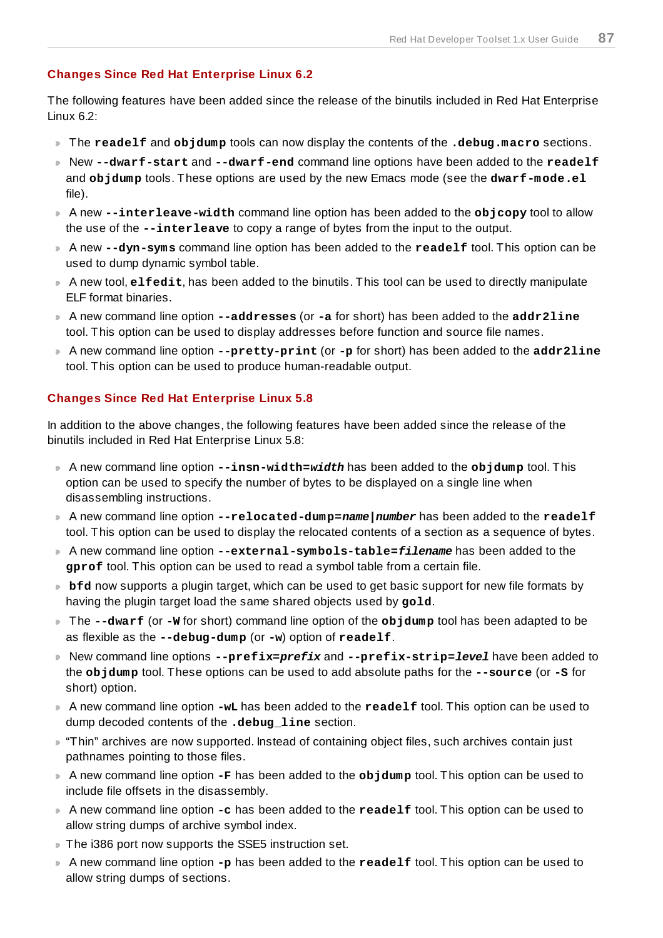### <span id="page-86-0"></span>**Changes Since Red Hat Enterprise Linux 6.2**

The following features have been added since the release of the binutils included in Red Hat Enterprise Linux 6.2:

- The **readelf** and **objdump** tools can now display the contents of the **.debug.macro** sections.
- New **--dwarf-start** and **--dwarf-end** command line options have been added to the **readelf** and **objdump** tools. These options are used by the new Emacs mode (see the **dwarf-mode.el** file).
- A new **--interleave-width** command line option has been added to the **objcopy** tool to allow the use of the **--interleave** to copy a range of bytes from the input to the output.
- A new **--dyn-syms** command line option has been added to the **readelf** tool. This option can be used to dump dynamic symbol table.
- A new tool, **elfedit**, has been added to the binutils. This tool can be used to directly manipulate ELF format binaries.
- A new command line option **--addresses** (or **-a** for short) has been added to the **addr2line** tool. This option can be used to display addresses before function and source file names.
- A new command line option **--pretty-print** (or **-p** for short) has been added to the **addr2line** tool. This option can be used to produce human-readable output.

### **Changes Since Red Hat Enterprise Linux 5.8**

In addition to the above changes, the following features have been added since the release of the binutils included in Red Hat Enterprise Linux 5.8:

- A new command line option **--insn-width=***width* has been added to the **objdump** tool. This option can be used to specify the number of bytes to be displayed on a single line when disassembling instructions.
- A new command line option **--relocated-dump=***name***|***number* has been added to the **readelf** tool. This option can be used to display the relocated contents of a section as a sequence of bytes.
- A new command line option **--external-symbols-table=***filename* has been added to the **gprof** tool. This option can be used to read a symbol table from a certain file.
- **b bfd** now supports a plugin target, which can be used to get basic support for new file formats by having the plugin target load the same shared objects used by **gold**.
- The **--dwarf** (or **-W** for short) command line option of the **objdump** tool has been adapted to be as flexible as the **--debug-dump** (or **-w**) option of **readelf**.
- New command line options **--prefix=***prefix* and **--prefix-strip=***level* have been added to the **objdump** tool. These options can be used to add absolute paths for the **--source** (or **-S** for short) option.
- A new command line option **-wL** has been added to the **readelf** tool. This option can be used to dump decoded contents of the **.debug\_line** section.
- "Thin" archives are now supported. Instead of containing object files, such archives contain just pathnames pointing to those files.
- A new command line option **-F** has been added to the **objdump** tool. This option can be used to include file offsets in the disassembly.
- A new command line option **-c** has been added to the **readelf** tool. This option can be used to allow string dumps of archive symbol index.
- The i386 port now supports the SSE5 instruction set.
- A new command line option **-p** has been added to the **readelf** tool. This option can be used to allow string dumps of sections.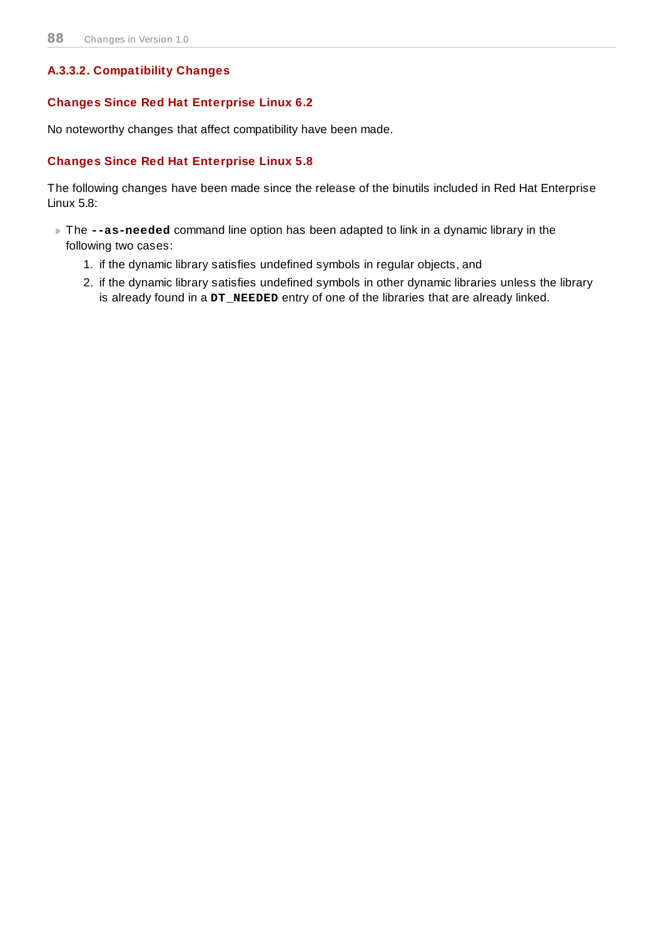### **A.3.3.2. Compatibility Changes**

#### **Changes Since Red Hat Enterprise Linux 6.2**

No noteworthy changes that affect compatibility have been made.

### **Changes Since Red Hat Enterprise Linux 5.8**

The following changes have been made since the release of the binutils included in Red Hat Enterprise Linux 5.8:

- The **--as-needed** command line option has been adapted to link in a dynamic library in the following two cases:
	- 1. if the dynamic library satisfies undefined symbols in regular objects, and
	- 2. if the dynamic library satisfies undefined symbols in other dynamic libraries unless the library is already found in a **DT\_NEEDED** entry of one of the libraries that are already linked.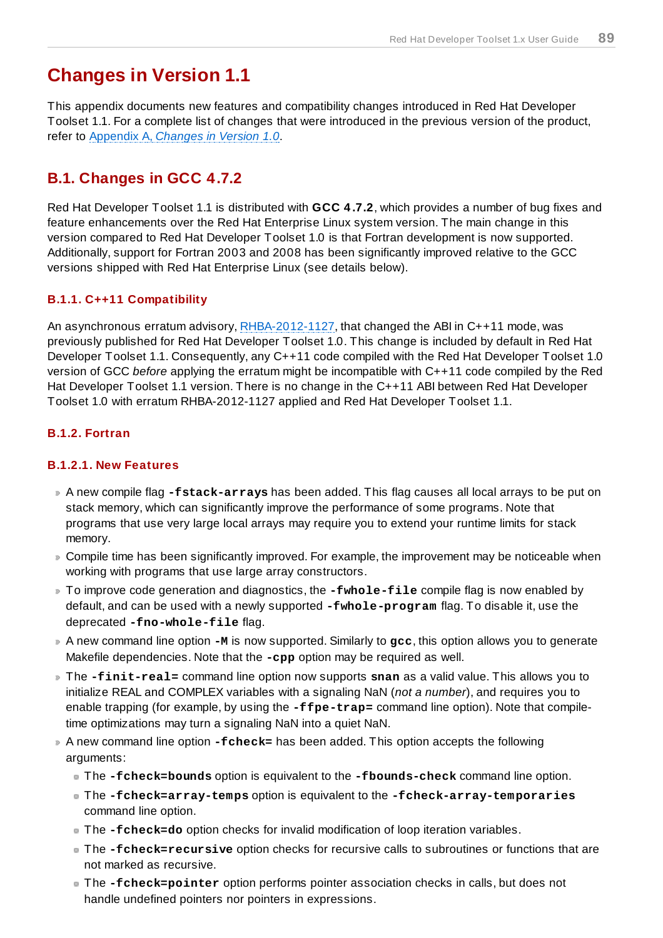# **Changes in Version 1.1**

This appendix documents new features and compatibility changes introduced in Red Hat Developer Toolset 1.1. For a complete list of changes that were introduced in the previous version of the product, refer to [Appendix](#page-76-0) A, *Changes in Version 1.0*.

## **B.1. Changes in GCC 4.7.2**

Red Hat Developer Toolset 1.1 is distributed with **GCC 4 .7.2**, which provides a number of bug fixes and feature enhancements over the Red Hat Enterprise Linux system version. The main change in this version compared to Red Hat Developer Toolset 1.0 is that Fortran development is now supported. Additionally, support for Fortran 2003 and 2008 has been significantly improved relative to the GCC versions shipped with Red Hat Enterprise Linux (see details below).

### <span id="page-88-0"></span>**B.1.1. C++11 Compatibility**

An asynchronous erratum advisory, [RHBA-2012-1127](http://rhn.redhat.com/errata/RHBA-2012-1127.html), that changed the ABI in C++11 mode, was previously published for Red Hat Developer Toolset 1.0. This change is included by default in Red Hat Developer Toolset 1.1. Consequently, any C++11 code compiled with the Red Hat Developer Toolset 1.0 version of GCC *before* applying the erratum might be incompatible with C++11 code compiled by the Red Hat Developer Toolset 1.1 version. There is no change in the C++11 ABI between Red Hat Developer Toolset 1.0 with erratum RHBA-2012-1127 applied and Red Hat Developer Toolset 1.1.

### **B.1.2. Fortran**

### <span id="page-88-1"></span>**B.1.2.1. New Features**

- A new compile flag **-fstack-arrays** has been added. This flag causes all local arrays to be put on stack memory, which can significantly improve the performance of some programs. Note that programs that use very large local arrays may require you to extend your runtime limits for stack memory.
- Compile time has been significantly improved. For example, the improvement may be noticeable when working with programs that use large array constructors.
- To improve code generation and diagnostics, the **-fwhole-file** compile flag is now enabled by default, and can be used with a newly supported **-fwhole-program** flag. To disable it, use the deprecated **-fno-whole-file** flag.
- A new command line option **-M** is now supported. Similarly to **gcc**, this option allows you to generate Makefile dependencies. Note that the **-cpp** option may be required as well.
- The **-finit-real=** command line option now supports **snan** as a valid value. This allows you to initialize REAL and COMPLEX variables with a signaling NaN (*not a number*), and requires you to enable trapping (for example, by using the **-ffpe-trap=** command line option). Note that compiletime optimizations may turn a signaling NaN into a quiet NaN.
- A new command line option **-fcheck=** has been added. This option accepts the following arguments:
	- The **-fcheck=bounds** option is equivalent to the **-fbounds-check** command line option.
	- The **-fcheck=array-temps** option is equivalent to the **-fcheck-array-temporaries** command line option.
	- The **-fcheck=do** option checks for invalid modification of loop iteration variables.
	- The **-fcheck=recursive** option checks for recursive calls to subroutines or functions that are not marked as recursive.
	- The **-fcheck=pointer** option performs pointer association checks in calls, but does not handle undefined pointers nor pointers in expressions.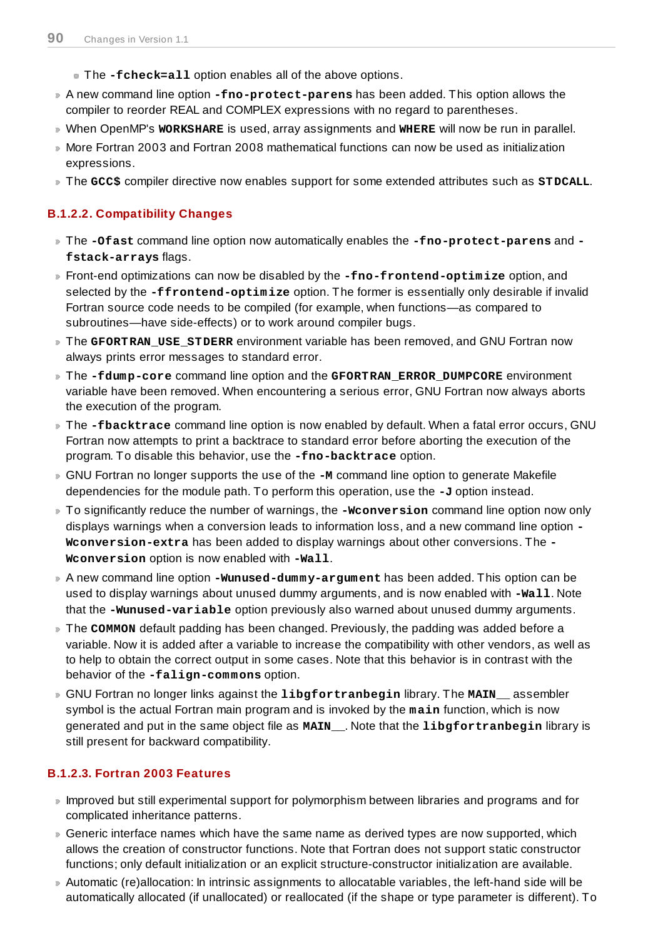- **The -fcheck=all** option enables all of the above options.
- A new command line option **-fno-protect-parens** has been added. This option allows the compiler to reorder REAL and COMPLEX expressions with no regard to parentheses.
- When OpenMP's **WORKSHARE** is used, array assignments and **WHERE** will now be run in parallel.
- More Fortran 2003 and Fortran 2008 mathematical functions can now be used as initialization expressions.
- The **GCC\$** compiler directive now enables support for some extended attributes such as **STDCALL**.

### <span id="page-89-0"></span>**B.1.2.2. Compatibility Changes**

- The **-Ofast** command line option now automatically enables the **-fno-protect-parens** and  **fstack-arrays** flags.
- Front-end optimizations can now be disabled by the **-fno-frontend-optimize** option, and selected by the **-ffrontend-optimize** option. The former is essentially only desirable if invalid Fortran source code needs to be compiled (for example, when functions—as compared to subroutines—have side-effects) or to work around compiler bugs.
- The **GFORTRAN\_USE\_STDERR** environment variable has been removed, and GNU Fortran now always prints error messages to standard error.
- The **-fdump-core** command line option and the **GFORTRAN\_ERROR\_DUMPCORE** environment variable have been removed. When encountering a serious error, GNU Fortran now always aborts the execution of the program.
- The **-fbacktrace** command line option is now enabled by default. When a fatal error occurs, GNU Fortran now attempts to print a backtrace to standard error before aborting the execution of the program. To disable this behavior, use the **-fno-backtrace** option.
- GNU Fortran no longer supports the use of the **-M** command line option to generate Makefile dependencies for the module path. To perform this operation, use the **-J** option instead.
- To significantly reduce the number of warnings, the **-Wconversion** command line option now only displays warnings when a conversion leads to information loss, and a new command line option **- Wconversion-extra** has been added to display warnings about other conversions. The **- Wconversion** option is now enabled with **-Wall**.
- A new command line option **-Wunused-dummy-argument** has been added. This option can be used to display warnings about unused dummy arguments, and is now enabled with **-Wall**. Note that the **-Wunused-variable** option previously also warned about unused dummy arguments.
- **The COMMON** default padding has been changed. Previously, the padding was added before a variable. Now it is added after a variable to increase the compatibility with other vendors, as well as to help to obtain the correct output in some cases. Note that this behavior is in contrast with the behavior of the **-falign-commons** option.
- GNU Fortran no longer links against the **libgfortranbegin** library. The **MAIN\_\_** assembler symbol is the actual Fortran main program and is invoked by the **main** function, which is now generated and put in the same object file as **MAIN\_\_**. Note that the **libgfortranbegin** library is still present for backward compatibility.

### **B.1.2.3. Fortran 2003 Features**

- Improved but still experimental support for polymorphism between libraries and programs and for complicated inheritance patterns.
- Generic interface names which have the same name as derived types are now supported, which allows the creation of constructor functions. Note that Fortran does not support static constructor functions; only default initialization or an explicit structure-constructor initialization are available.
- Automatic (re)allocation: In intrinsic assignments to allocatable variables, the left-hand side will be automatically allocated (if unallocated) or reallocated (if the shape or type parameter is different). To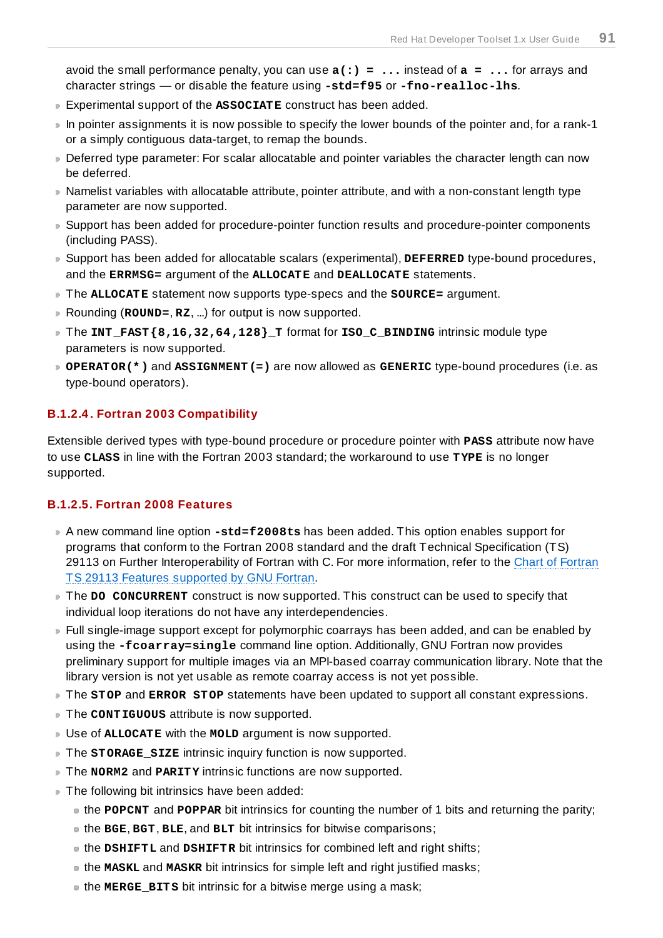<span id="page-90-2"></span><span id="page-90-1"></span>avoid the small performance penalty, you can use **a(:) = ...** instead of **a = ...** for arrays and character strings — or disable the feature using **-std=f95** or **-fno-realloc-lhs**.

- Experimental support of the **ASSOCIATE** construct has been added.
- $\triangleright$  In pointer assignments it is now possible to specify the lower bounds of the pointer and, for a rank-1 or a simply contiguous data-target, to remap the bounds.
- Deferred type parameter: For scalar allocatable and pointer variables the character length can now be deferred.
- Namelist variables with allocatable attribute, pointer attribute, and with a non-constant length type parameter are now supported.
- Support has been added for procedure-pointer function results and procedure-pointer components (including PASS).
- Support has been added for allocatable scalars (experimental), **DEFERRED** type-bound procedures, and the **ERRMSG=** argument of the **ALLOCATE** and **DEALLOCATE** statements.
- The **ALLOCATE** statement now supports type-specs and the **SOURCE=** argument.
- Rounding (**ROUND=**, **RZ**, ...) for output is now supported.
- The **INT\_FAST{8,16,32,64,128}\_T** format for **ISO\_C\_BINDING** intrinsic module type parameters is now supported.
- **OPERATOR(\*)** and **ASSIGNMENT(=)** are now allowed as **GENERIC** type-bound procedures (i.e. as type-bound operators).

### <span id="page-90-0"></span>**B.1.2.4 . Fortran 2003 Compatibility**

Extensible derived types with type-bound procedure or procedure pointer with **PASS** attribute now have to use **CLASS** in line with the Fortran 2003 standard; the workaround to use **TYPE** is no longer supported.

### **B.1.2.5. Fortran 2008 Features**

- A new command line option **-std=f2008ts** has been added. This option enables support for programs that conform to the Fortran 2008 standard and the draft Technical Specification (TS) 29113 on Further [Interoperability](http://gcc.gnu.org/wiki/TS29113Status) of Fortran with C. For more information, refer to the Chart of Fortran TS 29113 Features supported by GNU Fortran.
- **The DO CONCURRENT** construct is now supported. This construct can be used to specify that individual loop iterations do not have any interdependencies.
- Full single-image support except for polymorphic coarrays has been added, and can be enabled by using the **-fcoarray=single** command line option. Additionally, GNU Fortran now provides preliminary support for multiple images via an MPI-based coarray communication library. Note that the library version is not yet usable as remote coarray access is not yet possible.
- The **STOP** and **ERROR STOP** statements have been updated to support all constant expressions.
- The **CONTIGUOUS** attribute is now supported.
- Use of **ALLOCATE** with the **MOLD** argument is now supported.
- **The STORAGE SIZE** intrinsic inquiry function is now supported.
- The **NORM2** and **PARITY** intrinsic functions are now supported.
- **The following bit intrinsics have been added:** 
	- the **POPCNT** and **POPPAR** bit intrinsics for counting the number of 1 bits and returning the parity;
	- the **BGE**, **BGT**, **BLE**, and **BLT** bit intrinsics for bitwise comparisons;
	- the **DSHIFTL** and **DSHIFTR** bit intrinsics for combined left and right shifts;
	- the **MASKL** and **MASKR** bit intrinsics for simple left and right justified masks;
	- **the MERGE BITS** bit intrinsic for a bitwise merge using a mask;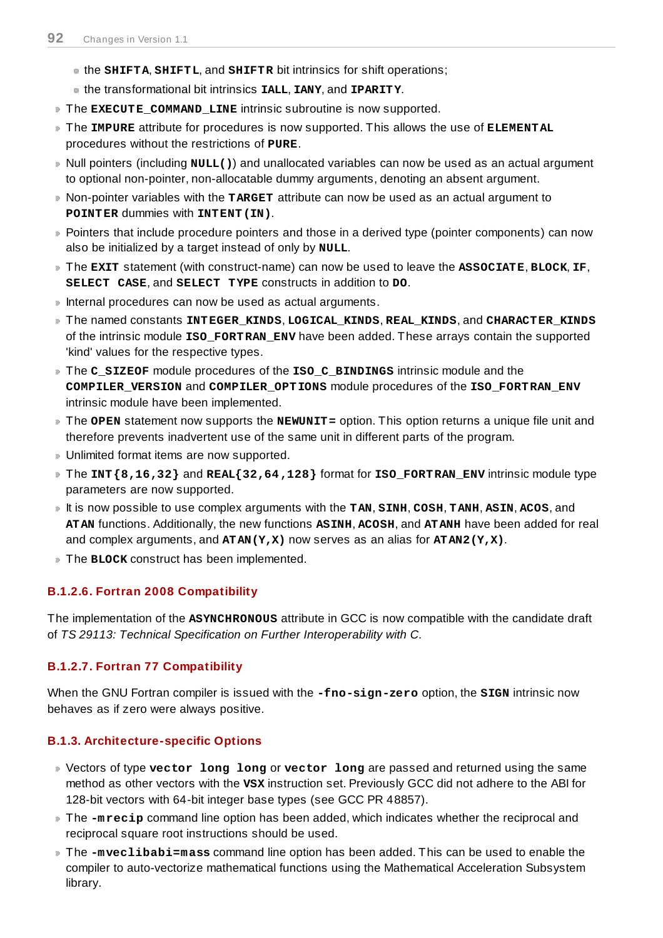- <span id="page-91-2"></span>the **SHIFTA**, **SHIFTL**, and **SHIFTR** bit intrinsics for shift operations;
- the transformational bit intrinsics **IALL**, **IANY**, and **IPARITY**.
- **The EXECUTE COMMAND LINE** intrinsic subroutine is now supported.
- The **IMPURE** attribute for procedures is now supported. This allows the use of **ELEMENTAL** procedures without the restrictions of **PURE**.
- Null pointers (including **NULL()**) and unallocated variables can now be used as an actual argument to optional non-pointer, non-allocatable dummy arguments, denoting an absent argument.
- Non-pointer variables with the **TARGET** attribute can now be used as an actual argument to **POINTER** dummies with **INTENT(IN)**.
- Pointers that include procedure pointers and those in a derived type (pointer components) can now also be initialized by a target instead of only by **NULL**.
- The **EXIT** statement (with construct-name) can now be used to leave the **ASSOCIATE**, **BLOCK**, **IF**, **SELECT CASE**, and **SELECT TYPE** constructs in addition to **DO**.
- Internal procedures can now be used as actual arguments.
- The named constants **INTEGER\_KINDS**, **LOGICAL\_KINDS**, **REAL\_KINDS**, and **CHARACTER\_KINDS** of the intrinsic module **ISO\_FORTRAN\_ENV** have been added. These arrays contain the supported 'kind' values for the respective types.
- The **C\_SIZEOF** module procedures of the **ISO\_C\_BINDINGS** intrinsic module and the **COMPILER\_VERSION** and **COMPILER\_OPTIONS** module procedures of the **ISO\_FORTRAN\_ENV** intrinsic module have been implemented.
- The **OPEN** statement now supports the **NEWUNIT** = option. This option returns a unique file unit and therefore prevents inadvertent use of the same unit in different parts of the program.
- Unlimited format items are now supported.
- The **INT{8,16,32}** and **REAL{32,64,128}** format for **ISO\_FORTRAN\_ENV** intrinsic module type parameters are now supported.
- It is now possible to use complex arguments with the **TAN**, **SINH**, **COSH**, **TANH**, **ASIN**, **ACOS**, and **ATAN** functions. Additionally, the new functions **ASINH**, **ACOSH**, and **ATANH** have been added for real and complex arguments, and **ATAN(Y,X)** now serves as an alias for **ATAN2(Y,X)**.
- **The BLOCK** construct has been implemented.

### <span id="page-91-0"></span>**B.1.2.6. Fortran 2008 Compatibility**

The implementation of the **ASYNCHRONOUS** attribute in GCC is now compatible with the candidate draft of *TS 29113: Technical Specification on Further Interoperability with C*.

### <span id="page-91-1"></span>**B.1.2.7. Fortran 77 Compatibility**

When the GNU Fortran compiler is issued with the **-fno-sign-zero** option, the **SIGN** intrinsic now behaves as if zero were always positive.

### **B.1.3. Architecture-specific Options**

- Vectors of type **vector long long** or **vector long** are passed and returned using the same method as other vectors with the **VSX** instruction set. Previously GCC did not adhere to the ABI for 128-bit vectors with 64-bit integer base types (see GCC PR 48857).
- The **-mrecip** command line option has been added, which indicates whether the reciprocal and reciprocal square root instructions should be used.
- The **-mveclibabi=mass** command line option has been added. This can be used to enable the compiler to auto-vectorize mathematical functions using the Mathematical Acceleration Subsystem library.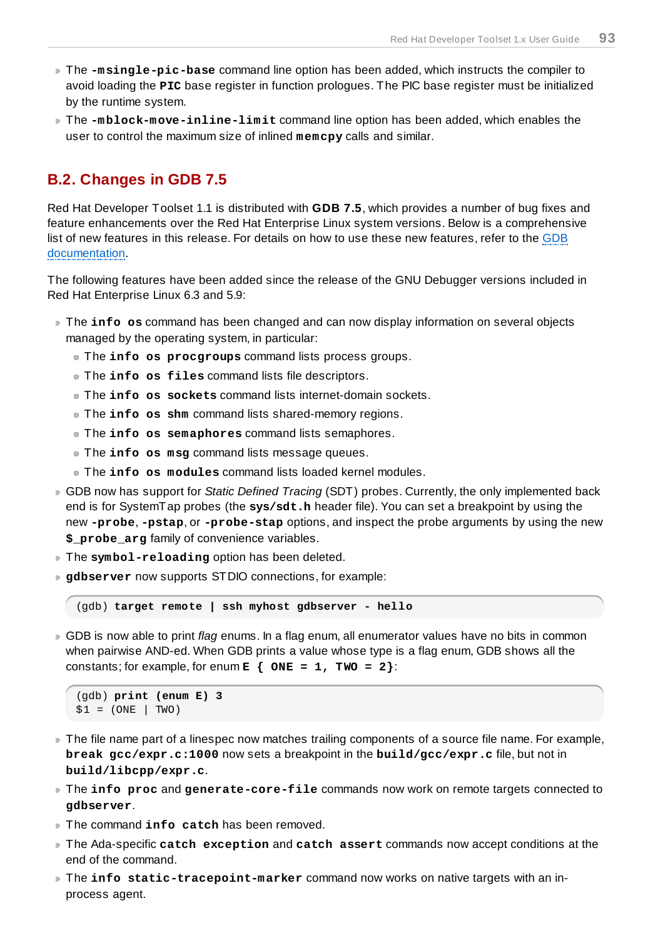- The **-msingle-pic-base** command line option has been added, which instructs the compiler to avoid loading the **PIC** base register in function prologues. The PIC base register must be initialized by the runtime system.
- The **-mblock-move-inline-limit** command line option has been added, which enables the user to control the maximum size of inlined **memcpy** calls and similar.

## **B.2. Changes in GDB 7.5**

Red Hat Developer Toolset 1.1 is distributed with **GDB 7.5**, which provides a number of bug fixes and feature enhancements over the Red Hat Enterprise Linux system versions. Below is a comprehensive list of new features in this release. For details on how to use these new features, refer to the GDB [documentation.](http://www.gnu.org/software/gdb/documentation/)

The following features have been added since the release of the GNU Debugger versions included in Red Hat Enterprise Linux 6.3 and 5.9:

- The **info os** command has been changed and can now display information on several objects managed by the operating system, in particular:
	- The **info os procgroups** command lists process groups.
	- The **info os files** command lists file descriptors.
	- The **info os sockets** command lists internet-domain sockets.
	- The **info os shm** command lists shared-memory regions.
	- The **info os semaphores** command lists semaphores.
	- The **info os msg** command lists message queues.
	- The **info os modules** command lists loaded kernel modules.
- GDB now has support for *Static Defined Tracing* (SDT) probes. Currently, the only implemented back end is for SystemTap probes (the **sys/sdt.h** header file). You can set a breakpoint by using the new **-probe**, **-pstap**, or **-probe-stap** options, and inspect the probe arguments by using the new **\$\_probe\_arg** family of convenience variables.
- The **symbol-reloading** option has been deleted.
- **gdbserver** now supports STDIO connections, for example:

(gdb) **target remote | ssh myhost gdbserver - hello**

GDB is now able to print *flag* enums. In a flag enum, all enumerator values have no bits in common when pairwise AND-ed. When GDB prints a value whose type is a flag enum, GDB shows all the constants; for example, for enum **E { ONE = 1, TWO = 2}**:

```
(gdb) print (enum E) 3
$1 = (ONE | Two)
```
- The file name part of a linespec now matches trailing components of a source file name. For example, **break gcc/expr.c:1000** now sets a breakpoint in the **build/gcc/expr.c** file, but not in **build/libcpp/expr.c**.
- The **info proc** and **generate-core-file** commands now work on remote targets connected to **gdbserver**.
- The command **info catch** has been removed.
- The Ada-specific **catch exception** and **catch assert** commands now accept conditions at the end of the command.
- The **info static-tracepoint-marker** command now works on native targets with an inprocess agent.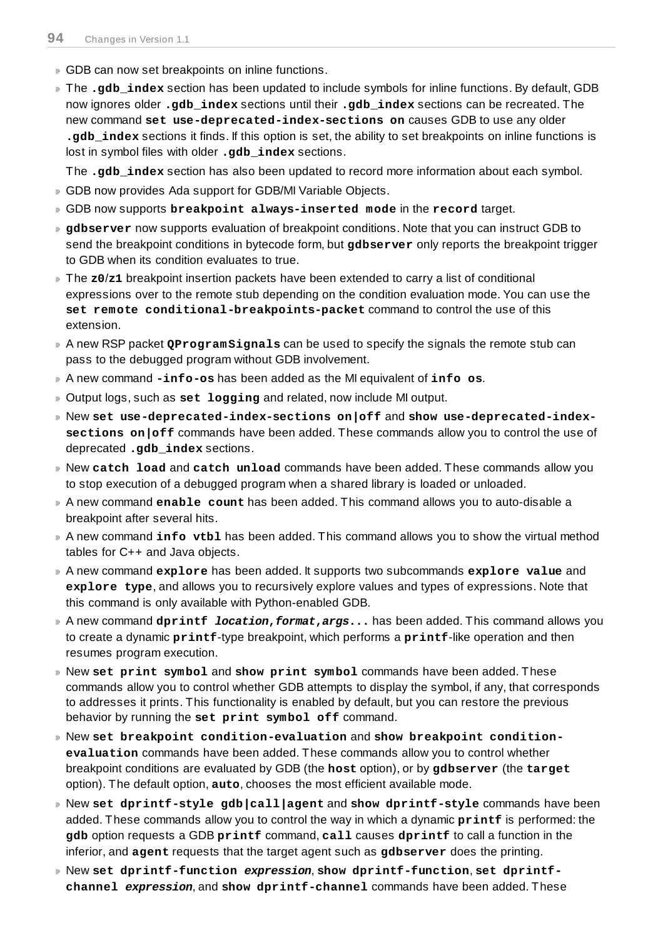- <span id="page-93-0"></span>**B** GDB can now set breakpoints on inline functions.
- The **.gdb\_index** section has been updated to include symbols for inline functions. By default, GDB now ignores older **.gdb\_index** sections until their **.gdb\_index** sections can be recreated. The new command **set use-deprecated-index-sections on** causes GDB to use any older **.gdb\_index** sections it finds. If this option is set, the ability to set breakpoints on inline functions is lost in symbol files with older **.gdb\_index** sections.

The **.gdb\_index** section has also been updated to record more information about each symbol.

- GDB now provides Ada support for GDB/MI Variable Objects.
- GDB now supports **breakpoint always-inserted mode** in the **record** target.
- **gdbserver** now supports evaluation of breakpoint conditions. Note that you can instruct GDB to send the breakpoint conditions in bytecode form, but **gdbserver** only reports the breakpoint trigger to GDB when its condition evaluates to true.
- The **z0**/**z1** breakpoint insertion packets have been extended to carry a list of conditional expressions over to the remote stub depending on the condition evaluation mode. You can use the **set remote conditional-breakpoints-packet** command to control the use of this extension.
- A new RSP packet **QProgramSignals** can be used to specify the signals the remote stub can pass to the debugged program without GDB involvement.
- A new command **-info-os** has been added as the MI equivalent of **info os**.
- Output logs, such as **set logging** and related, now include MI output.
- New **set use-deprecated-index-sections on|off** and **show use-deprecated-indexsections on|off** commands have been added. These commands allow you to control the use of deprecated **.gdb\_index** sections.
- New **catch load** and **catch unload** commands have been added. These commands allow you to stop execution of a debugged program when a shared library is loaded or unloaded.
- A new command **enable count** has been added. This command allows you to auto-disable a breakpoint after several hits.
- A new command **info vtbl** has been added. This command allows you to show the virtual method tables for C++ and Java objects.
- A new command **explore** has been added. It supports two subcommands **explore value** and **explore type**, and allows you to recursively explore values and types of expressions. Note that this command is only available with Python-enabled GDB.
- A new command **dprintf** *location***,***format***,***args***...** has been added. This command allows you to create a dynamic **printf**-type breakpoint, which performs a **printf**-like operation and then resumes program execution.
- New **set print symbol** and **show print symbol** commands have been added. These commands allow you to control whether GDB attempts to display the symbol, if any, that corresponds to addresses it prints. This functionality is enabled by default, but you can restore the previous behavior by running the **set print symbol off** command.
- New **set breakpoint condition-evaluation** and **show breakpoint conditionevaluation** commands have been added. These commands allow you to control whether breakpoint conditions are evaluated by GDB (the **host** option), or by **gdbserver** (the **target** option). The default option, **auto**, chooses the most efficient available mode.
- New **set dprintf-style gdb|call|agent** and **show dprintf-style** commands have been added. These commands allow you to control the way in which a dynamic **printf** is performed: the **gdb** option requests a GDB **printf** command, **call** causes **dprintf** to call a function in the inferior, and **agent** requests that the target agent such as **gdbserver** does the printing.
- New **set dprintf-function** *expression*, **show dprintf-function**, **set dprintfchannel** *expression*, and **show dprintf-channel** commands have been added. These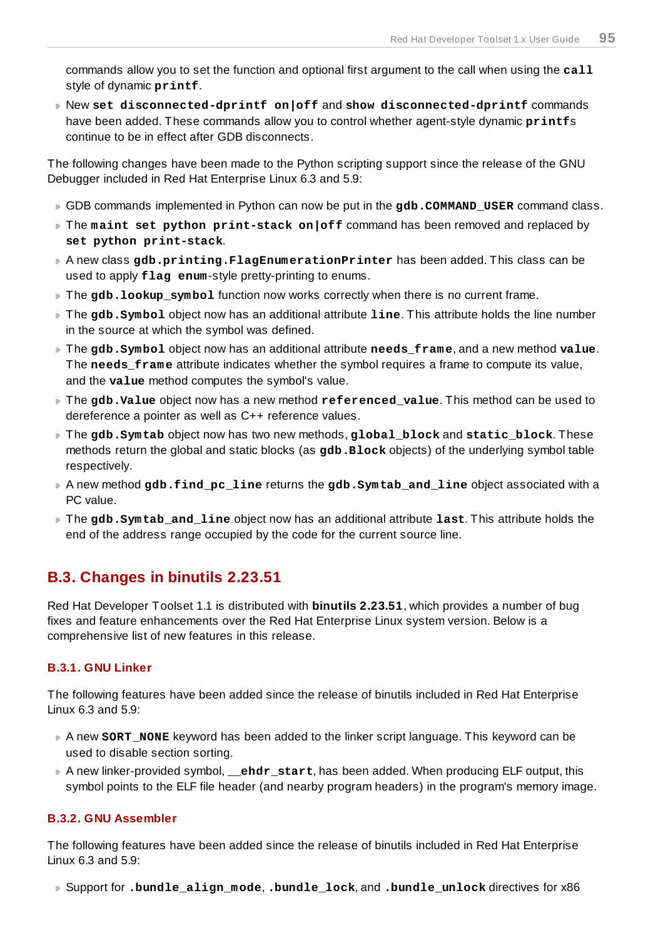commands allow you to set the function and optional first argument to the call when using the **call** style of dynamic **printf**.

New **set disconnected-dprintf on|off** and **show disconnected-dprintf** commands have been added. These commands allow you to control whether agent-style dynamic **printf**s continue to be in effect after GDB disconnects.

The following changes have been made to the Python scripting support since the release of the GNU Debugger included in Red Hat Enterprise Linux 6.3 and 5.9:

- GDB commands implemented in Python can now be put in the **gdb.COMMAND\_USER** command class.
- The **maint set python print-stack on|off** command has been removed and replaced by **set python print-stack**.
- A new class **gdb.printing.FlagEnumerationPrinter** has been added. This class can be used to apply **flag enum**-style pretty-printing to enums.
- The **gdb.lookup\_symbol** function now works correctly when there is no current frame.
- The **gdb.Symbol** object now has an additional attribute **line**. This attribute holds the line number in the source at which the symbol was defined.
- The **gdb.Symbol** object now has an additional attribute **needs\_frame**, and a new method **value**. The **needs\_frame** attribute indicates whether the symbol requires a frame to compute its value, and the **value** method computes the symbol's value.
- The **gdb.Value** object now has a new method **referenced\_value**. This method can be used to dereference a pointer as well as C++ reference values.
- The **gdb.Symtab** object now has two new methods, **global\_block** and **static\_block**. These methods return the global and static blocks (as **gdb.Block** objects) of the underlying symbol table respectively.
- A new method **gdb.find\_pc\_line** returns the **gdb.Symtab\_and\_line** object associated with a PC value.
- The **gdb.Symtab\_and\_line** object now has an additional attribute **last**. This attribute holds the end of the address range occupied by the code for the current source line.

## <span id="page-94-0"></span>**B.3. Changes in binutils 2.23.51**

Red Hat Developer Toolset 1.1 is distributed with **binutils 2.23.51**, which provides a number of bug fixes and feature enhancements over the Red Hat Enterprise Linux system version. Below is a comprehensive list of new features in this release.

### <span id="page-94-2"></span>**B.3.1. GNU Linker**

The following features have been added since the release of binutils included in Red Hat Enterprise Linux 6.3 and 5.9:

- A new **SORT\_NONE** keyword has been added to the linker script language. This keyword can be used to disable section sorting.
- A new linker-provided symbol, **\_\_ehdr\_start**, has been added. When producing ELF output, this symbol points to the ELF file header (and nearby program headers) in the program's memory image.

### <span id="page-94-1"></span>**B.3.2. GNU Assembler**

The following features have been added since the release of binutils included in Red Hat Enterprise Linux 6.3 and 5.9:

Support for **.bundle\_align\_mode**, **.bundle\_lock**, and **.bundle\_unlock** directives for x86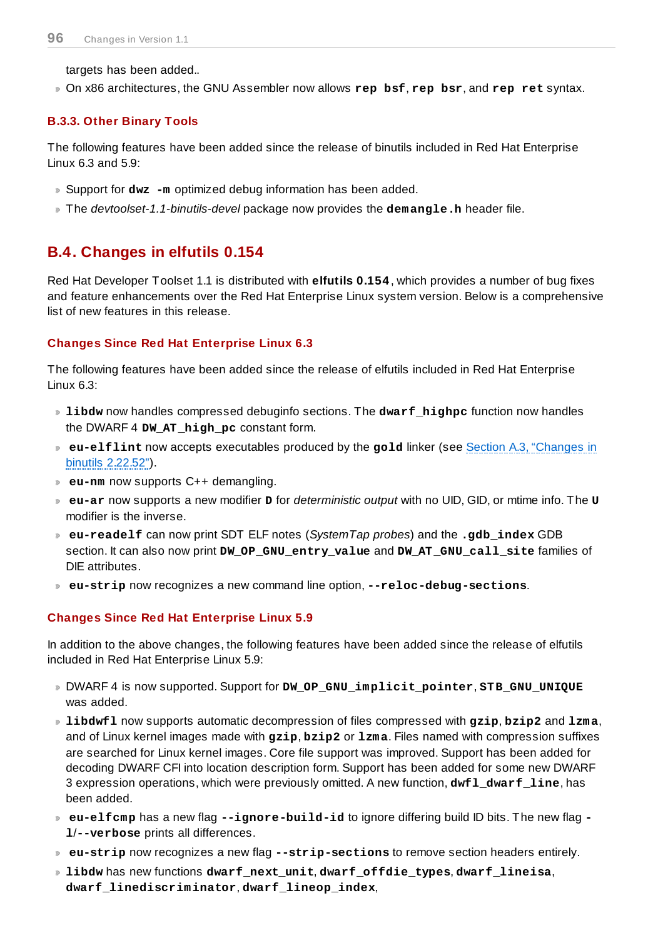targets has been added..

On x86 architectures, the GNU Assembler now allows **rep bsf**, **rep bsr**, and **rep ret** syntax.

### **B.3.3. Other Binary Tools**

The following features have been added since the release of binutils included in Red Hat Enterprise Linux 6.3 and 5.9:

- Support for **dwz -m** optimized debug information has been added.
- The *devtoolset-1.1-binutils-devel* package now provides the **demangle.h** header file.

## <span id="page-95-0"></span>**B.4. Changes in elfutils 0.154**

Red Hat Developer Toolset 1.1 is distributed with **elfutils 0.154** , which provides a number of bug fixes and feature enhancements over the Red Hat Enterprise Linux system version. Below is a comprehensive list of new features in this release.

### **Changes Since Red Hat Enterprise Linux 6.3**

The following features have been added since the release of elfutils included in Red Hat Enterprise Linux 6.3:

- **libdw** now handles compressed debuginfo sections. The **dwarf\_highpc** function now handles the DWARF 4 **DW\_AT\_high\_pc** constant form.
- **[eu-elflint](#page-85-0)** now accepts executables produced by the **gold** linker (see Section A.3, "Changes in binutils 2.22.52").
- **eu-nm** now supports C++ demangling.
- **eu-ar** now supports a new modifier **D** for *deterministic output* with no UID, GID, or mtime info. The **U** modifier is the inverse.
- **eu-readelf** can now print SDT ELF notes (*SystemTap probes*) and the **.gdb\_index** GDB section. It can also now print **DW\_OP\_GNU\_entry\_value** and **DW\_AT\_GNU\_call\_site** families of DIE attributes.
- **eu-strip** now recognizes a new command line option, **--reloc-debug-sections**.

### **Changes Since Red Hat Enterprise Linux 5.9**

In addition to the above changes, the following features have been added since the release of elfutils included in Red Hat Enterprise Linux 5.9:

- DWARF 4 is now supported. Support for **DW\_OP\_GNU\_implicit\_pointer**, **STB\_GNU\_UNIQUE** was added.
- **libdwfl** now supports automatic decompression of files compressed with **gzip**, **bzip2** and **lzma**, and of Linux kernel images made with **gzip**, **bzip2** or **lzma**. Files named with compression suffixes are searched for Linux kernel images. Core file support was improved. Support has been added for decoding DWARF CFI into location description form. Support has been added for some new DWARF 3 expression operations, which were previously omitted. A new function, **dwfl\_dwarf\_line**, has been added.
- **eu-elfcmp** has a new flag **--ignore-build-id** to ignore differing build ID bits. The new flag  **l**/**--verbose** prints all differences.
- **eu-strip** now recognizes a new flag **--strip-sections** to remove section headers entirely.
- **libdw** has new functions **dwarf\_next\_unit**, **dwarf\_offdie\_types**, **dwarf\_lineisa**, **dwarf\_linediscriminator**, **dwarf\_lineop\_index**,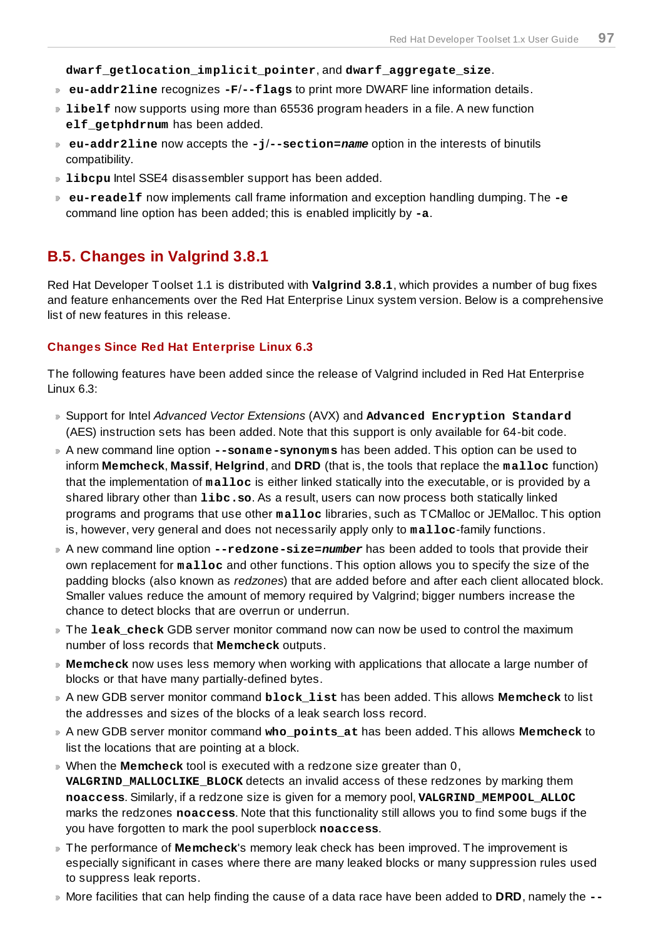### **dwarf\_getlocation\_implicit\_pointer**, and **dwarf\_aggregate\_size**.

- **eu-addr2line** recognizes **-F/--flags** to print more DWARF line information details.
- **libelf** now supports using more than 65536 program headers in a file. A new function **elf\_getphdrnum** has been added.
- **eu-addr2line** now accepts the **-j**/**--section=***name* option in the interests of binutils compatibility.
- **libcpu** Intel SSE4 disassembler support has been added.
- **eu-readelf** now implements call frame information and exception handling dumping. The **-e** command line option has been added; this is enabled implicitly by **-a**.

## **B.5. Changes in Valgrind 3.8.1**

Red Hat Developer Toolset 1.1 is distributed with **Valgrind 3.8.1**, which provides a number of bug fixes and feature enhancements over the Red Hat Enterprise Linux system version. Below is a comprehensive list of new features in this release.

### **Changes Since Red Hat Enterprise Linux 6.3**

The following features have been added since the release of Valgrind included in Red Hat Enterprise Linux 6.3:

- Support for Intel *Advanced Vector Extensions* (AVX) and **Advanced Encryption Standard** (AES) instruction sets has been added. Note that this support is only available for 64-bit code.
- A new command line option **--soname-synonyms** has been added. This option can be used to inform **Memcheck**, **Massif**, **Helgrind**, and **DRD** (that is, the tools that replace the **malloc** function) that the implementation of **malloc** is either linked statically into the executable, or is provided by a shared library other than **libc.so**. As a result, users can now process both statically linked programs and programs that use other **malloc** libraries, such as TCMalloc or JEMalloc. This option is, however, very general and does not necessarily apply only to **malloc**-family functions.
- A new command line option **--redzone-size=***number* has been added to tools that provide their own replacement for **malloc** and other functions. This option allows you to specify the size of the padding blocks (also known as *redzones*) that are added before and after each client allocated block. Smaller values reduce the amount of memory required by Valgrind; bigger numbers increase the chance to detect blocks that are overrun or underrun.
- The **leak\_check** GDB server monitor command now can now be used to control the maximum number of loss records that **Memcheck** outputs.
- **Memcheck** now uses less memory when working with applications that allocate a large number of blocks or that have many partially-defined bytes.
- A new GDB server monitor command **block\_list** has been added. This allows **Memcheck** to list the addresses and sizes of the blocks of a leak search loss record.
- A new GDB server monitor command **who\_points\_at** has been added. This allows **Memcheck** to list the locations that are pointing at a block.
- When the **Memcheck** tool is executed with a redzone size greater than 0, **VALGRIND\_MALLOCLIKE\_BLOCK** detects an invalid access of these redzones by marking them **noaccess**. Similarly, if a redzone size is given for a memory pool, **VALGRIND\_MEMPOOL\_ALLOC** marks the redzones **noaccess**. Note that this functionality still allows you to find some bugs if the you have forgotten to mark the pool superblock **noaccess**.
- The performance of **Memcheck**'s memory leak check has been improved. The improvement is especially significant in cases where there are many leaked blocks or many suppression rules used to suppress leak reports.
- More facilities that can help finding the cause of a data race have been added to **DRD**, namely the **--**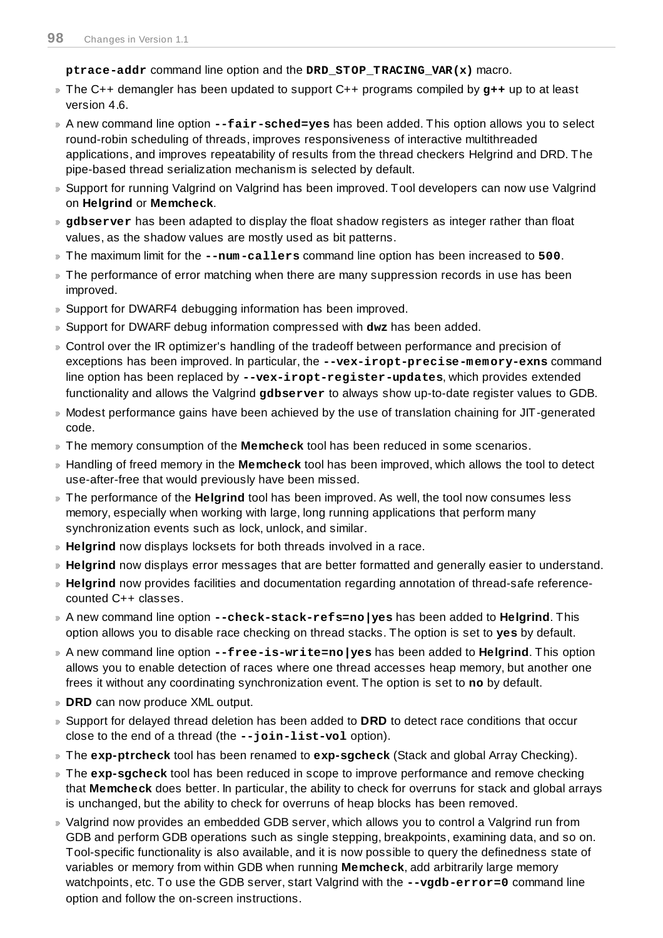### **ptrace-addr** command line option and the **DRD\_STOP\_TRACING\_VAR(x)** macro.

- The C++ demangler has been updated to support C++ programs compiled by **g++** up to at least version 4.6.
- A new command line option **--fair-sched=yes** has been added. This option allows you to select round-robin scheduling of threads, improves responsiveness of interactive multithreaded applications, and improves repeatability of results from the thread checkers Helgrind and DRD. The pipe-based thread serialization mechanism is selected by default.
- Support for running Valgrind on Valgrind has been improved. Tool developers can now use Valgrind on **Helgrind** or **Memcheck**.
- **gdbserver** has been adapted to display the float shadow registers as integer rather than float values, as the shadow values are mostly used as bit patterns.
- The maximum limit for the **--num-callers** command line option has been increased to **500**.
- The performance of error matching when there are many suppression records in use has been improved.
- Support for DWARF4 debugging information has been improved.
- Support for DWARF debug information compressed with **dwz** has been added.
- Control over the IR optimizer's handling of the tradeoff between performance and precision of exceptions has been improved. In particular, the **--vex-iropt-precise-memory-exns** command line option has been replaced by **--vex-iropt-register-updates**, which provides extended functionality and allows the Valgrind **gdbserver** to always show up-to-date register values to GDB.
- Modest performance gains have been achieved by the use of translation chaining for JIT-generated code.
- The memory consumption of the **Memcheck** tool has been reduced in some scenarios.
- Handling of freed memory in the **Memcheck** tool has been improved, which allows the tool to detect use-after-free that would previously have been missed.
- **The performance of the Helgrind** tool has been improved. As well, the tool now consumes less memory, especially when working with large, long running applications that perform many synchronization events such as lock, unlock, and similar.
- **Helgrind** now displays locksets for both threads involved in a race.
- **Helgrind** now displays error messages that are better formatted and generally easier to understand.
- **Helgrind** now provides facilities and documentation regarding annotation of thread-safe referencecounted C++ classes.
- A new command line option **--check-stack-refs=no|yes** has been added to **Helgrind**. This option allows you to disable race checking on thread stacks. The option is set to **yes** by default.
- A new command line option **--free-is-write=no|yes** has been added to **Helgrind**. This option allows you to enable detection of races where one thread accesses heap memory, but another one frees it without any coordinating synchronization event. The option is set to **no** by default.
- **DRD** can now produce XML output.
- Support for delayed thread deletion has been added to **DRD** to detect race conditions that occur close to the end of a thread (the **--join-list-vol** option).
- The **exp-ptrcheck** tool has been renamed to **exp-sgcheck** (Stack and global Array Checking).
- The **exp-sgcheck** tool has been reduced in scope to improve performance and remove checking that **Memcheck** does better. In particular, the ability to check for overruns for stack and global arrays is unchanged, but the ability to check for overruns of heap blocks has been removed.
- Valgrind now provides an embedded GDB server, which allows you to control a Valgrind run from GDB and perform GDB operations such as single stepping, breakpoints, examining data, and so on. Tool-specific functionality is also available, and it is now possible to query the definedness state of variables or memory from within GDB when running **Memcheck**, add arbitrarily large memory watchpoints, etc. To use the GDB server, start Valgrind with the **--vgdb-error=0** command line option and follow the on-screen instructions.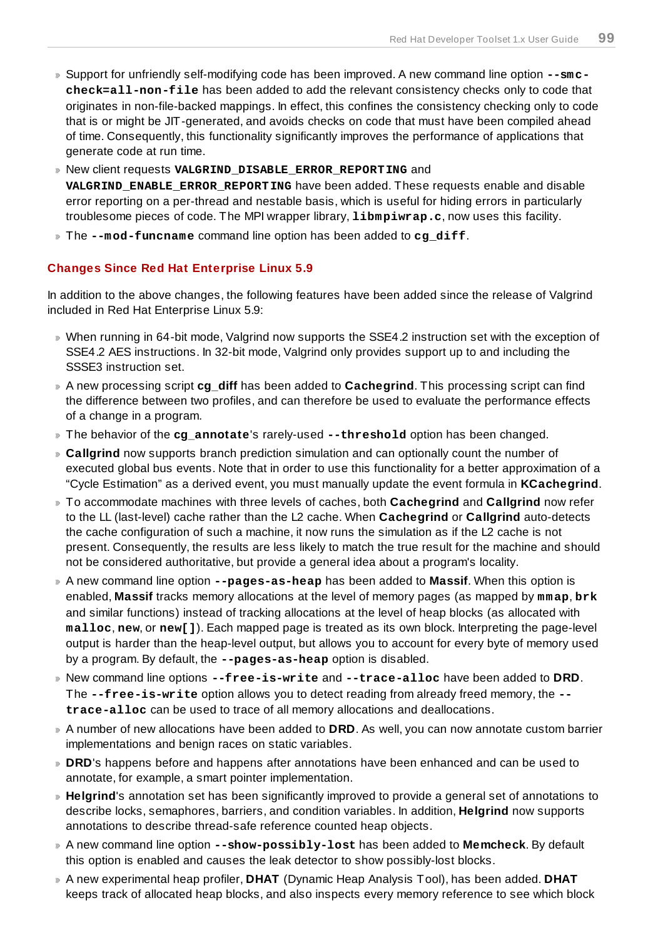- Support for unfriendly self-modifying code has been improved. A new command line option **--smccheck=all-non-file** has been added to add the relevant consistency checks only to code that originates in non-file-backed mappings. In effect, this confines the consistency checking only to code that is or might be JIT-generated, and avoids checks on code that must have been compiled ahead of time. Consequently, this functionality significantly improves the performance of applications that generate code at run time.
- New client requests **VALGRIND\_DISABLE\_ERROR\_REPORTING** and **VALGRIND\_ENABLE\_ERROR\_REPORTING** have been added. These requests enable and disable error reporting on a per-thread and nestable basis, which is useful for hiding errors in particularly troublesome pieces of code. The MPI wrapper library, **libmpiwrap.c**, now uses this facility.
- The **--mod-funcname** command line option has been added to **cg\_diff**.

### **Changes Since Red Hat Enterprise Linux 5.9**

In addition to the above changes, the following features have been added since the release of Valgrind included in Red Hat Enterprise Linux 5.9:

- When running in 64-bit mode, Valgrind now supports the SSE4.2 instruction set with the exception of SSE4.2 AES instructions. In 32-bit mode, Valgrind only provides support up to and including the SSSE3 instruction set.
- A new processing script **cg\_diff** has been added to **Cachegrind**. This processing script can find the difference between two profiles, and can therefore be used to evaluate the performance effects of a change in a program.
- The behavior of the **cg\_annotate**'s rarely-used **--threshold** option has been changed.
- **Callgrind** now supports branch prediction simulation and can optionally count the number of executed global bus events. Note that in order to use this functionality for a better approximation of a "Cycle Estimation" as a derived event, you must manually update the event formula in **KCachegrind**.
- To accommodate machines with three levels of caches, both **Cachegrind** and **Callgrind** now refer to the LL (last-level) cache rather than the L2 cache. When **Cachegrind** or **Callgrind** auto-detects the cache configuration of such a machine, it now runs the simulation as if the L2 cache is not present. Consequently, the results are less likely to match the true result for the machine and should not be considered authoritative, but provide a general idea about a program's locality.
- A new command line option **--pages-as-heap** has been added to **Massif**. When this option is enabled, **Massif** tracks memory allocations at the level of memory pages (as mapped by **mmap**, **brk** and similar functions) instead of tracking allocations at the level of heap blocks (as allocated with **malloc**, **new**, or **new[]**). Each mapped page is treated as its own block. Interpreting the page-level output is harder than the heap-level output, but allows you to account for every byte of memory used by a program. By default, the **--pages-as-heap** option is disabled.
- New command line options **--free-is-write** and **--trace-alloc** have been added to **DRD**. The **--free-is-write** option allows you to detect reading from already freed memory, the **- trace-alloc** can be used to trace of all memory allocations and deallocations.
- A number of new allocations have been added to **DRD**. As well, you can now annotate custom barrier implementations and benign races on static variables.
- **DRD**'s happens before and happens after annotations have been enhanced and can be used to annotate, for example, a smart pointer implementation.
- **Helgrind**'s annotation set has been significantly improved to provide a general set of annotations to describe locks, semaphores, barriers, and condition variables. In addition, **Helgrind** now supports annotations to describe thread-safe reference counted heap objects.
- A new command line option **--show-possibly-lost** has been added to **Memcheck**. By default this option is enabled and causes the leak detector to show possibly-lost blocks.
- A new experimental heap profiler, **DHAT** (Dynamic Heap Analysis Tool), has been added. **DHAT** keeps track of allocated heap blocks, and also inspects every memory reference to see which block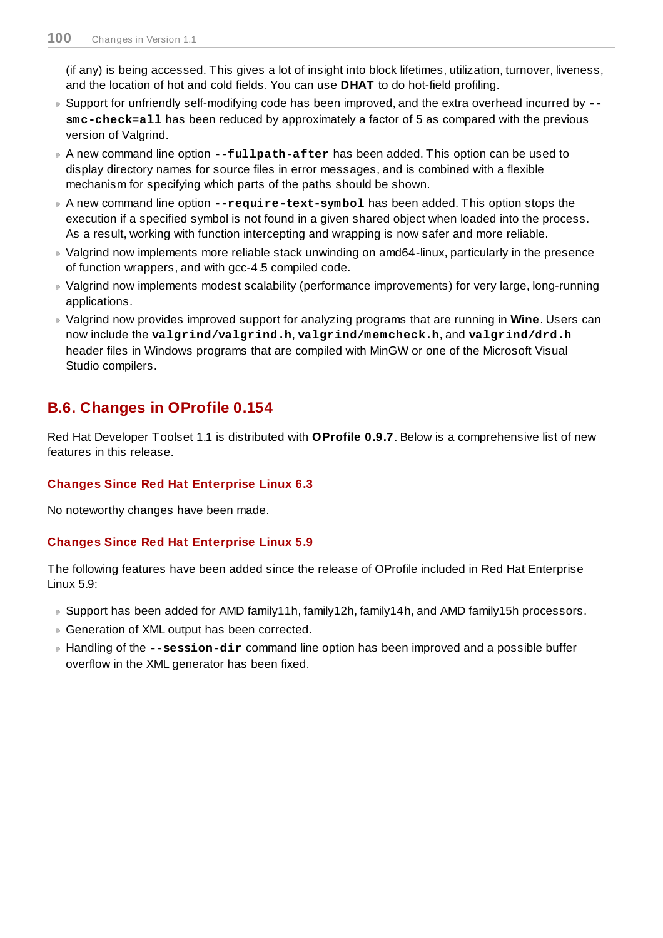(if any) is being accessed. This gives a lot of insight into block lifetimes, utilization, turnover, liveness, and the location of hot and cold fields. You can use **DHAT** to do hot-field profiling.

- Support for unfriendly self-modifying code has been improved, and the extra overhead incurred by **- smc-check=all** has been reduced by approximately a factor of 5 as compared with the previous version of Valgrind.
- A new command line option **--fullpath-after** has been added. This option can be used to display directory names for source files in error messages, and is combined with a flexible mechanism for specifying which parts of the paths should be shown.
- A new command line option **--require-text-symbol** has been added. This option stops the execution if a specified symbol is not found in a given shared object when loaded into the process. As a result, working with function intercepting and wrapping is now safer and more reliable.
- Valgrind now implements more reliable stack unwinding on amd64-linux, particularly in the presence of function wrappers, and with gcc-4.5 compiled code.
- Valgrind now implements modest scalability (performance improvements) for very large, long-running applications.
- Valgrind now provides improved support for analyzing programs that are running in **Wine**. Users can now include the **valgrind/valgrind.h**, **valgrind/memcheck.h**, and **valgrind/drd.h** header files in Windows programs that are compiled with MinGW or one of the Microsoft Visual Studio compilers.

## <span id="page-99-0"></span>**B.6. Changes in OProfile 0.154**

Red Hat Developer Toolset 1.1 is distributed with **OProfile 0.9.7**. Below is a comprehensive list of new features in this release.

### **Changes Since Red Hat Enterprise Linux 6.3**

No noteworthy changes have been made.

### **Changes Since Red Hat Enterprise Linux 5.9**

The following features have been added since the release of OProfile included in Red Hat Enterprise Linux 5.9:

- Support has been added for AMD family11h, family12h, family14h, and AMD family15h processors.
- Generation of XML output has been corrected.
- Handling of the **--session-dir** command line option has been improved and a possible buffer overflow in the XML generator has been fixed.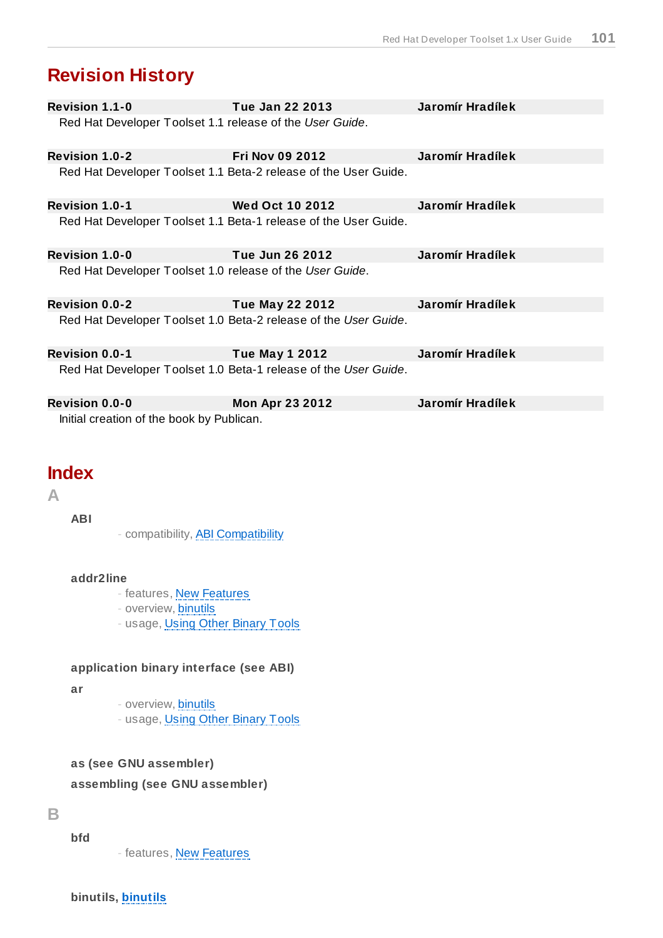# **Revision History**

| <b>Revision 1.1-0</b>                                    | Tue Jan 22 2013                                                 | <b>Jaromír Hradílek</b> |
|----------------------------------------------------------|-----------------------------------------------------------------|-------------------------|
| Red Hat Developer Toolset 1.1 release of the User Guide. |                                                                 |                         |
|                                                          |                                                                 |                         |
| <b>Revision 1.0-2</b>                                    | <b>Fri Nov 09 2012</b>                                          | Jaromír Hradílek        |
|                                                          | Red Hat Developer Toolset 1.1 Beta-2 release of the User Guide. |                         |
| <b>Revision 1.0-1</b>                                    | <b>Wed Oct 10 2012</b>                                          | <b>Jaromír Hradílek</b> |
|                                                          | Red Hat Developer Toolset 1.1 Beta-1 release of the User Guide. |                         |
| Revision 1.0-0                                           | Tue Jun 26 2012                                                 | Jaromír Hradílek        |
| Red Hat Developer Toolset 1.0 release of the User Guide. |                                                                 |                         |
| <b>Revision 0.0-2</b>                                    | <b>Tue May 22 2012</b>                                          | Jaromír Hradílek        |
|                                                          | Red Hat Developer Toolset 1.0 Beta-2 release of the User Guide. |                         |
| Revision 0.0-1                                           | <b>Tue May 1 2012</b>                                           | <b>Jaromír Hradílek</b> |
|                                                          | Red Hat Developer Toolset 1.0 Beta-1 release of the User Guide. |                         |
| <b>Revision 0.0-0</b>                                    | <b>Mon Apr 23 2012</b>                                          | <b>Jaromír Hradílek</b> |
| Initial creation of the book by Publican.                |                                                                 |                         |

## **Index**

### **A**

**ABI**

- compatibility, ABI [Compatibility](#page-76-1)

### **addr2line**

- features, New [Features](#page-86-0)
- overview, [binutils](#page-36-0)
- usage, Using Other [Binary](#page-37-0) Tools

### **application binary interface (see ABI)**

**ar**

- overview, **[binutils](#page-36-0)**
- usage, Using Other [Binary](#page-37-0) Tools
- **as (see GNU assembler)**

**assembling (see GNU assembler)**

### **B**

**bfd**

- features, New [Features](#page-86-0)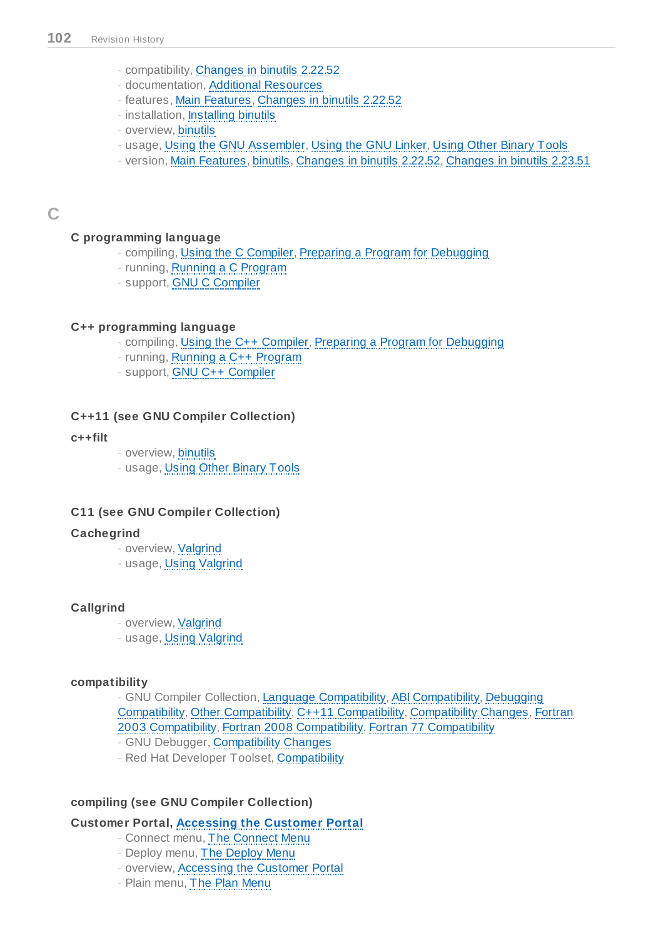- compatibility, [Changes](#page-85-0) in binutils 2.22.52
- documentation, Additional [Resources](#page-37-1)
- features, Main [Features](#page-12-0), [Changes](#page-85-0) in binutils 2.22.52
- installation, [Installing](#page-35-0) binutils
- overview, [binutils](#page-36-0)
- usage, Using the GNU [Assembler](#page-36-1), [Using](#page-36-2) the GNU Linker, Using Other [Binary](#page-37-0) Tools
- version, Main [Features](#page-12-0), [binutils](#page-36-0), [Changes](#page-85-0) in binutils 2.22.52, [Changes](#page-94-0) in binutils 2.23.51

### **C**

#### **C programming language**

- compiling, Using the C [Compiler](#page-20-0), Preparing a Program for [Debugging](#page-28-0)
- running, Running a C [Program](#page-21-0)
- support, GNU C [Compiler](#page-20-1)

#### **C++ programming language**

- compiling, Using the C++ [Compiler](#page-22-0), Preparing a Program for [Debugging](#page-28-0)
- running, [Running](#page-23-0) a C++ Program
- support, GNU C++ [Compiler](#page-22-1)

#### **C++11 (see GNU Compiler Collection)**

#### **c++filt**

- overview, [binutils](#page-36-0)
- usage, Using Other [Binary](#page-37-0) Tools

#### **C11 (see GNU Compiler Collection)**

#### **Cachegrind**

- overview, [Valgrind](#page-48-0)
- usage, Using [Valgrind](#page-48-1)

#### **Callgrind**

- overview, **[Valgrind](#page-48-0)**
- usage, Using [Valgrind](#page-48-1)

#### **compatibility**

- GNU Compiler Collection, Language [Compatibility,](#page-77-0) ABI [Compatibility](#page-76-1), Debugging [Compatibility,](#page-90-0) Other [Compatibility](#page-77-1), C++11 [Compatibility](#page-88-0), [Compatibility](#page-89-0) Changes, Fortran 2003 Compatibility, Fortran 2008 [Compatibility](#page-91-0), Fortran 77 [Compatibility](#page-91-1)

- GNU Debugger, [Compatibility](#page-82-0) Changes
- Red Hat Developer Toolset, [Compatibility](#page-13-0)

#### **compiling (see GNU Compiler Collection)**

#### **Customer Portal, [Accessing](#page-60-0) the Customer Portal**

- Connect menu, The [Connect](#page-61-0) Menu
- Deploy menu, The [Deploy](#page-60-1) Menu
- overview, [Accessing](#page-60-0) the Customer Portal
- Plain menu, The Plan [Menu](#page-59-0)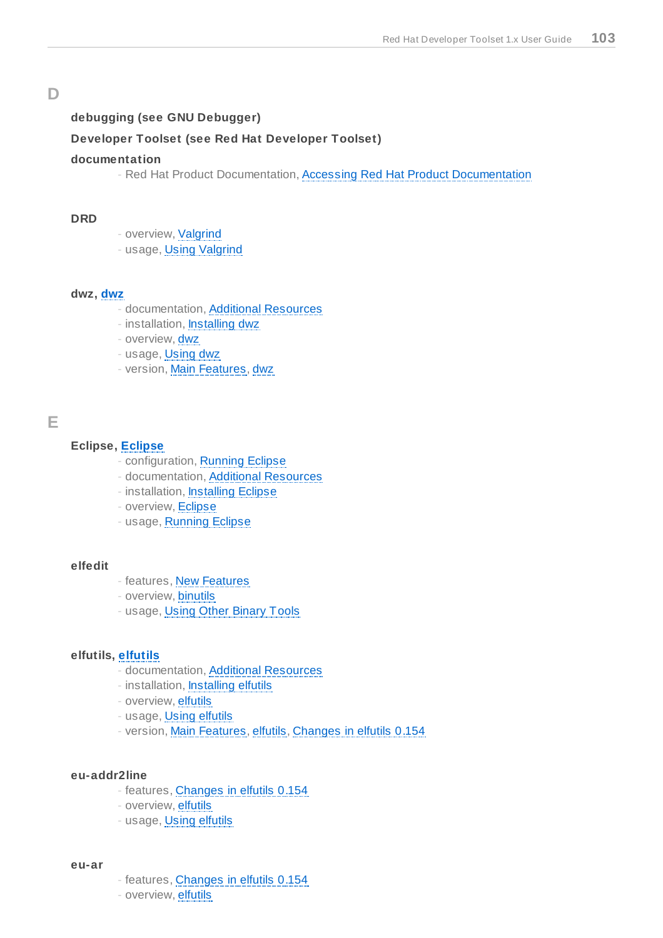### **D**

### **debugging (see GNU Debugger)**

#### **Developer Toolset (see Red Hat Developer Toolset)**

#### **documentation**

- Red Hat Product Documentation, Accessing Red Hat Product [Documentation](#page-58-0)

#### **DRD**

- overview, **[Valgrind](#page-48-0)**
- usage, Using [Valgrind](#page-48-1)

### **dwz, [dwz](#page-41-0)**

- documentation, Additional [Resources](#page-42-0)
- installation, [Installing](#page-41-1) dwz
- overview, [dwz](#page-41-0)
- usage, [Using](#page-41-2) dwz
- version, Main [Features](#page-12-0), [dwz](#page-41-0)

### **E**

### **Eclipse, [Eclipse](#page-55-0)**

- configuration, [Running](#page-55-1) Eclipse
- documentation, Additional [Resources](#page-56-0)
- installation, [Installing](#page-54-0) Eclipse
- overview, [Eclipse](#page-55-0)
- usage, [Running](#page-55-1) Eclipse

#### **elfedit**

- features, New [Features](#page-86-0)
- overview, [binutils](#page-36-0)
- usage, Using Other [Binary](#page-37-0) Tools

### **elfutils, [elfutils](#page-39-0)**

- documentation, Additional [Resources](#page-40-0)
- installation, [Installing](#page-39-1) elfutils
- overview, [elfutils](#page-39-0)
- usage, Using [elfutils](#page-40-1)
- version, Main [Features](#page-12-0), [elfutils](#page-39-0), [Changes](#page-95-0) in elfutils 0.154

#### **eu-addr2line**

- features, [Changes](#page-95-0) in elfutils 0.154
- overview, [elfutils](#page-39-0)
- usage, Using [elfutils](#page-40-1)

#### **eu-ar**

- features, [Changes](#page-95-0) in elfutils 0.154
- overview, [elfutils](#page-39-0)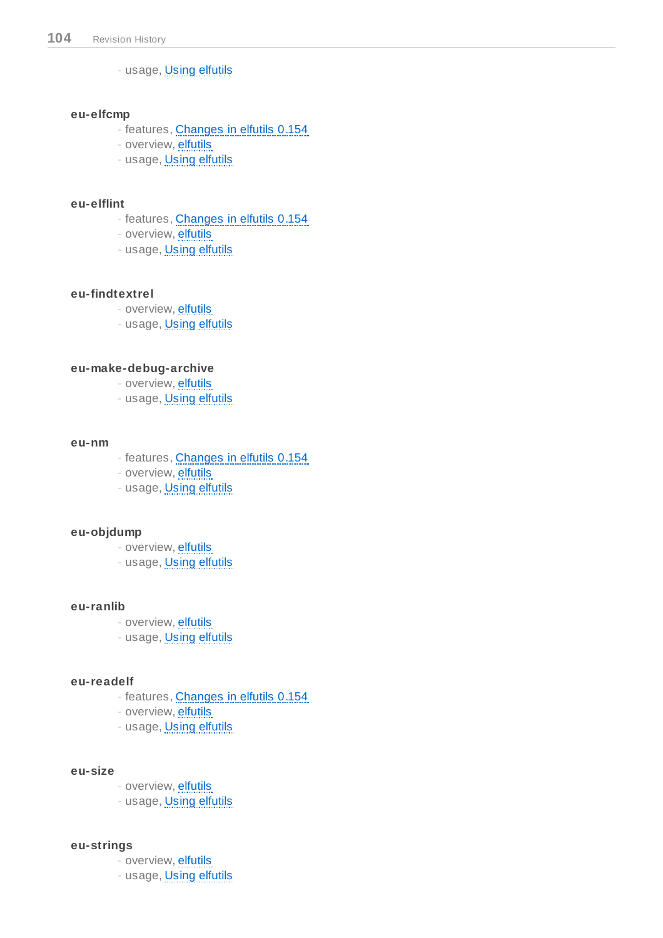- usage, Using [elfutils](#page-40-1)

#### **eu-elfcmp**

- features, [Changes](#page-95-0) in elfutils 0.154
- overview, [elfutils](#page-39-0)
- usage, Using [elfutils](#page-40-1)

#### **eu-elflint**

- features, [Changes](#page-95-0) in elfutils 0.154
- overview, [elfutils](#page-39-0)
- usage, Using [elfutils](#page-40-1)

#### **eu-findtextrel**

- overview, [elfutils](#page-39-0)
- usage, Using [elfutils](#page-40-1)

#### **eu-make-debug-archive**

- overview, [elfutils](#page-39-0)
- usage, Using [elfutils](#page-40-1)

#### **eu-nm**

- features, [Changes](#page-95-0) in elfutils 0.154
- overview, [elfutils](#page-39-0)
- usage, Using [elfutils](#page-40-1)

#### **eu-objdump**

- overview, [elfutils](#page-39-0)
- usage, Using [elfutils](#page-40-1)

#### **eu-ranlib**

- overview, [elfutils](#page-39-0)
- usage, Using [elfutils](#page-40-1)

#### **eu-readelf**

- features, [Changes](#page-95-0) in elfutils 0.154
- overview, *[elfutils](#page-39-0)*
- usage, Using [elfutils](#page-40-1)

#### **eu-size**

- overview, [elfutils](#page-39-0)
- usage, Using [elfutils](#page-40-1)

#### **eu-strings**

- overview, [elfutils](#page-39-0)
- usage, Using [elfutils](#page-40-1)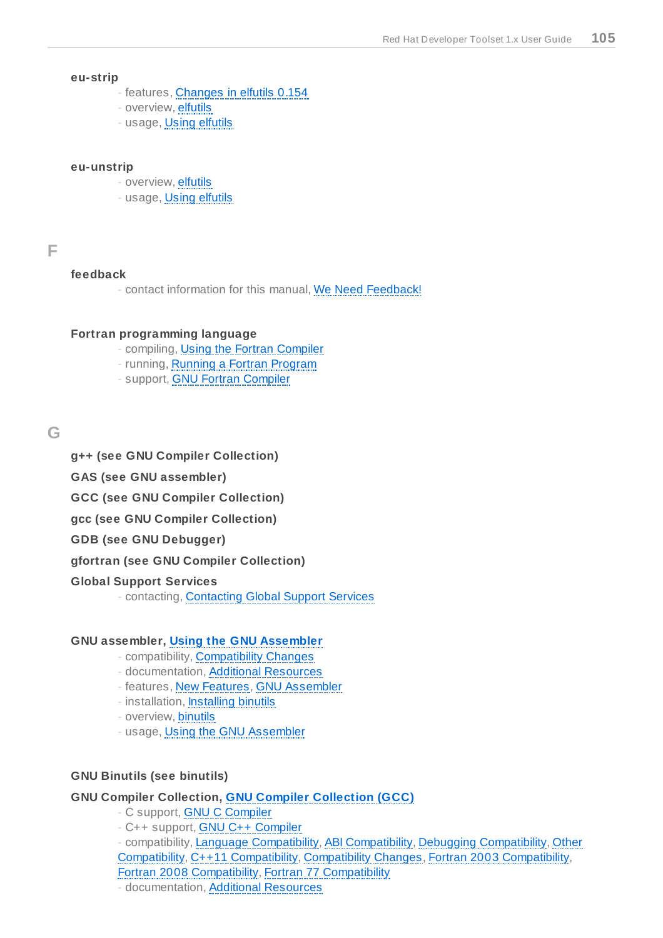#### **eu-strip**

- features, [Changes](#page-95-0) in elfutils 0.154
- overview, [elfutils](#page-39-0)
- usage, Using [elfutils](#page-40-1)

#### **eu-unstrip**

- overview, [elfutils](#page-39-0)
- usage, Using [elfutils](#page-40-1)

### **F**

#### **feedback**

- contact information for this manual, We Need [Feedback!](#page-9-0)

#### **Fortran programming language**

- compiling, Using the Fortran [Compiler](#page-24-0)
- running, Running a Fortran [Program](#page-25-0)
- support, GNU Fortran [Compiler](#page-24-1)

**G**

**g++ (see GNU Compiler Collection)**

**GAS (see GNU assembler)**

**GCC (see GNU Compiler Collection)**

**gcc (see GNU Compiler Collection)**

**GDB (see GNU Debugger)**

**gfortran (see GNU Compiler Collection)**

#### **Global Support Services**

- contacting, [Contacting](#page-64-0) Global Support Services

#### **GNU assembler, Using the GNU [Assembler](#page-36-1)**

- compatibility, [Compatibility](#page-85-1) Changes
- documentation, Additional [Resources](#page-37-1)
- features, New [Features](#page-85-2), GNU [Assembler](#page-94-1)
- installation, [Installing](#page-35-0) binutils
- overview, **[binutils](#page-36-0)**
- usage, Using the GNU [Assembler](#page-36-1)

### **GNU Binutils (see binutils)**

### **GNU Compiler Collection, GNU Compiler [Collection](#page-22-2) (GCC)**

- C support, GNU C [Compiler](#page-20-1)

- C++ support, GNU C++ [Compiler](#page-22-1)

- compatibility, Language [Compatibility,](#page-77-1) ABI [Compatibility](#page-76-1), Debugging [Compatibility](#page-77-0), Other Compatibility, C++11 [Compatibility](#page-88-0), [Compatibility](#page-89-0) Changes, Fortran 2003 [Compatibility](#page-90-0), Fortran 2008 [Compatibility](#page-91-0), Fortran 77 [Compatibility](#page-91-1)

- documentation, Additional [Resources](#page-25-1)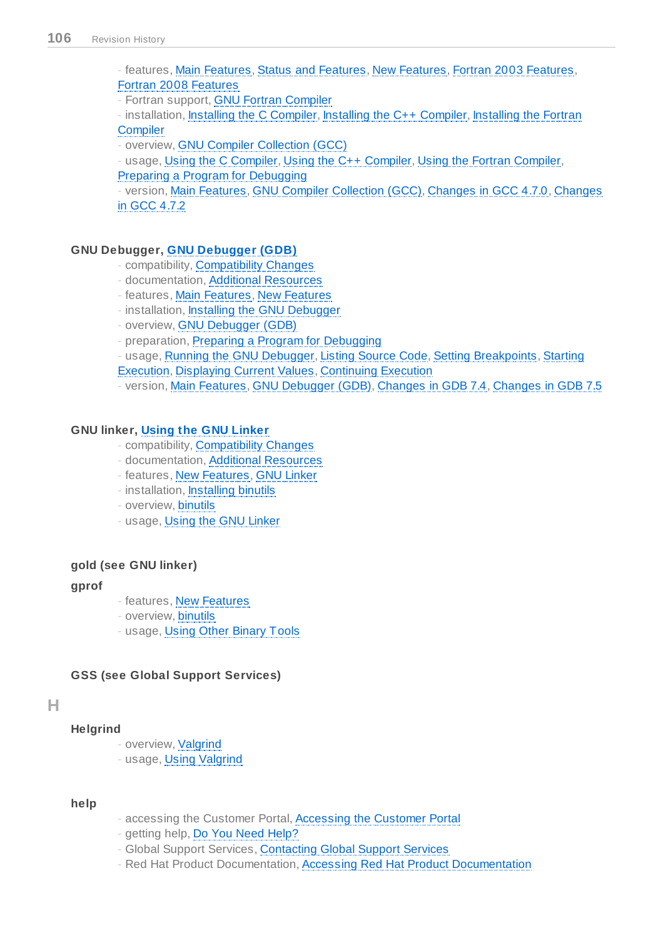- features, Main [Features](#page-12-0), Status and [Features](#page-68-0), New [Features](#page-88-1), Fortran 2003 [Features](#page-90-1), Fortran 2008 [Features](#page-91-2)

- Fortran support, GNU Fortran [Compiler](#page-24-1)

- [installation,](#page-23-1) [Installing](#page-19-0) the C Compiler, [Installing](#page-21-1) the C++ Compiler, Installing the Fortran **Compiler** 

- overview, GNU Compiler [Collection](#page-22-2) (GCC)

- usage, Using the C [Compiler](#page-20-0), Using the C++ [Compiler](#page-22-0), Using the Fortran [Compiler](#page-24-0),

Preparing a Program for [Debugging](#page-28-0)

- version, Main [Features](#page-12-0), GNU Compiler [Collection](#page-90-2) (GCC), [Changes](#page-71-0) in GCC 4.7.0, Changes in GCC 4.7.2

### **GNU Debugger, GNU [Debugger](#page-30-0) (GDB)**

- compatibility, [Compatibility](#page-82-0) Changes
- documentation, Additional [Resources](#page-34-0)
- features, Main [Features](#page-12-0), New [Features](#page-79-0)
- installation, Installing the GNU [Debugger](#page-27-0)
- overview, GNU [Debugger](#page-30-0) (GDB)
- preparation, Preparing a Program for [Debugging](#page-28-0)

- usage, Running the GNU [Debugger](#page-29-0), Listing [Source](#page-30-1) Code, Setting [Breakpoints](#page-31-0)[,](#page-32-0) Starting

- Execution, [Displaying](#page-33-0) Current Values, [Continuing](#page-34-1) Execution
- version, Main [Features](#page-12-0), GNU [Debugger](#page-30-0) (GDB), [Changes](#page-80-0) in GDB 7.4, [Changes](#page-93-0) in GDB 7.5

#### **GNU linker, Using the GNU [Linker](#page-36-2)**

- compatibility, [Compatibility](#page-84-0) Changes
- documentation, Additional [Resources](#page-37-1)
- features, New [Features](#page-83-0), GNU [Linker](#page-94-2)
- installation, [Installing](#page-35-0) binutils
- overview, [binutils](#page-36-0)
- usage, Using the GNU [Linker](#page-36-2)

#### **gold (see GNU linker)**

#### **gprof**

- features, New [Features](#page-86-0)
- overview, [binutils](#page-36-0)
- usage, Using Other [Binary](#page-37-0) Tools

### **GSS (see Global Support Services)**

### **H**

#### **Helgrind**

- overview, [Valgrind](#page-48-0)
- usage, Using [Valgrind](#page-48-1)

#### **help**

- accessing the Customer Portal, [Accessing](#page-60-0) the Customer Portal
- getting help, Do You Need [Help?](#page-8-0)
- Global Support Services, [Contacting](#page-64-0) Global Support Services
- Red Hat Product Documentation, Accessing Red Hat Product [Documentation](#page-58-0)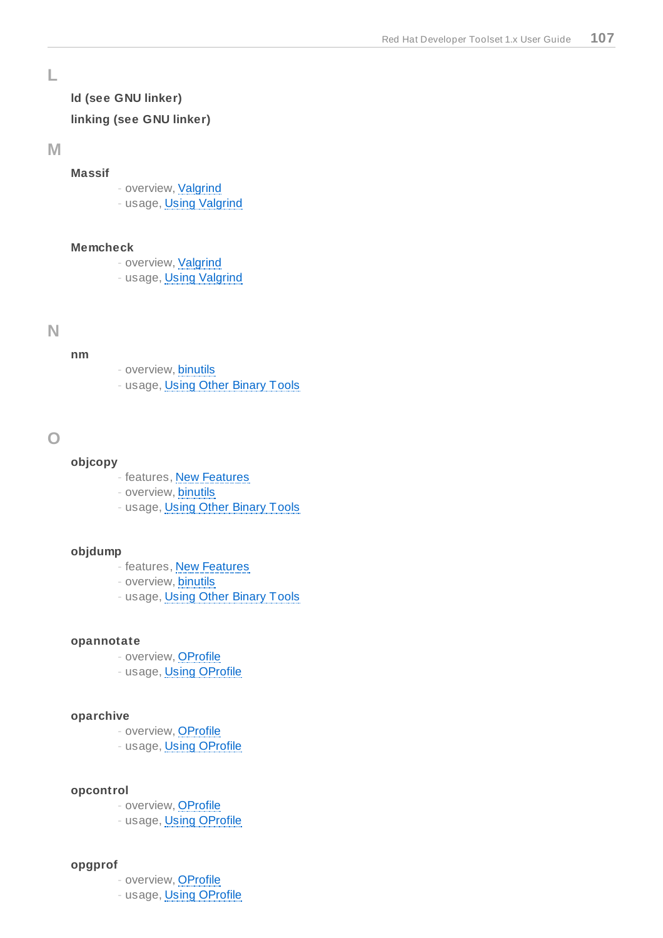### **L**

**ld (see GNU linker) linking (see GNU linker)**

**M**

**Massif**

- overview, **[Valgrind](#page-48-0)** 

- usage, Using [Valgrind](#page-48-1)

#### **Memcheck**

- overview, **[Valgrind](#page-48-0)** 

- usage, Using [Valgrind](#page-48-1)

#### **N**

#### **nm**

- overview, **[binutils](#page-36-0)**
- usage, Using Other [Binary](#page-37-0) Tools

**O**

#### **objcopy**

- features, New [Features](#page-86-0)
- overview, **[binutils](#page-36-0)**
- usage, Using Other [Binary](#page-37-0) Tools

#### **objdump**

- features, New [Features](#page-86-0)
- overview, [binutils](#page-36-0)
- usage, Using Other [Binary](#page-37-0) Tools

#### **opannotate**

- overview, **[OProfile](#page-51-0)**
- usage, Using [OProfile](#page-51-1)

#### **oparchive**

- overview, **[OProfile](#page-51-0)**
- usage, Using [OProfile](#page-51-1)

#### **opcontrol**

- overview, **[OProfile](#page-51-0)**
- usage, Using [OProfile](#page-51-1)

#### **opgprof**

- overview, **[OProfile](#page-51-0)**
- usage, Using [OProfile](#page-51-1)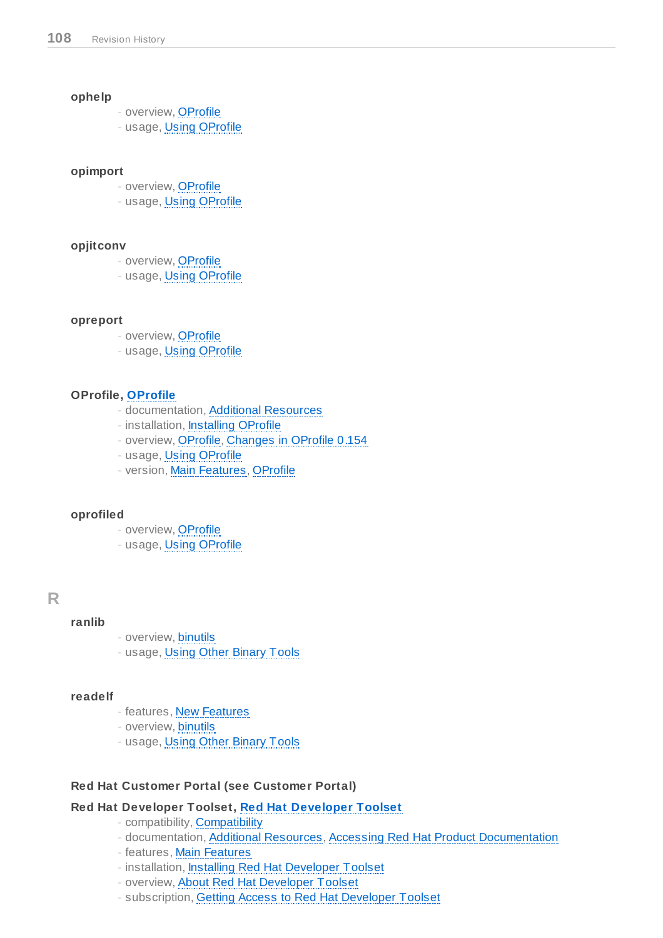#### **ophelp**

- overview, [OProfile](#page-51-0)
- usage, Using [OProfile](#page-51-1)

#### **opimport**

- overview, [OProfile](#page-51-0)
- usage, Using [OProfile](#page-51-1)

#### **opjitconv**

- overview, [OProfile](#page-51-0)
- usage, Using [OProfile](#page-51-1)

#### **opreport**

- overview, [OProfile](#page-51-0)
- usage, Using [OProfile](#page-51-1)

#### **OProfile, [OProfile](#page-51-0)**

- documentation, Additional [Resources](#page-51-2)
- installation, [Installing](#page-50-0) OProfile
- overview, [OProfile](#page-51-0), [Changes](#page-99-0) in OProfile 0.154
- usage, Using [OProfile](#page-51-1)
- version, Main [Features](#page-12-0), [OProfile](#page-51-0)

#### **oprofiled**

- overview, [OProfile](#page-51-0)
- usage, Using [OProfile](#page-51-1)

### **R**

#### **ranlib**

- overview, **[binutils](#page-36-0)**
- usage, Using Other [Binary](#page-37-0) Tools

#### **readelf**

- features, New [Features](#page-86-0)
- overview, [binutils](#page-36-0)
- usage, Using Other [Binary](#page-37-0) Tools

#### **Red Hat Customer Portal (see Customer Portal)**

#### **Red Hat Developer Toolset, Red Hat [Developer](#page-14-0) Toolset**

- compatibility, [Compatibility](#page-13-0)
- documentation, Additional [Resources](#page-17-0), Accessing Red Hat Product [Documentation](#page-58-0)
- features, Main [Features](#page-12-0)
- installation, Installing Red Hat [Developer](#page-16-0) Toolset
- overview, About Red Hat [Developer](#page-11-0) Toolset
- subscription, Getting Access to Red Hat [Developer](#page-14-1) Toolset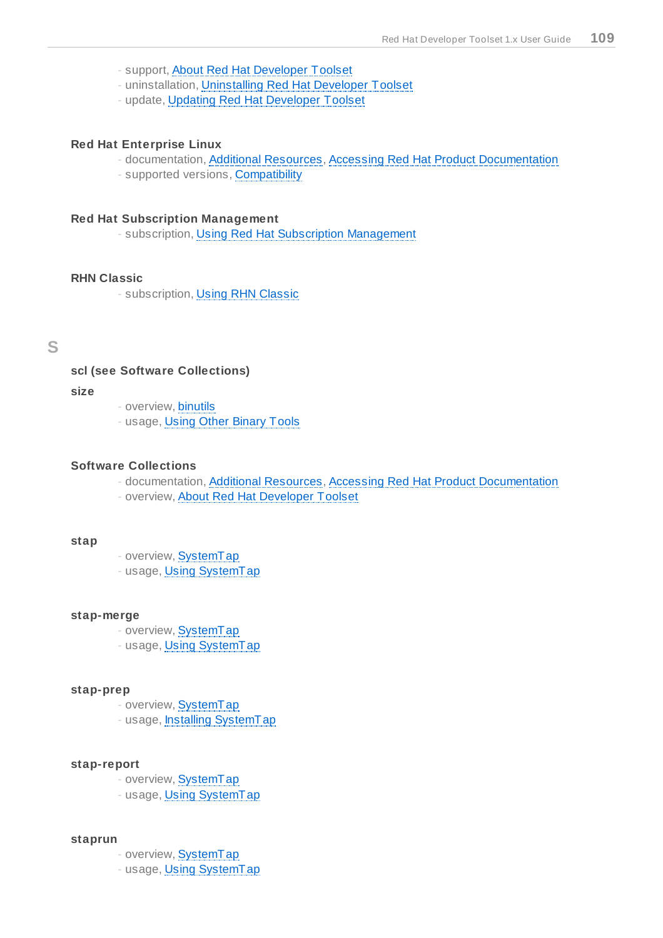- support, About Red Hat [Developer](#page-11-0) Toolset
- uninstallation, [Uninstalling](#page-16-0) Red Hat Developer Toolset
- update, Updating Red Hat [Developer](#page-16-1) Toolset

## **Red Hat Enterprise Linux**

- documentation, Additional [Resources](#page-17-0), Accessing Red Hat Product [Documentation](#page-58-0)

- supported versions, [Compatibility](#page-13-0)

### **Red Hat Subscription Management**

- subscription, Using Red Hat Subscription [Management](#page-15-0)

### **RHN Classic**

- subscription, Using RHN [Classic](#page-14-0)

## **S**

#### **scl (see Software Collections)**

**size**

- overview, [binutils](#page-36-0)
- usage, Using Other [Binary](#page-37-0) Tools

#### **Software Collections**

- documentation, Additional [Resources](#page-17-0), Accessing Red Hat Product [Documentation](#page-58-0)

- overview, About Red Hat [Developer](#page-11-0) Toolset

#### **stap**

- overview, [SystemTap](#page-45-0)

- usage, Using [SystemTap](#page-45-1)

### **stap-merge**

- overview, [SystemTap](#page-45-0)
- usage, Using [SystemTap](#page-45-1)

#### **stap-prep**

- overview, [SystemTap](#page-45-0)
- usage, Installing [SystemTap](#page-44-0)

#### **stap-report**

- overview, **[SystemTap](#page-45-0)**
- usage, Using [SystemTap](#page-45-1)

#### **staprun**

- overview, [SystemTap](#page-45-0)
- usage, Using [SystemTap](#page-45-1)